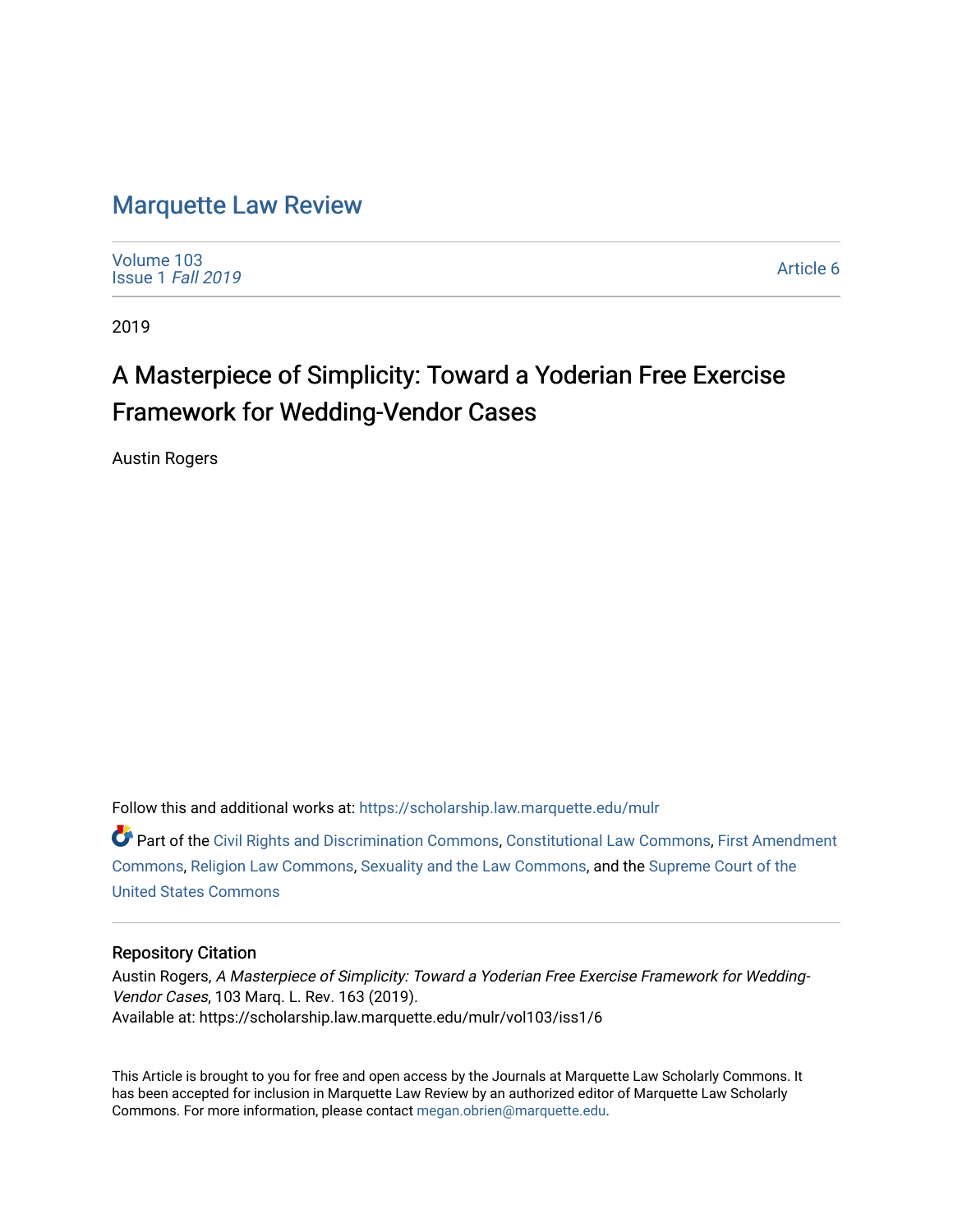# [Marquette Law Review](https://scholarship.law.marquette.edu/mulr)

[Volume 103](https://scholarship.law.marquette.edu/mulr/vol103) [Issue 1](https://scholarship.law.marquette.edu/mulr/vol103/iss1) Fall 2019

[Article 6](https://scholarship.law.marquette.edu/mulr/vol103/iss1/6) 

2019

# A Masterpiece of Simplicity: Toward a Yoderian Free Exercise Framework for Wedding-Vendor Cases

Austin Rogers

Follow this and additional works at: [https://scholarship.law.marquette.edu/mulr](https://scholarship.law.marquette.edu/mulr?utm_source=scholarship.law.marquette.edu%2Fmulr%2Fvol103%2Fiss1%2F6&utm_medium=PDF&utm_campaign=PDFCoverPages) 

Part of the [Civil Rights and Discrimination Commons,](http://network.bepress.com/hgg/discipline/585?utm_source=scholarship.law.marquette.edu%2Fmulr%2Fvol103%2Fiss1%2F6&utm_medium=PDF&utm_campaign=PDFCoverPages) [Constitutional Law Commons,](http://network.bepress.com/hgg/discipline/589?utm_source=scholarship.law.marquette.edu%2Fmulr%2Fvol103%2Fiss1%2F6&utm_medium=PDF&utm_campaign=PDFCoverPages) [First Amendment](http://network.bepress.com/hgg/discipline/1115?utm_source=scholarship.law.marquette.edu%2Fmulr%2Fvol103%2Fiss1%2F6&utm_medium=PDF&utm_campaign=PDFCoverPages) [Commons](http://network.bepress.com/hgg/discipline/1115?utm_source=scholarship.law.marquette.edu%2Fmulr%2Fvol103%2Fiss1%2F6&utm_medium=PDF&utm_campaign=PDFCoverPages), [Religion Law Commons,](http://network.bepress.com/hgg/discipline/872?utm_source=scholarship.law.marquette.edu%2Fmulr%2Fvol103%2Fiss1%2F6&utm_medium=PDF&utm_campaign=PDFCoverPages) [Sexuality and the Law Commons,](http://network.bepress.com/hgg/discipline/877?utm_source=scholarship.law.marquette.edu%2Fmulr%2Fvol103%2Fiss1%2F6&utm_medium=PDF&utm_campaign=PDFCoverPages) and the [Supreme Court of the](http://network.bepress.com/hgg/discipline/1350?utm_source=scholarship.law.marquette.edu%2Fmulr%2Fvol103%2Fiss1%2F6&utm_medium=PDF&utm_campaign=PDFCoverPages)  [United States Commons](http://network.bepress.com/hgg/discipline/1350?utm_source=scholarship.law.marquette.edu%2Fmulr%2Fvol103%2Fiss1%2F6&utm_medium=PDF&utm_campaign=PDFCoverPages) 

# Repository Citation

Austin Rogers, A Masterpiece of Simplicity: Toward a Yoderian Free Exercise Framework for Wedding-Vendor Cases, 103 Marq. L. Rev. 163 (2019). Available at: https://scholarship.law.marquette.edu/mulr/vol103/iss1/6

This Article is brought to you for free and open access by the Journals at Marquette Law Scholarly Commons. It has been accepted for inclusion in Marquette Law Review by an authorized editor of Marquette Law Scholarly Commons. For more information, please contact [megan.obrien@marquette.edu](mailto:megan.obrien@marquette.edu).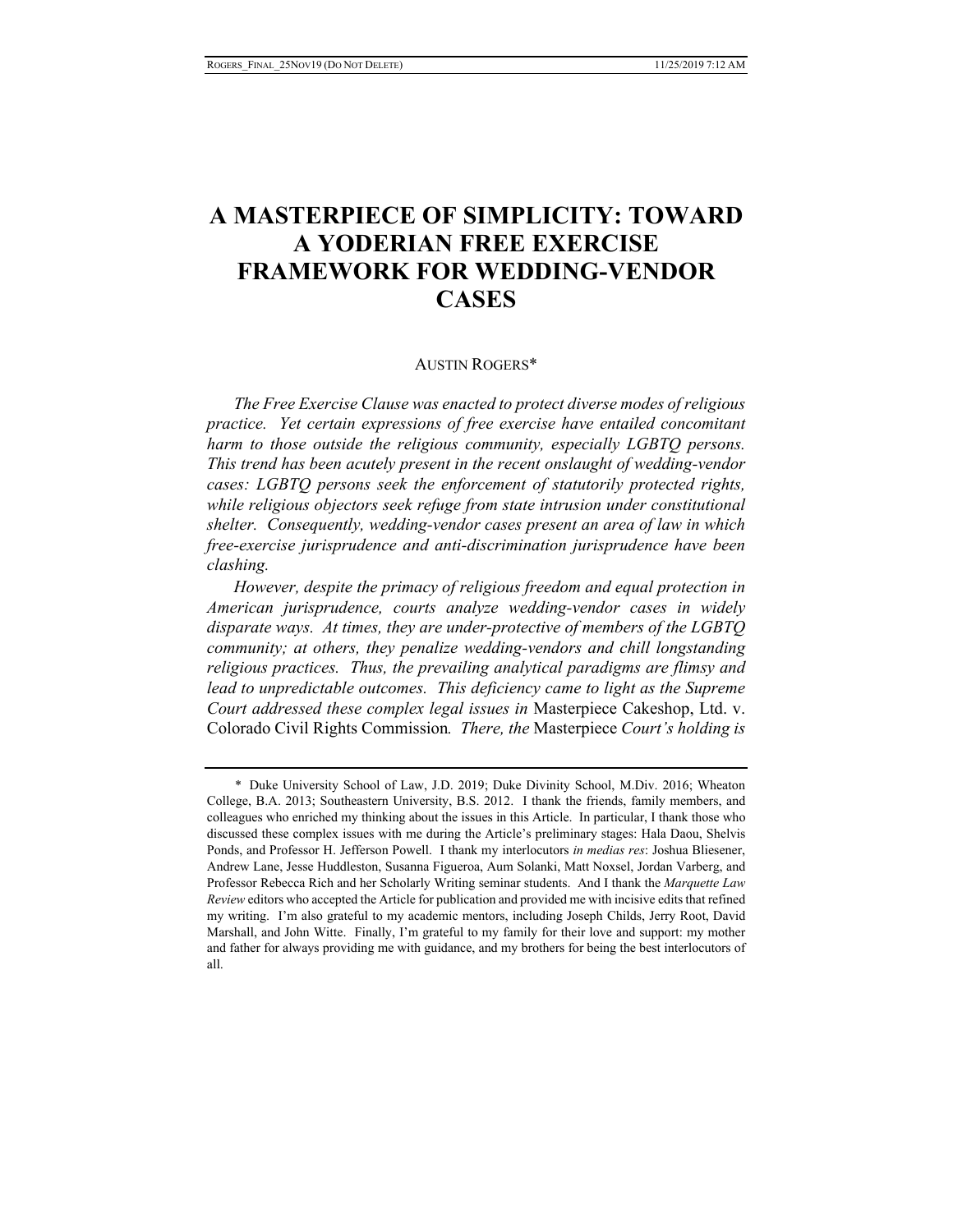# **A MASTERPIECE OF SIMPLICITY: TOWARD A YODERIAN FREE EXERCISE FRAMEWORK FOR WEDDING-VENDOR CASES**

## AUSTIN ROGERS\*

*The Free Exercise Clause was enacted to protect diverse modes of religious practice. Yet certain expressions of free exercise have entailed concomitant harm to those outside the religious community, especially LGBTQ persons. This trend has been acutely present in the recent onslaught of wedding-vendor cases: LGBTQ persons seek the enforcement of statutorily protected rights, while religious objectors seek refuge from state intrusion under constitutional shelter. Consequently, wedding-vendor cases present an area of law in which free-exercise jurisprudence and anti-discrimination jurisprudence have been clashing.* 

*However, despite the primacy of religious freedom and equal protection in American jurisprudence, courts analyze wedding-vendor cases in widely disparate ways. At times, they are under-protective of members of the LGBTQ community; at others, they penalize wedding-vendors and chill longstanding religious practices. Thus, the prevailing analytical paradigms are flimsy and*  lead to unpredictable outcomes. This deficiency came to light as the Supreme *Court addressed these complex legal issues in* Masterpiece Cakeshop, Ltd. v. Colorado Civil Rights Commission*. There, the* Masterpiece *Court's holding is* 

<sup>\*</sup> Duke University School of Law, J.D. 2019; Duke Divinity School, M.Div. 2016; Wheaton College, B.A. 2013; Southeastern University, B.S. 2012. I thank the friends, family members, and colleagues who enriched my thinking about the issues in this Article. In particular, I thank those who discussed these complex issues with me during the Article's preliminary stages: Hala Daou, Shelvis Ponds, and Professor H. Jefferson Powell. I thank my interlocutors *in medias res*: Joshua Bliesener, Andrew Lane, Jesse Huddleston, Susanna Figueroa, Aum Solanki, Matt Noxsel, Jordan Varberg, and Professor Rebecca Rich and her Scholarly Writing seminar students. And I thank the *Marquette Law Review* editors who accepted the Article for publication and provided me with incisive edits that refined my writing. I'm also grateful to my academic mentors, including Joseph Childs, Jerry Root, David Marshall, and John Witte. Finally, I'm grateful to my family for their love and support: my mother and father for always providing me with guidance, and my brothers for being the best interlocutors of all.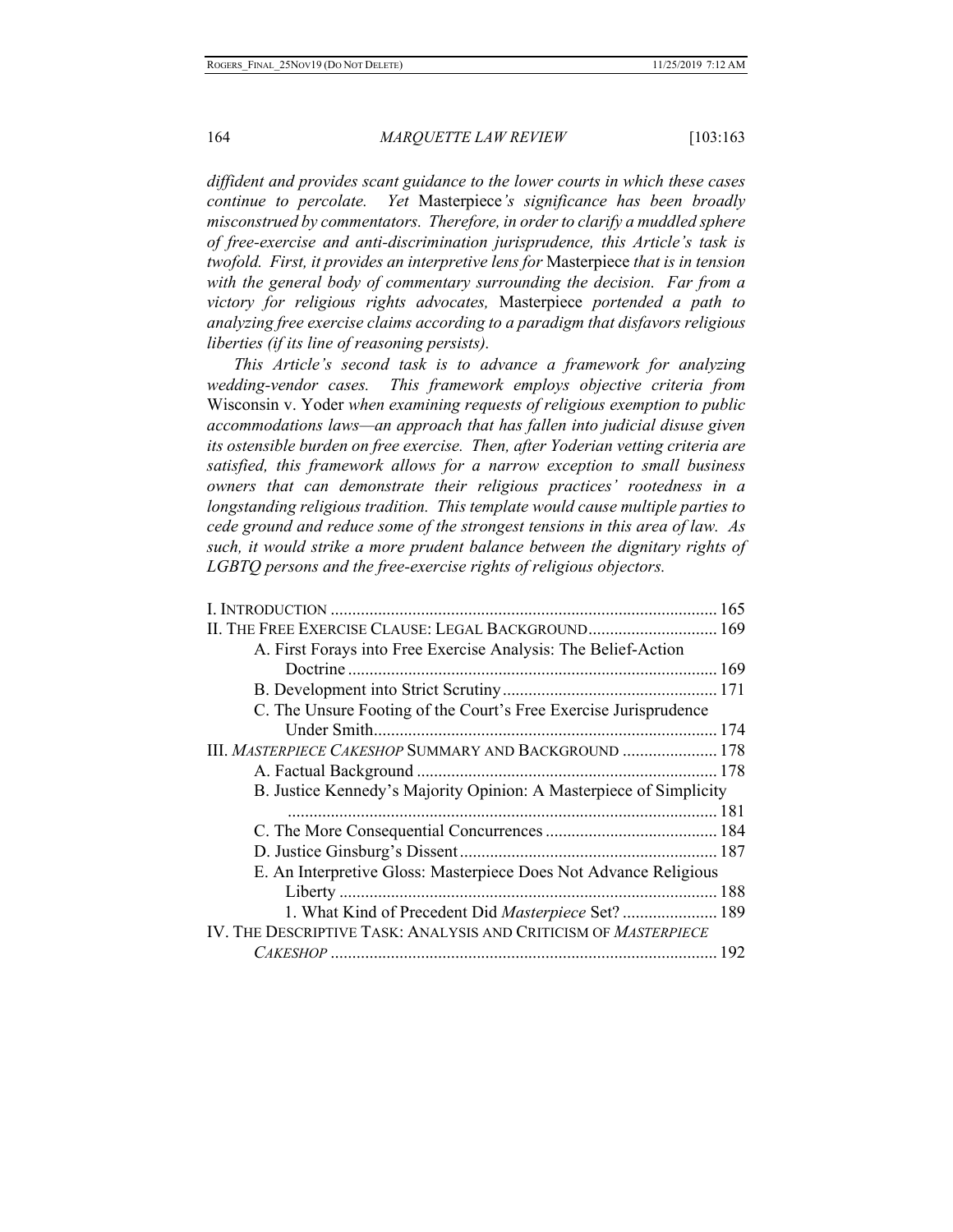*diffident and provides scant guidance to the lower courts in which these cases continue to percolate. Yet* Masterpiece*'s significance has been broadly misconstrued by commentators. Therefore, in order to clarify a muddled sphere of free-exercise and anti-discrimination jurisprudence, this Article's task is twofold. First, it provides an interpretive lens for* Masterpiece *that is in tension*  with the general body of commentary surrounding the decision. Far from a *victory for religious rights advocates,* Masterpiece *portended a path to analyzing free exercise claims according to a paradigm that disfavors religious liberties (if its line of reasoning persists).* 

*This Article's second task is to advance a framework for analyzing wedding-vendor cases. This framework employs objective criteria from*  Wisconsin v. Yoder *when examining requests of religious exemption to public accommodations laws—an approach that has fallen into judicial disuse given its ostensible burden on free exercise. Then, after Yoderian vetting criteria are satisfied, this framework allows for a narrow exception to small business owners that can demonstrate their religious practices' rootedness in a longstanding religious tradition. This template would cause multiple parties to cede ground and reduce some of the strongest tensions in this area of law. As such, it would strike a more prudent balance between the dignitary rights of LGBTQ persons and the free-exercise rights of religious objectors.* 

| II. THE FREE EXERCISE CLAUSE: LEGAL BACKGROUND 169                 |
|--------------------------------------------------------------------|
| A. First Forays into Free Exercise Analysis: The Belief-Action     |
|                                                                    |
|                                                                    |
| C. The Unsure Footing of the Court's Free Exercise Jurisprudence   |
| Under Smith.                                                       |
| III. MASTERPIECE CAKESHOP SUMMARY AND BACKGROUND  178              |
|                                                                    |
| B. Justice Kennedy's Majority Opinion: A Masterpiece of Simplicity |
|                                                                    |
|                                                                    |
|                                                                    |
| E. An Interpretive Gloss: Masterpiece Does Not Advance Religious   |
|                                                                    |
| 1. What Kind of Precedent Did Masterpiece Set? 189                 |
| IV. THE DESCRIPTIVE TASK: ANALYSIS AND CRITICISM OF MASTERPIECE    |
|                                                                    |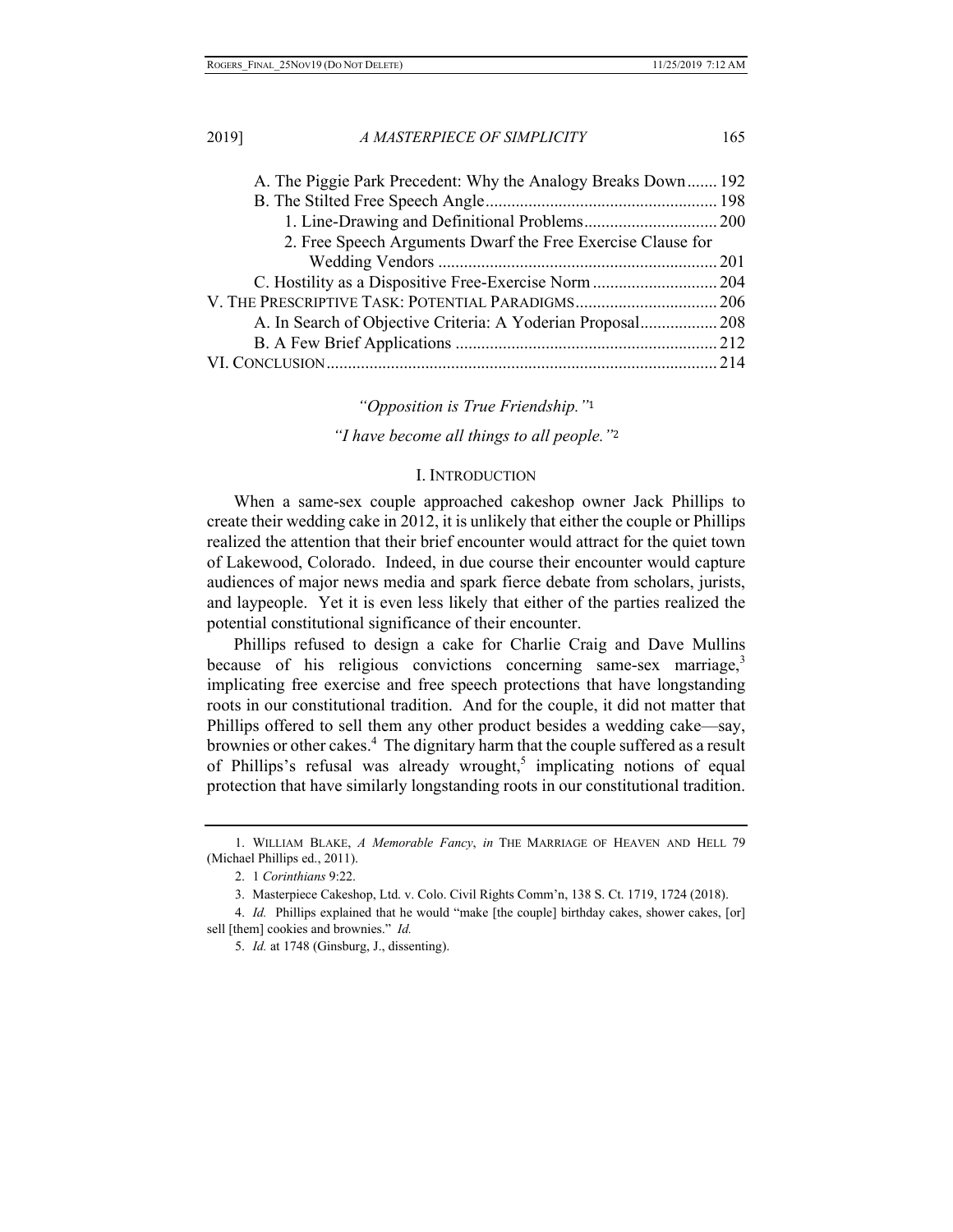| A. The Piggie Park Precedent: Why the Analogy Breaks Down 192 |  |
|---------------------------------------------------------------|--|
|                                                               |  |
|                                                               |  |
| 2. Free Speech Arguments Dwarf the Free Exercise Clause for   |  |
|                                                               |  |
|                                                               |  |
|                                                               |  |
| A. In Search of Objective Criteria: A Yoderian Proposal 208   |  |
|                                                               |  |
|                                                               |  |
|                                                               |  |

## *"Opposition is True Friendship."*<sup>1</sup>

*"I have become all things to all people."*<sup>2</sup>

# I. INTRODUCTION

When a same-sex couple approached cakeshop owner Jack Phillips to create their wedding cake in 2012, it is unlikely that either the couple or Phillips realized the attention that their brief encounter would attract for the quiet town of Lakewood, Colorado. Indeed, in due course their encounter would capture audiences of major news media and spark fierce debate from scholars, jurists, and laypeople. Yet it is even less likely that either of the parties realized the potential constitutional significance of their encounter.

Phillips refused to design a cake for Charlie Craig and Dave Mullins because of his religious convictions concerning same-sex marriage, $3$ implicating free exercise and free speech protections that have longstanding roots in our constitutional tradition. And for the couple, it did not matter that Phillips offered to sell them any other product besides a wedding cake—say, brownies or other cakes.<sup>4</sup> The dignitary harm that the couple suffered as a result of Phillips's refusal was already wrought,<sup>5</sup> implicating notions of equal protection that have similarly longstanding roots in our constitutional tradition.

<sup>1.</sup> WILLIAM BLAKE, *A Memorable Fancy*, *in* THE MARRIAGE OF HEAVEN AND HELL 79 (Michael Phillips ed., 2011).

<sup>2. 1</sup> *Corinthians* 9:22.

<sup>3.</sup> Masterpiece Cakeshop, Ltd. v. Colo. Civil Rights Comm'n, 138 S. Ct. 1719, 1724 (2018).

<sup>4.</sup> *Id.* Phillips explained that he would "make [the couple] birthday cakes, shower cakes, [or] sell [them] cookies and brownies." *Id.* 

<sup>5.</sup> *Id.* at 1748 (Ginsburg, J., dissenting).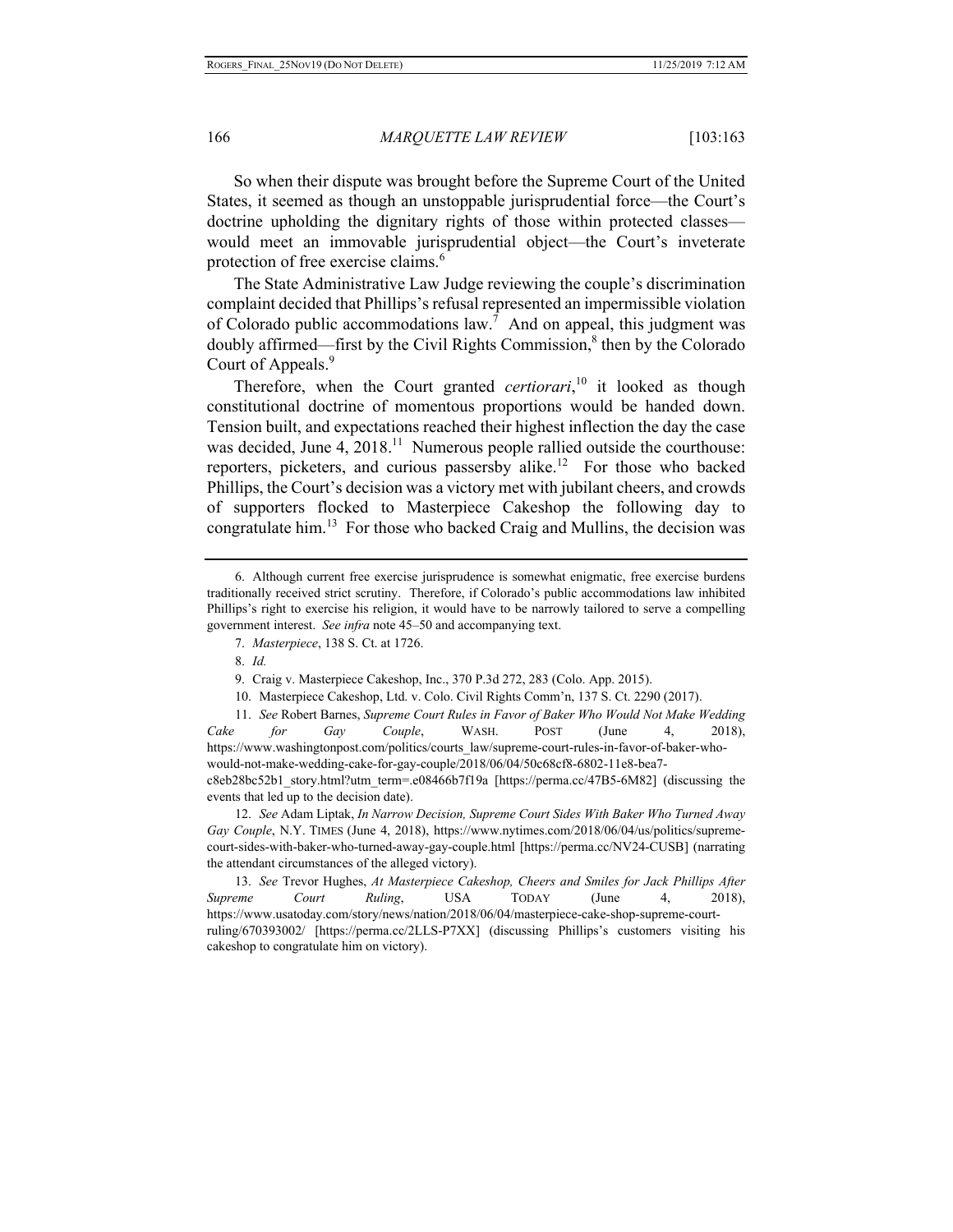So when their dispute was brought before the Supreme Court of the United States, it seemed as though an unstoppable jurisprudential force—the Court's doctrine upholding the dignitary rights of those within protected classes would meet an immovable jurisprudential object—the Court's inveterate protection of free exercise claims.<sup>6</sup>

The State Administrative Law Judge reviewing the couple's discrimination complaint decided that Phillips's refusal represented an impermissible violation of Colorado public accommodations law.<sup>7</sup> And on appeal, this judgment was doubly affirmed—first by the Civil Rights Commission, $\delta$  then by the Colorado Court of Appeals.<sup>9</sup>

Therefore, when the Court granted *certiorari*,<sup>10</sup> it looked as though constitutional doctrine of momentous proportions would be handed down. Tension built, and expectations reached their highest inflection the day the case was decided, June 4,  $2018$ <sup>11</sup> Numerous people rallied outside the courthouse: reporters, picketers, and curious passersby alike.<sup>12</sup> For those who backed Phillips, the Court's decision was a victory met with jubilant cheers, and crowds of supporters flocked to Masterpiece Cakeshop the following day to congratulate him.<sup>13</sup> For those who backed Craig and Mullins, the decision was

- 9. Craig v. Masterpiece Cakeshop, Inc., 370 P.3d 272, 283 (Colo. App. 2015).
- 10. Masterpiece Cakeshop, Ltd. v. Colo. Civil Rights Comm'n, 137 S. Ct. 2290 (2017).

11. *See* Robert Barnes, *Supreme Court Rules in Favor of Baker Who Would Not Make Wedding Cake for Gay Couple*, WASH. POST (June 4, 2018), https://www.washingtonpost.com/politics/courts\_law/supreme-court-rules-in-favor-of-baker-whowould-not-make-wedding-cake-for-gay-couple/2018/06/04/50c68cf8-6802-11e8-bea7 c8eb28bc52b1\_story.html?utm\_term=.e08466b7f19a [https://perma.cc/47B5-6M82] (discussing the events that led up to the decision date).

12. *See* Adam Liptak, *In Narrow Decision, Supreme Court Sides With Baker Who Turned Away Gay Couple*, N.Y. TIMES (June 4, 2018), https://www.nytimes.com/2018/06/04/us/politics/supremecourt-sides-with-baker-who-turned-away-gay-couple.html [https://perma.cc/NV24-CUSB] (narrating the attendant circumstances of the alleged victory).

13. *See* Trevor Hughes, *At Masterpiece Cakeshop, Cheers and Smiles for Jack Phillips After Supreme Court Ruling*, USA TODAY (June 4, 2018), https://www.usatoday.com/story/news/nation/2018/06/04/masterpiece-cake-shop-supreme-courtruling/670393002/ [https://perma.cc/2LLS-P7XX] (discussing Phillips's customers visiting his cakeshop to congratulate him on victory).

<sup>6.</sup> Although current free exercise jurisprudence is somewhat enigmatic, free exercise burdens traditionally received strict scrutiny. Therefore, if Colorado's public accommodations law inhibited Phillips's right to exercise his religion, it would have to be narrowly tailored to serve a compelling government interest. *See infra* note 45–50 and accompanying text.

<sup>7.</sup> *Masterpiece*, 138 S. Ct. at 1726.

<sup>8.</sup> *Id.*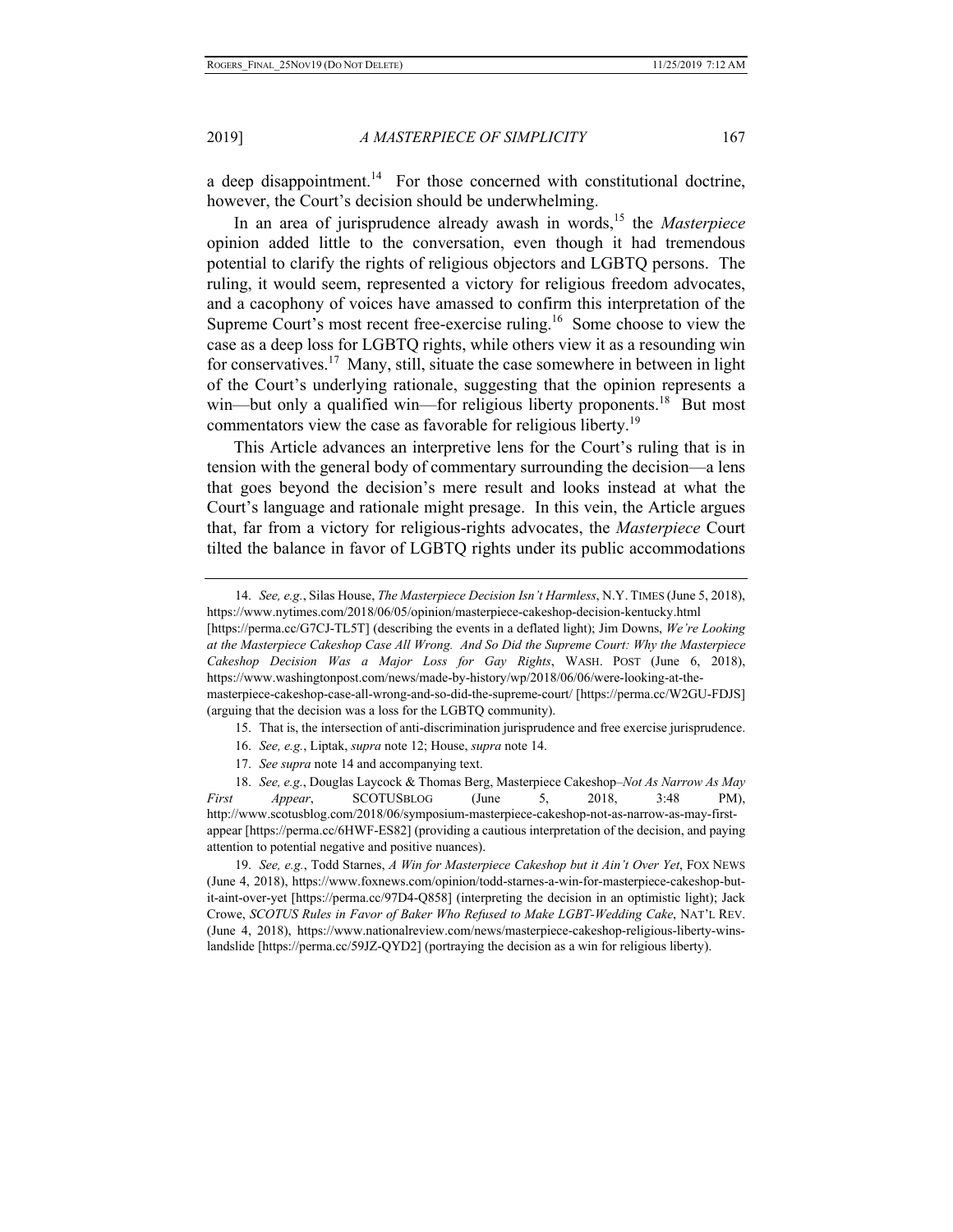a deep disappointment.<sup>14</sup> For those concerned with constitutional doctrine, however, the Court's decision should be underwhelming.

In an area of jurisprudence already awash in words,<sup>15</sup> the *Masterpiece* opinion added little to the conversation, even though it had tremendous potential to clarify the rights of religious objectors and LGBTQ persons. The ruling, it would seem, represented a victory for religious freedom advocates, and a cacophony of voices have amassed to confirm this interpretation of the Supreme Court's most recent free-exercise ruling.<sup>16</sup> Some choose to view the case as a deep loss for LGBTQ rights, while others view it as a resounding win for conservatives.<sup>17</sup> Many, still, situate the case somewhere in between in light of the Court's underlying rationale, suggesting that the opinion represents a win—but only a qualified win—for religious liberty proponents.<sup>18</sup> But most commentators view the case as favorable for religious liberty.<sup>19</sup>

This Article advances an interpretive lens for the Court's ruling that is in tension with the general body of commentary surrounding the decision—a lens that goes beyond the decision's mere result and looks instead at what the Court's language and rationale might presage. In this vein, the Article argues that, far from a victory for religious-rights advocates, the *Masterpiece* Court tilted the balance in favor of LGBTQ rights under its public accommodations

15. That is, the intersection of anti-discrimination jurisprudence and free exercise jurisprudence.

- 16. *See, e.g.*, Liptak, *supra* note 12; House, *supra* note 14.
- 17. *See supra* note 14 and accompanying text.

18. *See, e.g.*, Douglas Laycock & Thomas Berg, Masterpiece Cakeshop–*Not As Narrow As May First Appear*, SCOTUSBLOG (June 5, 2018, 3:48 PM), http://www.scotusblog.com/2018/06/symposium-masterpiece-cakeshop-not-as-narrow-as-may-firstappear [https://perma.cc/6HWF-ES82] (providing a cautious interpretation of the decision, and paying attention to potential negative and positive nuances).

19. *See, e.g.*, Todd Starnes, *A Win for Masterpiece Cakeshop but it Ain't Over Yet*, FOX NEWS (June 4, 2018), https://www.foxnews.com/opinion/todd-starnes-a-win-for-masterpiece-cakeshop-butit-aint-over-yet [https://perma.cc/97D4-Q858] (interpreting the decision in an optimistic light); Jack Crowe, *SCOTUS Rules in Favor of Baker Who Refused to Make LGBT-Wedding Cake*, NAT'L REV. (June 4, 2018), https://www.nationalreview.com/news/masterpiece-cakeshop-religious-liberty-winslandslide [https://perma.cc/59JZ-QYD2] (portraying the decision as a win for religious liberty).

<sup>14.</sup> *See, e.g.*, Silas House, *The Masterpiece Decision Isn't Harmless*, N.Y. TIMES (June 5, 2018), https://www.nytimes.com/2018/06/05/opinion/masterpiece-cakeshop-decision-kentucky.html [https://perma.cc/G7CJ-TL5T] (describing the events in a deflated light); Jim Downs, *We're Looking at the Masterpiece Cakeshop Case All Wrong. And So Did the Supreme Court: Why the Masterpiece Cakeshop Decision Was a Major Loss for Gay Rights*, WASH. POST (June 6, 2018), https://www.washingtonpost.com/news/made-by-history/wp/2018/06/06/were-looking-at-themasterpiece-cakeshop-case-all-wrong-and-so-did-the-supreme-court/ [https://perma.cc/W2GU-FDJS] (arguing that the decision was a loss for the LGBTQ community).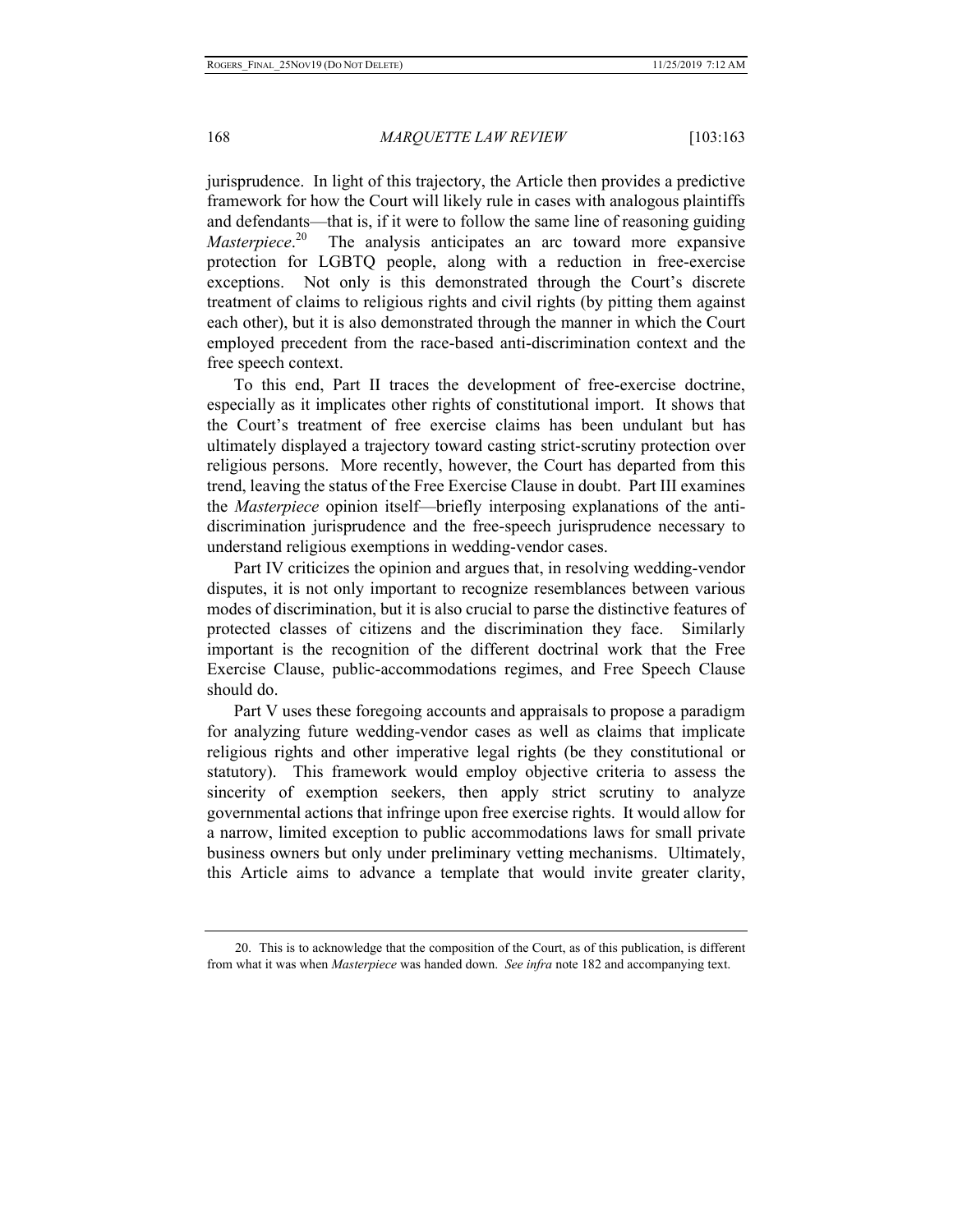jurisprudence. In light of this trajectory, the Article then provides a predictive framework for how the Court will likely rule in cases with analogous plaintiffs and defendants—that is, if it were to follow the same line of reasoning guiding *Masterpiece*. 20 The analysis anticipates an arc toward more expansive protection for LGBTQ people, along with a reduction in free-exercise exceptions. Not only is this demonstrated through the Court's discrete treatment of claims to religious rights and civil rights (by pitting them against each other), but it is also demonstrated through the manner in which the Court employed precedent from the race-based anti-discrimination context and the free speech context.

To this end, Part II traces the development of free-exercise doctrine, especially as it implicates other rights of constitutional import. It shows that the Court's treatment of free exercise claims has been undulant but has ultimately displayed a trajectory toward casting strict-scrutiny protection over religious persons. More recently, however, the Court has departed from this trend, leaving the status of the Free Exercise Clause in doubt. Part III examines the *Masterpiece* opinion itself—briefly interposing explanations of the antidiscrimination jurisprudence and the free-speech jurisprudence necessary to understand religious exemptions in wedding-vendor cases.

Part IV criticizes the opinion and argues that, in resolving wedding-vendor disputes, it is not only important to recognize resemblances between various modes of discrimination, but it is also crucial to parse the distinctive features of protected classes of citizens and the discrimination they face. Similarly important is the recognition of the different doctrinal work that the Free Exercise Clause, public-accommodations regimes, and Free Speech Clause should do.

Part V uses these foregoing accounts and appraisals to propose a paradigm for analyzing future wedding-vendor cases as well as claims that implicate religious rights and other imperative legal rights (be they constitutional or statutory). This framework would employ objective criteria to assess the sincerity of exemption seekers, then apply strict scrutiny to analyze governmental actions that infringe upon free exercise rights. It would allow for a narrow, limited exception to public accommodations laws for small private business owners but only under preliminary vetting mechanisms. Ultimately, this Article aims to advance a template that would invite greater clarity,

<sup>20.</sup> This is to acknowledge that the composition of the Court, as of this publication, is different from what it was when *Masterpiece* was handed down. *See infra* note 182 and accompanying text.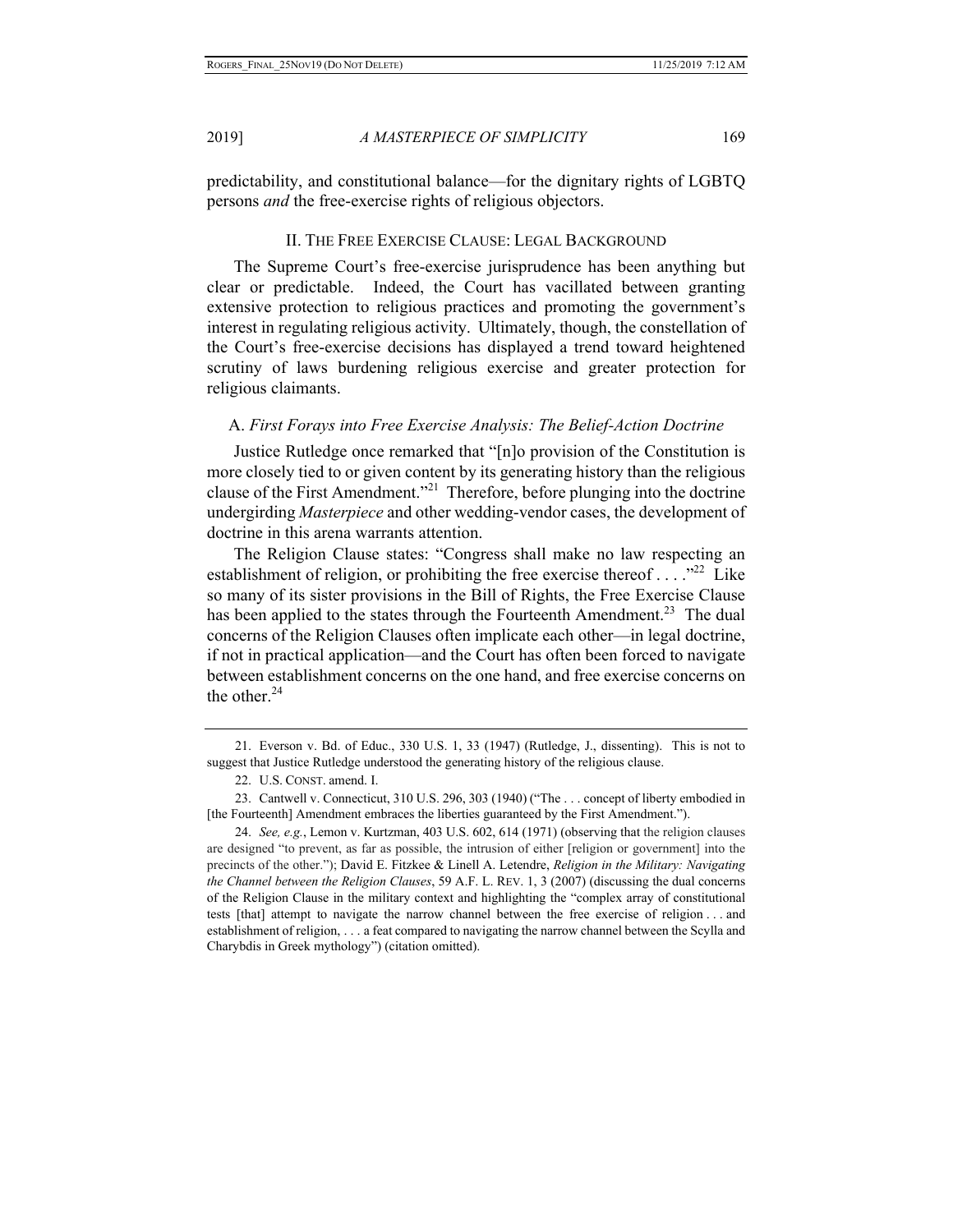predictability, and constitutional balance—for the dignitary rights of LGBTQ persons *and* the free-exercise rights of religious objectors.

#### II. THE FREE EXERCISE CLAUSE: LEGAL BACKGROUND

The Supreme Court's free-exercise jurisprudence has been anything but clear or predictable. Indeed, the Court has vacillated between granting extensive protection to religious practices and promoting the government's interest in regulating religious activity. Ultimately, though, the constellation of the Court's free-exercise decisions has displayed a trend toward heightened scrutiny of laws burdening religious exercise and greater protection for religious claimants.

#### A. *First Forays into Free Exercise Analysis: The Belief-Action Doctrine*

Justice Rutledge once remarked that "[n]o provision of the Constitution is more closely tied to or given content by its generating history than the religious clause of the First Amendment."<sup>21</sup> Therefore, before plunging into the doctrine undergirding *Masterpiece* and other wedding-vendor cases, the development of doctrine in this arena warrants attention.

The Religion Clause states: "Congress shall make no law respecting an establishment of religion, or prohibiting the free exercise thereof . . . . "<sup>22</sup> Like so many of its sister provisions in the Bill of Rights, the Free Exercise Clause has been applied to the states through the Fourteenth Amendment.<sup>23</sup> The dual concerns of the Religion Clauses often implicate each other—in legal doctrine, if not in practical application—and the Court has often been forced to navigate between establishment concerns on the one hand, and free exercise concerns on the other. $^{24}$ 

<sup>21.</sup> Everson v. Bd. of Educ., 330 U.S. 1, 33 (1947) (Rutledge, J., dissenting). This is not to suggest that Justice Rutledge understood the generating history of the religious clause.

<sup>22.</sup> U.S. CONST. amend. I.

<sup>23.</sup> Cantwell v. Connecticut, 310 U.S. 296, 303 (1940) ("The . . . concept of liberty embodied in [the Fourteenth] Amendment embraces the liberties guaranteed by the First Amendment.").

<sup>24.</sup> *See, e.g.*, Lemon v. Kurtzman, 403 U.S. 602, 614 (1971) (observing that the religion clauses are designed "to prevent, as far as possible, the intrusion of either [religion or government] into the precincts of the other."); David E. Fitzkee & Linell A. Letendre, *Religion in the Military: Navigating the Channel between the Religion Clauses*, 59 A.F. L. REV. 1, 3 (2007) (discussing the dual concerns of the Religion Clause in the military context and highlighting the "complex array of constitutional tests [that] attempt to navigate the narrow channel between the free exercise of religion . . . and establishment of religion, . . . a feat compared to navigating the narrow channel between the Scylla and Charybdis in Greek mythology") (citation omitted).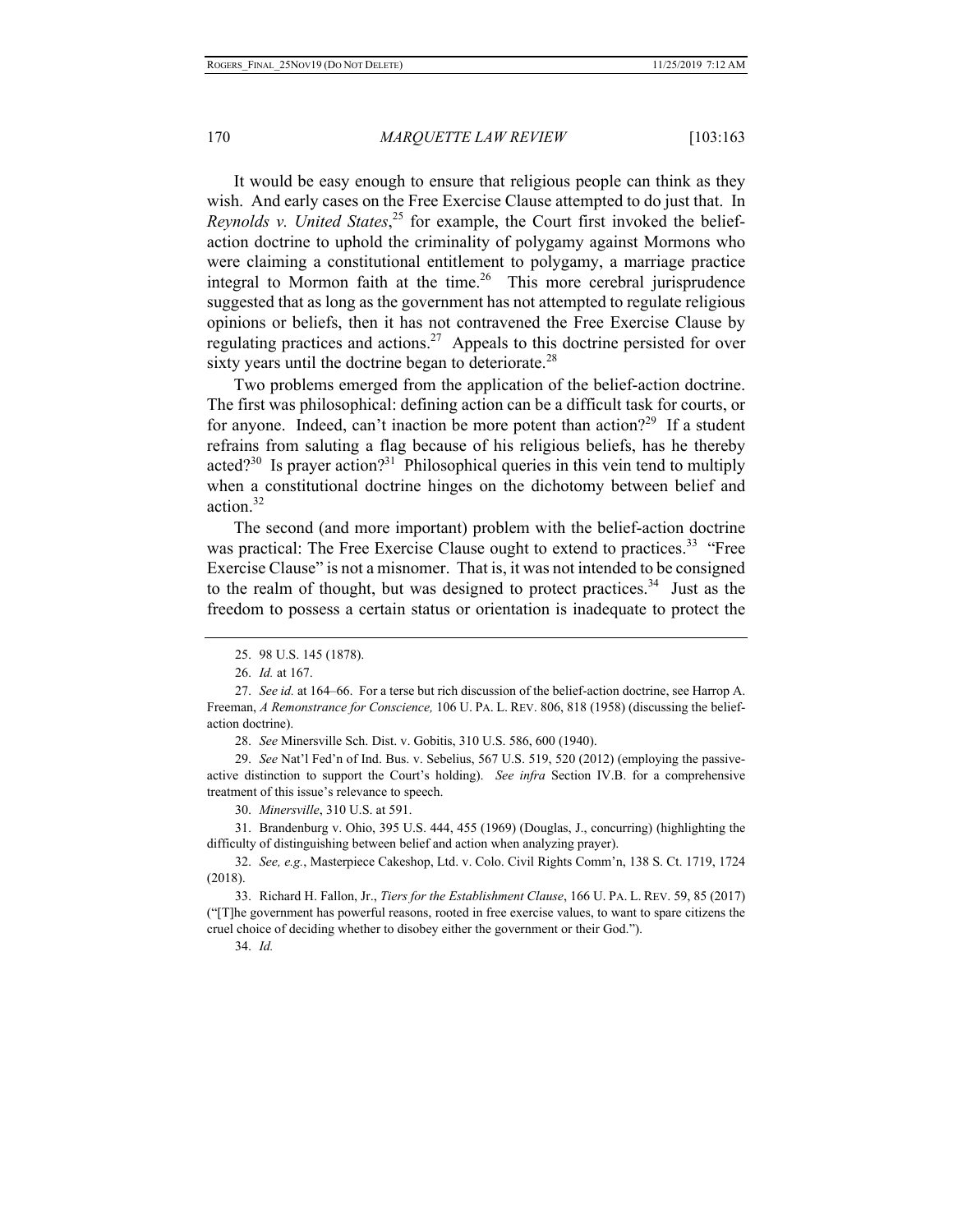It would be easy enough to ensure that religious people can think as they wish. And early cases on the Free Exercise Clause attempted to do just that. In *Reynolds v. United States*, 25 for example, the Court first invoked the beliefaction doctrine to uphold the criminality of polygamy against Mormons who were claiming a constitutional entitlement to polygamy, a marriage practice integral to Mormon faith at the time.<sup>26</sup> This more cerebral jurisprudence suggested that as long as the government has not attempted to regulate religious opinions or beliefs, then it has not contravened the Free Exercise Clause by regulating practices and actions.<sup>27</sup> Appeals to this doctrine persisted for over sixty years until the doctrine began to deteriorate.<sup>28</sup>

Two problems emerged from the application of the belief-action doctrine. The first was philosophical: defining action can be a difficult task for courts, or for anyone. Indeed, can't inaction be more potent than action?<sup>29</sup> If a student refrains from saluting a flag because of his religious beliefs, has he thereby acted? $30$  Is prayer action? $31$  Philosophical queries in this vein tend to multiply when a constitutional doctrine hinges on the dichotomy between belief and action.32

The second (and more important) problem with the belief-action doctrine was practical: The Free Exercise Clause ought to extend to practices.<sup>33</sup> "Free Exercise Clause" is not a misnomer. That is, it was not intended to be consigned to the realm of thought, but was designed to protect practices.<sup>34</sup> Just as the freedom to possess a certain status or orientation is inadequate to protect the

28. *See* Minersville Sch. Dist. v. Gobitis, 310 U.S. 586, 600 (1940).

29. *See* Nat'l Fed'n of Ind. Bus. v. Sebelius, 567 U.S. 519, 520 (2012) (employing the passiveactive distinction to support the Court's holding). *See infra* Section IV.B. for a comprehensive treatment of this issue's relevance to speech.

30. *Minersville*, 310 U.S. at 591.

31. Brandenburg v. Ohio, 395 U.S. 444, 455 (1969) (Douglas, J., concurring) (highlighting the difficulty of distinguishing between belief and action when analyzing prayer).

32. *See, e.g.*, Masterpiece Cakeshop, Ltd. v. Colo. Civil Rights Comm'n, 138 S. Ct. 1719, 1724 (2018).

33. Richard H. Fallon, Jr., *Tiers for the Establishment Clause*, 166 U. PA. L. REV. 59, 85 (2017) ("[T]he government has powerful reasons, rooted in free exercise values, to want to spare citizens the cruel choice of deciding whether to disobey either the government or their God.").

34. *Id.* 

<sup>25. 98</sup> U.S. 145 (1878).

<sup>26.</sup> *Id.* at 167.

<sup>27.</sup> *See id.* at 164–66. For a terse but rich discussion of the belief-action doctrine, see Harrop A. Freeman, *A Remonstrance for Conscience,* 106 U. PA. L. REV. 806, 818 (1958) (discussing the beliefaction doctrine).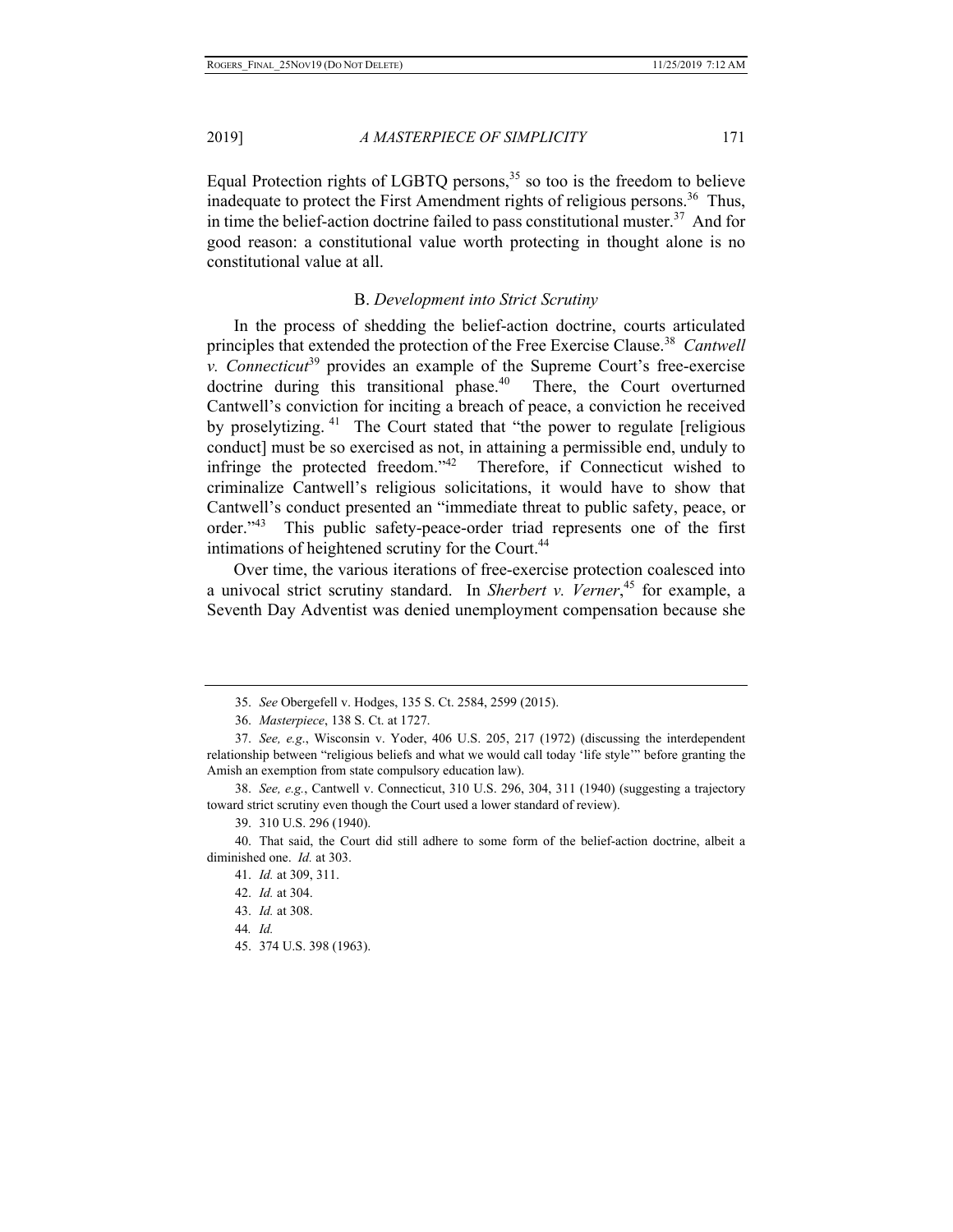Equal Protection rights of LGBTQ persons,  $35$  so too is the freedom to believe inadequate to protect the First Amendment rights of religious persons.<sup>36</sup> Thus, in time the belief-action doctrine failed to pass constitutional muster.<sup>37</sup> And for good reason: a constitutional value worth protecting in thought alone is no constitutional value at all.

# B. *Development into Strict Scrutiny*

In the process of shedding the belief-action doctrine, courts articulated principles that extended the protection of the Free Exercise Clause.<sup>38</sup> Cantwell *v. Connecticut*39 provides an example of the Supreme Court's free-exercise doctrine during this transitional phase.<sup>40</sup> There, the Court overturned Cantwell's conviction for inciting a breach of peace, a conviction he received by proselytizing.<sup>41</sup> The Court stated that "the power to regulate [religious conduct] must be so exercised as not, in attaining a permissible end, unduly to infringe the protected freedom."42 Therefore, if Connecticut wished to criminalize Cantwell's religious solicitations, it would have to show that Cantwell's conduct presented an "immediate threat to public safety, peace, or order."43 This public safety-peace-order triad represents one of the first intimations of heightened scrutiny for the Court.<sup>44</sup>

Over time, the various iterations of free-exercise protection coalesced into a univocal strict scrutiny standard. In *Sherbert v. Verner*, 45 for example, a Seventh Day Adventist was denied unemployment compensation because she

39. 310 U.S. 296 (1940).

<sup>35.</sup> *See* Obergefell v. Hodges, 135 S. Ct. 2584, 2599 (2015).

<sup>36.</sup> *Masterpiece*, 138 S. Ct. at 1727.

<sup>37.</sup> *See, e.g*., Wisconsin v. Yoder, 406 U.S. 205, 217 (1972) (discussing the interdependent relationship between "religious beliefs and what we would call today 'life style'" before granting the Amish an exemption from state compulsory education law).

<sup>38.</sup> *See, e.g.*, Cantwell v. Connecticut, 310 U.S. 296, 304, 311 (1940) (suggesting a trajectory toward strict scrutiny even though the Court used a lower standard of review).

<sup>40.</sup> That said, the Court did still adhere to some form of the belief-action doctrine, albeit a diminished one. *Id.* at 303.

<sup>41.</sup> *Id.* at 309, 311.

<sup>42.</sup> *Id.* at 304.

<sup>43.</sup> *Id.* at 308.

<sup>44</sup>*. Id.*

<sup>45. 374</sup> U.S. 398 (1963).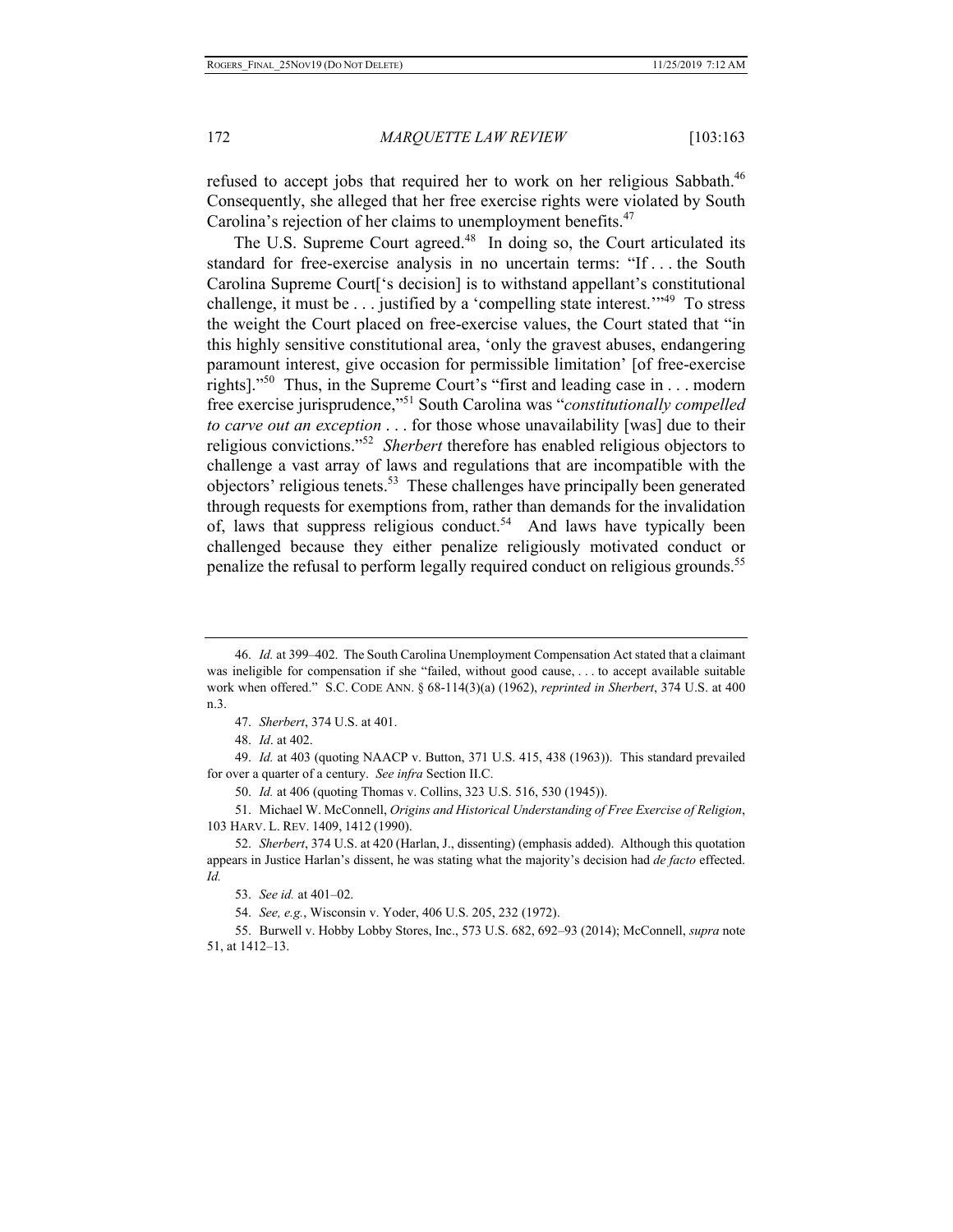refused to accept jobs that required her to work on her religious Sabbath.<sup>46</sup> Consequently, she alleged that her free exercise rights were violated by South Carolina's rejection of her claims to unemployment benefits.<sup>47</sup>

The U.S. Supreme Court agreed.<sup>48</sup> In doing so, the Court articulated its standard for free-exercise analysis in no uncertain terms: "If . . . the South Carolina Supreme Court['s decision] is to withstand appellant's constitutional challenge, it must be  $\dots$  justified by a 'compelling state interest.'<sup>49</sup> To stress the weight the Court placed on free-exercise values, the Court stated that "in this highly sensitive constitutional area, 'only the gravest abuses, endangering paramount interest, give occasion for permissible limitation' [of free-exercise rights]."<sup>50</sup> Thus, in the Supreme Court's "first and leading case in . . . modern free exercise jurisprudence,"51 South Carolina was "*constitutionally compelled to carve out an exception* . . . for those whose unavailability [was] due to their religious convictions."52 *Sherbert* therefore has enabled religious objectors to challenge a vast array of laws and regulations that are incompatible with the objectors' religious tenets.<sup>53</sup> These challenges have principally been generated through requests for exemptions from, rather than demands for the invalidation of, laws that suppress religious conduct.<sup>54</sup> And laws have typically been challenged because they either penalize religiously motivated conduct or penalize the refusal to perform legally required conduct on religious grounds.<sup>55</sup>

48. *Id*. at 402.

49. *Id.* at 403 (quoting NAACP v. Button, 371 U.S. 415, 438 (1963)). This standard prevailed for over a quarter of a century. *See infra* Section II.C.

51. Michael W. McConnell, *Origins and Historical Understanding of Free Exercise of Religion*, 103 HARV. L. REV. 1409, 1412 (1990).

<sup>46.</sup> *Id.* at 399–402. The South Carolina Unemployment Compensation Act stated that a claimant was ineligible for compensation if she "failed, without good cause, . . . to accept available suitable work when offered." S.C. CODE ANN. § 68-114(3)(a) (1962), *reprinted in Sherbert*, 374 U.S. at 400 n.3.

<sup>47.</sup> *Sherbert*, 374 U.S. at 401.

<sup>50.</sup> *Id.* at 406 (quoting Thomas v. Collins, 323 U.S. 516, 530 (1945)).

<sup>52.</sup> *Sherbert*, 374 U.S. at 420 (Harlan, J., dissenting) (emphasis added). Although this quotation appears in Justice Harlan's dissent, he was stating what the majority's decision had *de facto* effected. *Id.* 

<sup>53.</sup> *See id.* at 401–02.

<sup>54.</sup> *See, e.g.*, Wisconsin v. Yoder, 406 U.S. 205, 232 (1972).

<sup>55.</sup> Burwell v. Hobby Lobby Stores, Inc., 573 U.S. 682, 692–93 (2014); McConnell, *supra* note 51, at 1412–13.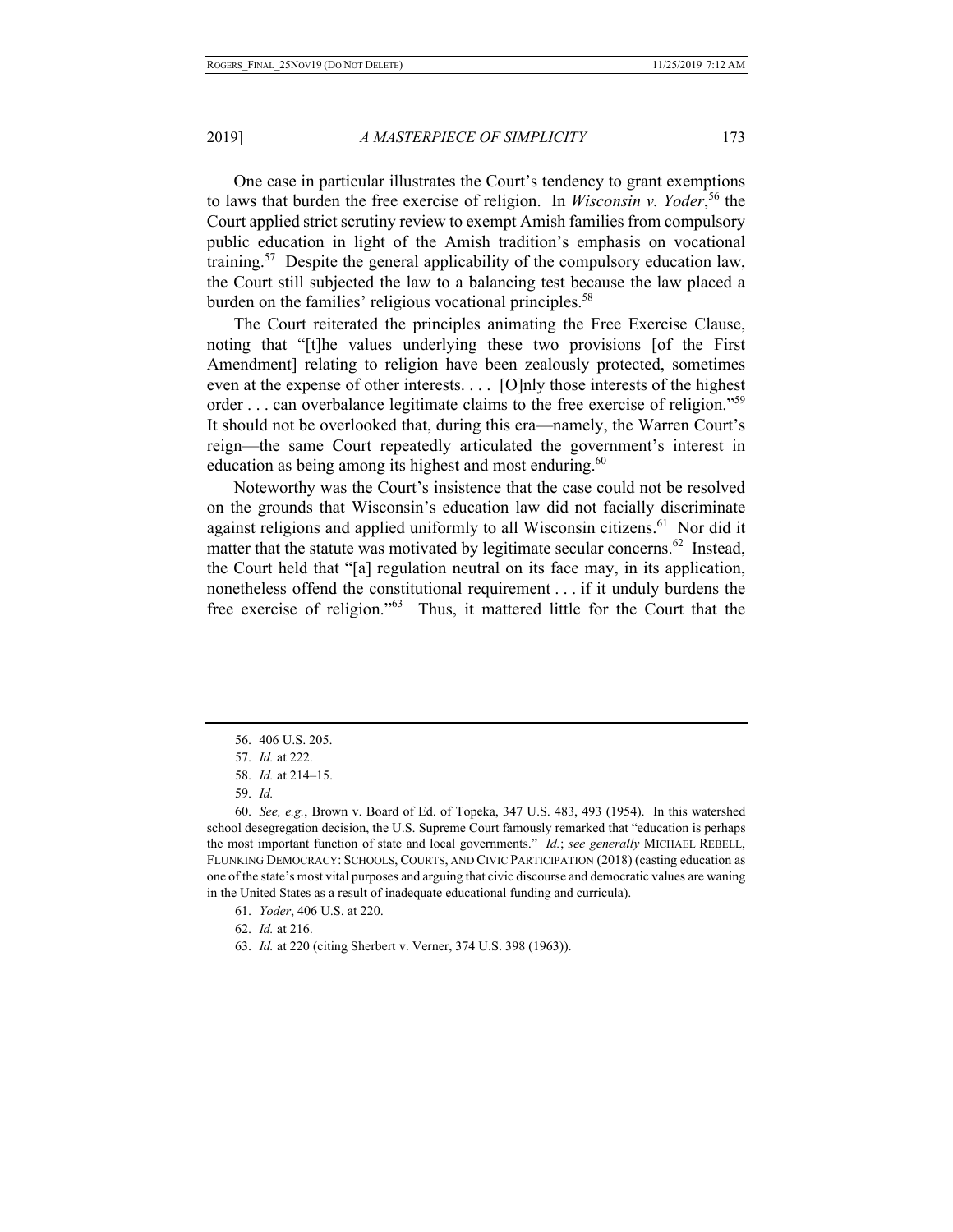One case in particular illustrates the Court's tendency to grant exemptions to laws that burden the free exercise of religion. In *Wisconsin v. Yoder*, 56 the Court applied strict scrutiny review to exempt Amish families from compulsory public education in light of the Amish tradition's emphasis on vocational training.<sup>57</sup> Despite the general applicability of the compulsory education law, the Court still subjected the law to a balancing test because the law placed a burden on the families' religious vocational principles.<sup>58</sup>

The Court reiterated the principles animating the Free Exercise Clause, noting that "[t]he values underlying these two provisions [of the First Amendment] relating to religion have been zealously protected, sometimes even at the expense of other interests. . . . [O]nly those interests of the highest order . . . can overbalance legitimate claims to the free exercise of religion."<sup>59</sup> It should not be overlooked that, during this era—namely, the Warren Court's reign—the same Court repeatedly articulated the government's interest in education as being among its highest and most enduring.<sup>60</sup>

Noteworthy was the Court's insistence that the case could not be resolved on the grounds that Wisconsin's education law did not facially discriminate against religions and applied uniformly to all Wisconsin citizens.<sup>61</sup> Nor did it matter that the statute was motivated by legitimate secular concerns.<sup>62</sup> Instead, the Court held that "[a] regulation neutral on its face may, in its application, nonetheless offend the constitutional requirement . . . if it unduly burdens the free exercise of religion."63 Thus, it mattered little for the Court that the

- 61. *Yoder*, 406 U.S. at 220.
- 62. *Id.* at 216.
- 63. *Id.* at 220 (citing Sherbert v. Verner, 374 U.S. 398 (1963)).

<sup>56. 406</sup> U.S. 205.

<sup>57.</sup> *Id.* at 222.

<sup>58.</sup> *Id.* at 214–15.

<sup>59.</sup> *Id.*

<sup>60.</sup> *See, e.g.*, Brown v. Board of Ed. of Topeka, 347 U.S. 483, 493 (1954). In this watershed school desegregation decision, the U.S. Supreme Court famously remarked that "education is perhaps the most important function of state and local governments." *Id.*; *see generally* MICHAEL REBELL, FLUNKING DEMOCRACY: SCHOOLS, COURTS, AND CIVIC PARTICIPATION (2018) (casting education as one of the state's most vital purposes and arguing that civic discourse and democratic values are waning in the United States as a result of inadequate educational funding and curricula).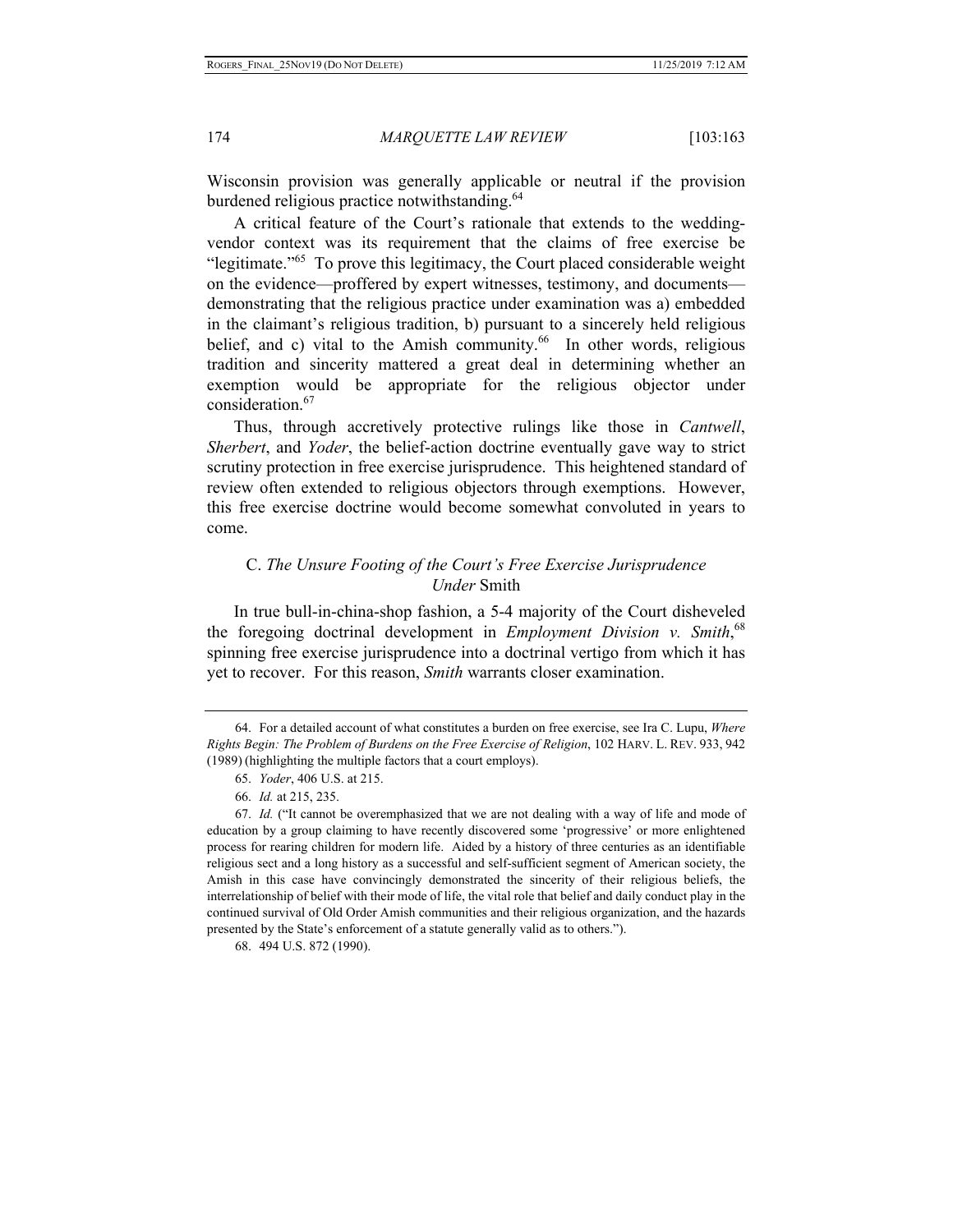Wisconsin provision was generally applicable or neutral if the provision burdened religious practice notwithstanding.<sup>64</sup>

A critical feature of the Court's rationale that extends to the weddingvendor context was its requirement that the claims of free exercise be "legitimate."<sup>65</sup> To prove this legitimacy, the Court placed considerable weight on the evidence—proffered by expert witnesses, testimony, and documents demonstrating that the religious practice under examination was a) embedded in the claimant's religious tradition, b) pursuant to a sincerely held religious belief, and c) vital to the Amish community.<sup>66</sup> In other words, religious tradition and sincerity mattered a great deal in determining whether an exemption would be appropriate for the religious objector under consideration.<sup>67</sup>

Thus, through accretively protective rulings like those in *Cantwell*, *Sherbert*, and *Yoder*, the belief-action doctrine eventually gave way to strict scrutiny protection in free exercise jurisprudence. This heightened standard of review often extended to religious objectors through exemptions. However, this free exercise doctrine would become somewhat convoluted in years to come.

# C. *The Unsure Footing of the Court's Free Exercise Jurisprudence Under* Smith

In true bull-in-china-shop fashion, a 5-4 majority of the Court disheveled the foregoing doctrinal development in *Employment Division v. Smith*,<sup>68</sup> spinning free exercise jurisprudence into a doctrinal vertigo from which it has yet to recover. For this reason, *Smith* warrants closer examination.

<sup>64.</sup> For a detailed account of what constitutes a burden on free exercise, see Ira C. Lupu, *Where Rights Begin: The Problem of Burdens on the Free Exercise of Religion*, 102 HARV. L. REV. 933, 942 (1989) (highlighting the multiple factors that a court employs).

<sup>65.</sup> *Yoder*, 406 U.S. at 215.

<sup>66.</sup> *Id.* at 215, 235.

<sup>67.</sup> *Id.* ("It cannot be overemphasized that we are not dealing with a way of life and mode of education by a group claiming to have recently discovered some 'progressive' or more enlightened process for rearing children for modern life. Aided by a history of three centuries as an identifiable religious sect and a long history as a successful and self-sufficient segment of American society, the Amish in this case have convincingly demonstrated the sincerity of their religious beliefs, the interrelationship of belief with their mode of life, the vital role that belief and daily conduct play in the continued survival of Old Order Amish communities and their religious organization, and the hazards presented by the State's enforcement of a statute generally valid as to others.").

<sup>68. 494</sup> U.S. 872 (1990).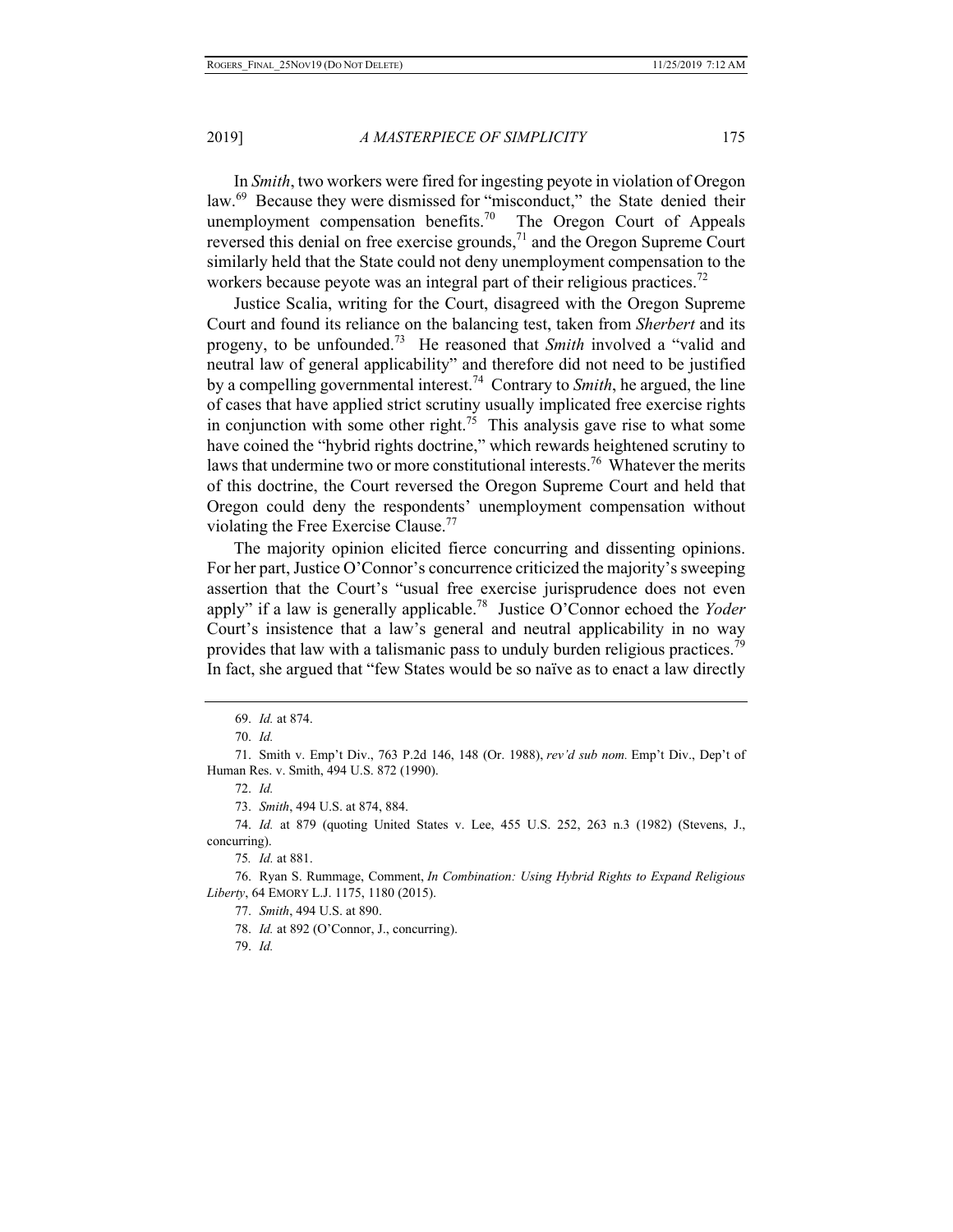In *Smith*, two workers were fired for ingesting peyote in violation of Oregon law.<sup>69</sup> Because they were dismissed for "misconduct," the State denied their unemployment compensation benefits.<sup>70</sup> The Oregon Court of Appeals reversed this denial on free exercise grounds,<sup>71</sup> and the Oregon Supreme Court similarly held that the State could not deny unemployment compensation to the workers because peyote was an integral part of their religious practices.<sup>72</sup>

Justice Scalia, writing for the Court, disagreed with the Oregon Supreme Court and found its reliance on the balancing test, taken from *Sherbert* and its progeny, to be unfounded.73 He reasoned that *Smith* involved a "valid and neutral law of general applicability" and therefore did not need to be justified by a compelling governmental interest.74 Contrary to *Smith*, he argued, the line of cases that have applied strict scrutiny usually implicated free exercise rights in conjunction with some other right.<sup>75</sup> This analysis gave rise to what some have coined the "hybrid rights doctrine," which rewards heightened scrutiny to laws that undermine two or more constitutional interests.<sup>76</sup> Whatever the merits of this doctrine, the Court reversed the Oregon Supreme Court and held that Oregon could deny the respondents' unemployment compensation without violating the Free Exercise Clause.<sup>77</sup>

The majority opinion elicited fierce concurring and dissenting opinions. For her part, Justice O'Connor's concurrence criticized the majority's sweeping assertion that the Court's "usual free exercise jurisprudence does not even apply" if a law is generally applicable.78 Justice O'Connor echoed the *Yoder*  Court's insistence that a law's general and neutral applicability in no way provides that law with a talismanic pass to unduly burden religious practices.<sup>79</sup> In fact, she argued that "few States would be so naïve as to enact a law directly

72. *Id.*

73. *Smith*, 494 U.S. at 874, 884.

74. *Id.* at 879 (quoting United States v. Lee, 455 U.S. 252, 263 n.3 (1982) (Stevens, J., concurring).

75*. Id.* at 881.

76. Ryan S. Rummage, Comment, *In Combination: Using Hybrid Rights to Expand Religious Liberty*, 64 EMORY L.J. 1175, 1180 (2015).

77. *Smith*, 494 U.S. at 890.

78. *Id.* at 892 (O'Connor, J., concurring).

79. *Id.* 

<sup>69.</sup> *Id.* at 874.

<sup>70.</sup> *Id.* 

<sup>71.</sup> Smith v. Emp't Div., 763 P.2d 146, 148 (Or. 1988), *rev'd sub nom.* Emp't Div., Dep't of Human Res. v. Smith, 494 U.S. 872 (1990).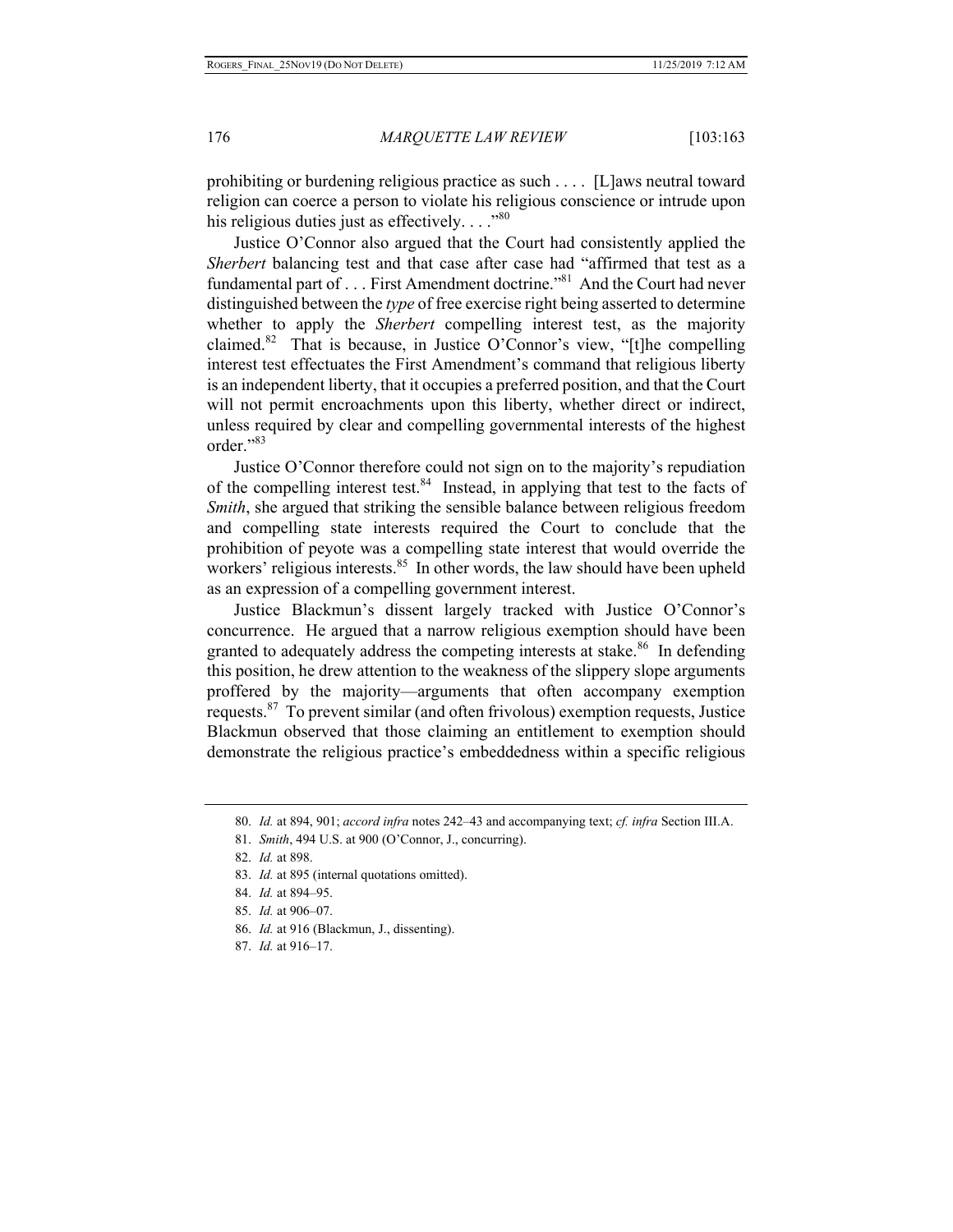prohibiting or burdening religious practice as such . . . . [L]aws neutral toward religion can coerce a person to violate his religious conscience or intrude upon his religious duties just as effectively.  $\ldots$ <sup>80</sup>

Justice O'Connor also argued that the Court had consistently applied the *Sherbert* balancing test and that case after case had "affirmed that test as a fundamental part of . . . First Amendment doctrine."81 And the Court had never distinguished between the *type* of free exercise right being asserted to determine whether to apply the *Sherbert* compelling interest test, as the majority claimed.82 That is because, in Justice O'Connor's view, "[t]he compelling interest test effectuates the First Amendment's command that religious liberty is an independent liberty, that it occupies a preferred position, and that the Court will not permit encroachments upon this liberty, whether direct or indirect, unless required by clear and compelling governmental interests of the highest order."83

Justice O'Connor therefore could not sign on to the majority's repudiation of the compelling interest test.<sup>84</sup> Instead, in applying that test to the facts of *Smith*, she argued that striking the sensible balance between religious freedom and compelling state interests required the Court to conclude that the prohibition of peyote was a compelling state interest that would override the workers' religious interests.<sup>85</sup> In other words, the law should have been upheld as an expression of a compelling government interest.

Justice Blackmun's dissent largely tracked with Justice O'Connor's concurrence. He argued that a narrow religious exemption should have been granted to adequately address the competing interests at stake.<sup>86</sup> In defending this position, he drew attention to the weakness of the slippery slope arguments proffered by the majority—arguments that often accompany exemption requests.  $87$  To prevent similar (and often frivolous) exemption requests, Justice Blackmun observed that those claiming an entitlement to exemption should demonstrate the religious practice's embeddedness within a specific religious

- 86. *Id.* at 916 (Blackmun, J., dissenting).
- 87. *Id.* at 916–17.

<sup>80.</sup> *Id.* at 894, 901; *accord infra* notes 242–43 and accompanying text; *cf. infra* Section III.A.

<sup>81.</sup> *Smith*, 494 U.S. at 900 (O'Connor, J., concurring).

<sup>82.</sup> *Id.* at 898.

<sup>83.</sup> *Id.* at 895 (internal quotations omitted).

<sup>84.</sup> *Id.* at 894–95.

<sup>85.</sup> *Id.* at 906–07.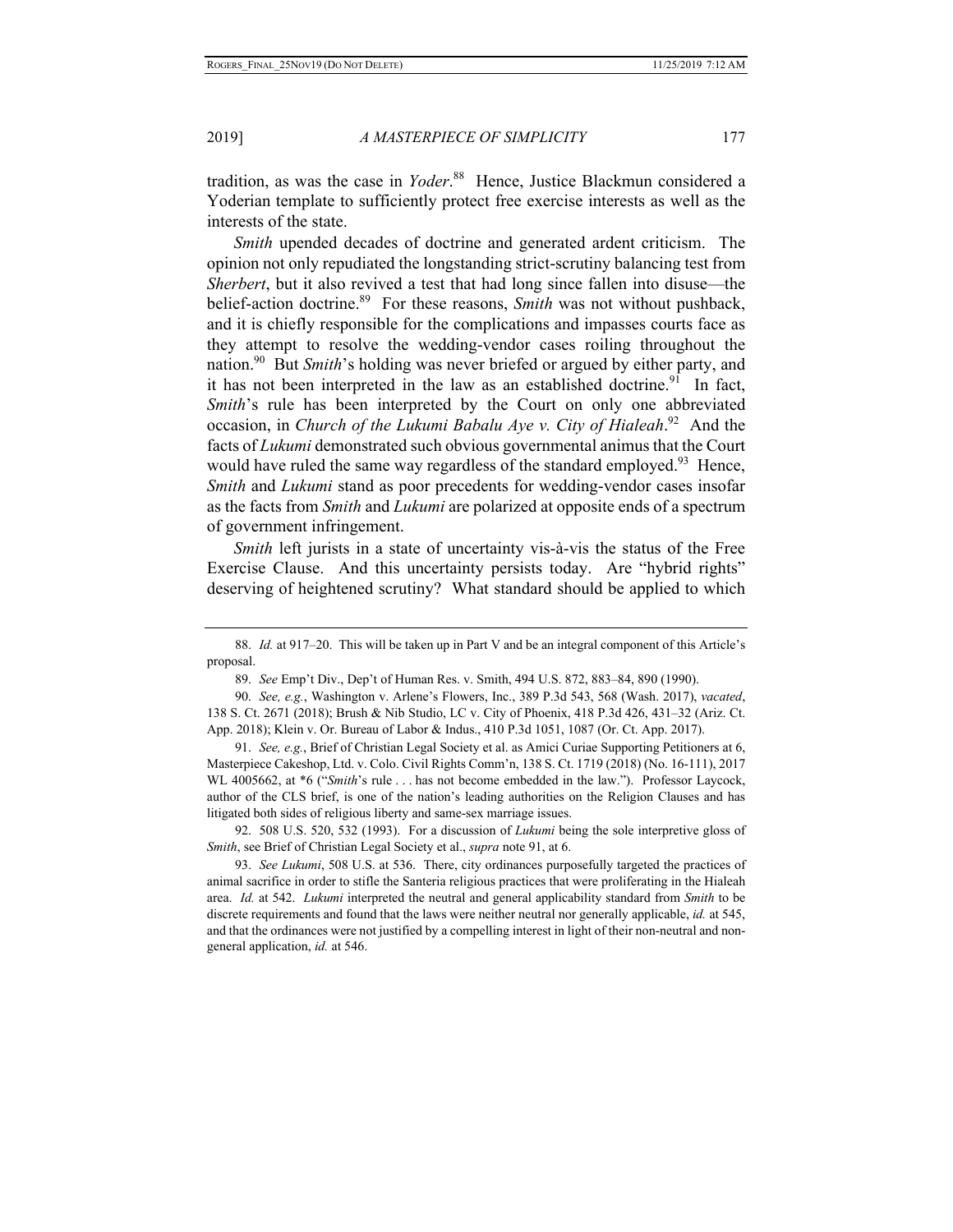tradition, as was the case in *Yoder*. 88 Hence, Justice Blackmun considered a Yoderian template to sufficiently protect free exercise interests as well as the interests of the state.

*Smith* upended decades of doctrine and generated ardent criticism. The opinion not only repudiated the longstanding strict-scrutiny balancing test from *Sherbert*, but it also revived a test that had long since fallen into disuse—the belief-action doctrine.<sup>89</sup> For these reasons, *Smith* was not without pushback, and it is chiefly responsible for the complications and impasses courts face as they attempt to resolve the wedding-vendor cases roiling throughout the nation.<sup>90</sup> But *Smith*'s holding was never briefed or argued by either party, and it has not been interpreted in the law as an established doctrine.<sup>91</sup> In fact, *Smith*'s rule has been interpreted by the Court on only one abbreviated occasion, in *Church of the Lukumi Babalu Aye v. City of Hialeah*. 92 And the facts of *Lukumi* demonstrated such obvious governmental animus that the Court would have ruled the same way regardless of the standard employed.<sup>93</sup> Hence, *Smith* and *Lukumi* stand as poor precedents for wedding-vendor cases insofar as the facts from *Smith* and *Lukumi* are polarized at opposite ends of a spectrum of government infringement.

*Smith* left jurists in a state of uncertainty vis-à-vis the status of the Free Exercise Clause. And this uncertainty persists today. Are "hybrid rights" deserving of heightened scrutiny? What standard should be applied to which

91. *See, e.g.*, Brief of Christian Legal Society et al. as Amici Curiae Supporting Petitioners at 6, Masterpiece Cakeshop, Ltd. v. Colo. Civil Rights Comm'n, 138 S. Ct. 1719 (2018) (No. 16-111), 2017 WL 4005662, at  $*6$  ("*Smith*'s rule . . . has not become embedded in the law."). Professor Laycock, author of the CLS brief, is one of the nation's leading authorities on the Religion Clauses and has litigated both sides of religious liberty and same-sex marriage issues.

92. 508 U.S. 520, 532 (1993). For a discussion of *Lukumi* being the sole interpretive gloss of *Smith*, see Brief of Christian Legal Society et al., *supra* note 91, at 6.

93. *See Lukumi*, 508 U.S. at 536. There, city ordinances purposefully targeted the practices of animal sacrifice in order to stifle the Santeria religious practices that were proliferating in the Hialeah area. *Id.* at 542. *Lukumi* interpreted the neutral and general applicability standard from *Smith* to be discrete requirements and found that the laws were neither neutral nor generally applicable, *id.* at 545, and that the ordinances were not justified by a compelling interest in light of their non-neutral and nongeneral application, *id.* at 546.

<sup>88.</sup> *Id.* at 917–20. This will be taken up in Part V and be an integral component of this Article's proposal.

<sup>89.</sup> *See* Emp't Div., Dep't of Human Res. v. Smith, 494 U.S. 872, 883–84, 890 (1990).

<sup>90.</sup> *See, e.g.*, Washington v. Arlene's Flowers, Inc., 389 P.3d 543, 568 (Wash. 2017), *vacated*, 138 S. Ct. 2671 (2018); Brush & Nib Studio, LC v. City of Phoenix, 418 P.3d 426, 431–32 (Ariz. Ct. App. 2018); Klein v. Or. Bureau of Labor & Indus., 410 P.3d 1051, 1087 (Or. Ct. App. 2017).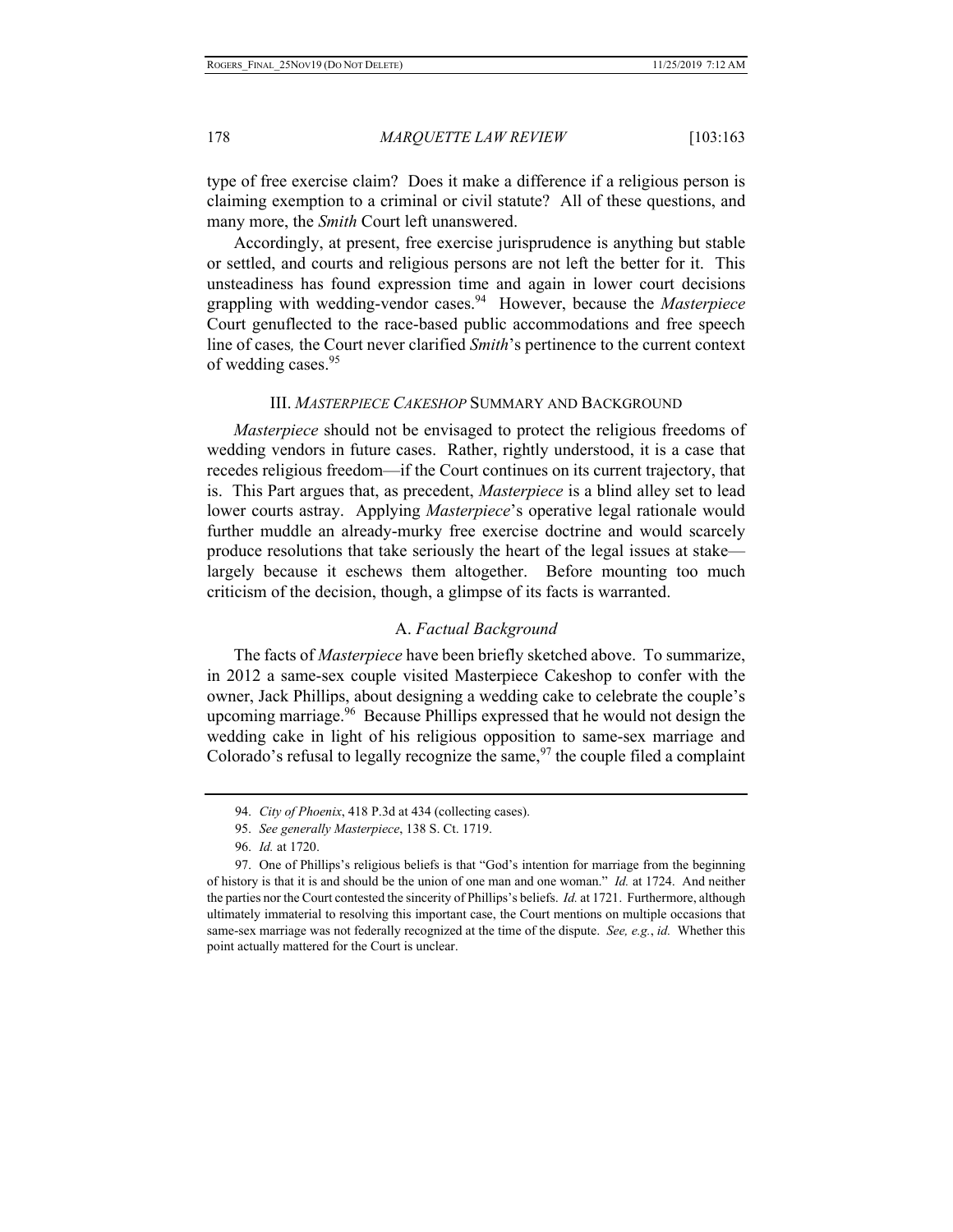type of free exercise claim? Does it make a difference if a religious person is claiming exemption to a criminal or civil statute? All of these questions, and many more, the *Smith* Court left unanswered.

Accordingly, at present, free exercise jurisprudence is anything but stable or settled, and courts and religious persons are not left the better for it. This unsteadiness has found expression time and again in lower court decisions grappling with wedding-vendor cases.94 However, because the *Masterpiece*  Court genuflected to the race-based public accommodations and free speech line of cases*,* the Court never clarified *Smith*'s pertinence to the current context of wedding cases.<sup>95</sup>

#### III. *MASTERPIECE CAKESHOP* SUMMARY AND BACKGROUND

*Masterpiece* should not be envisaged to protect the religious freedoms of wedding vendors in future cases. Rather, rightly understood, it is a case that recedes religious freedom—if the Court continues on its current trajectory, that is. This Part argues that, as precedent, *Masterpiece* is a blind alley set to lead lower courts astray. Applying *Masterpiece*'s operative legal rationale would further muddle an already-murky free exercise doctrine and would scarcely produce resolutions that take seriously the heart of the legal issues at stake largely because it eschews them altogether. Before mounting too much criticism of the decision, though, a glimpse of its facts is warranted.

# A. *Factual Background*

The facts of *Masterpiece* have been briefly sketched above. To summarize, in 2012 a same-sex couple visited Masterpiece Cakeshop to confer with the owner, Jack Phillips, about designing a wedding cake to celebrate the couple's upcoming marriage. $96$  Because Phillips expressed that he would not design the wedding cake in light of his religious opposition to same-sex marriage and Colorado's refusal to legally recognize the same,  $97$  the couple filed a complaint

<sup>94.</sup> *City of Phoenix*, 418 P.3d at 434 (collecting cases).

<sup>95.</sup> *See generally Masterpiece*, 138 S. Ct. 1719.

<sup>96.</sup> *Id.* at 1720.

<sup>97.</sup> One of Phillips's religious beliefs is that "God's intention for marriage from the beginning of history is that it is and should be the union of one man and one woman." *Id.* at 1724. And neither the parties nor the Court contested the sincerity of Phillips's beliefs. *Id.* at 1721. Furthermore, although ultimately immaterial to resolving this important case, the Court mentions on multiple occasions that same-sex marriage was not federally recognized at the time of the dispute. *See, e.g.*, *id.* Whether this point actually mattered for the Court is unclear.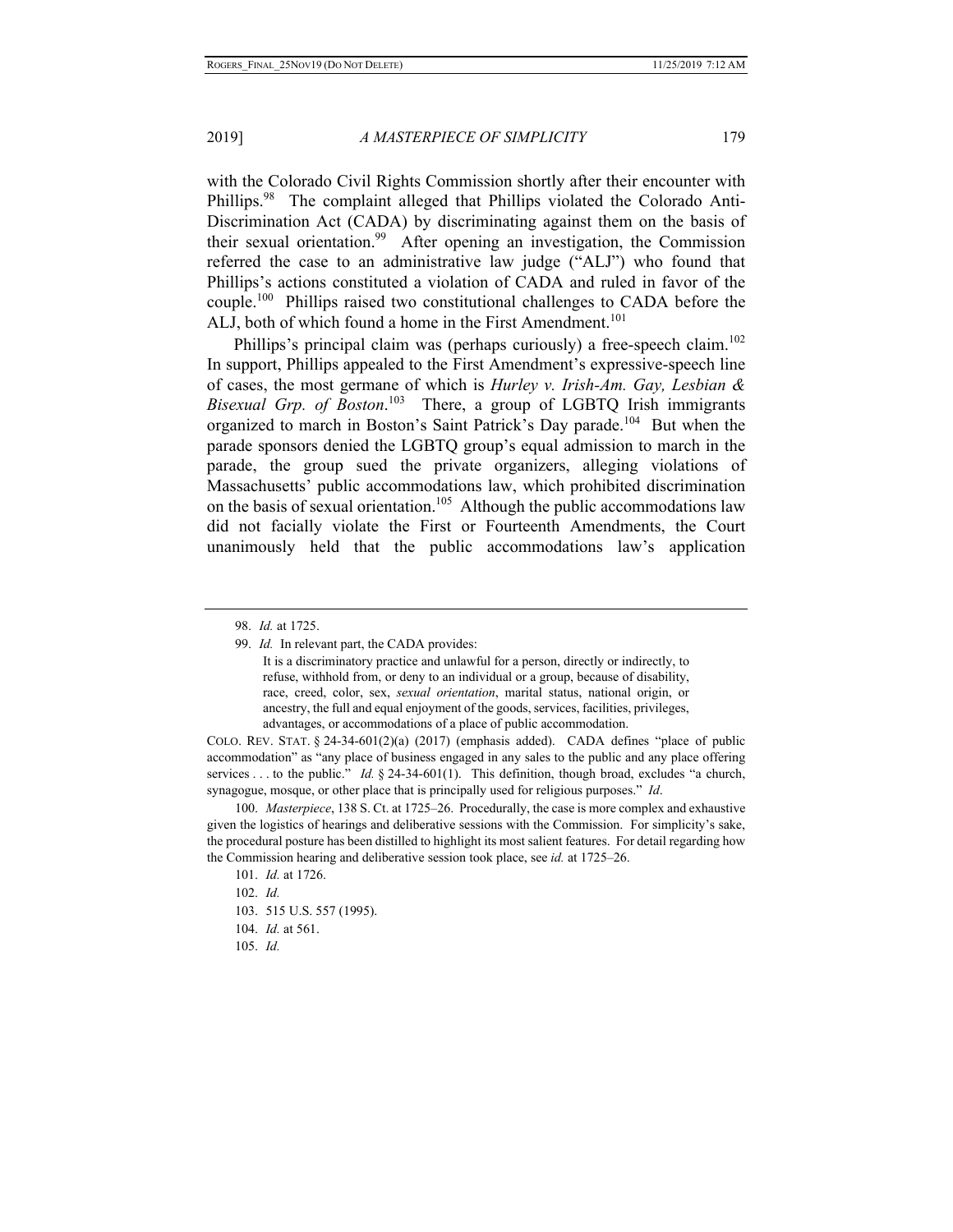with the Colorado Civil Rights Commission shortly after their encounter with Phillips.<sup>98</sup> The complaint alleged that Phillips violated the Colorado Anti-Discrimination Act (CADA) by discriminating against them on the basis of their sexual orientation.<sup>99</sup> After opening an investigation, the Commission referred the case to an administrative law judge ("ALJ") who found that Phillips's actions constituted a violation of CADA and ruled in favor of the couple.<sup>100</sup> Phillips raised two constitutional challenges to CADA before the ALJ, both of which found a home in the First Amendment.<sup>101</sup>

Phillips's principal claim was (perhaps curiously) a free-speech claim.<sup>102</sup> In support, Phillips appealed to the First Amendment's expressive-speech line of cases, the most germane of which is *Hurley v. Irish-Am. Gay, Lesbian & Bisexual Grp. of Boston*. 103 There, a group of LGBTQ Irish immigrants organized to march in Boston's Saint Patrick's Day parade.<sup>104</sup> But when the parade sponsors denied the LGBTQ group's equal admission to march in the parade, the group sued the private organizers, alleging violations of Massachusetts' public accommodations law, which prohibited discrimination on the basis of sexual orientation.<sup>105</sup> Although the public accommodations law did not facially violate the First or Fourteenth Amendments, the Court unanimously held that the public accommodations law's application

COLO. REV. STAT.  $\S$  24-34-601(2)(a) (2017) (emphasis added). CADA defines "place of public accommodation" as "any place of business engaged in any sales to the public and any place offering services . . . to the public." *Id.* § 24-34-601(1). This definition, though broad, excludes "a church, synagogue, mosque, or other place that is principally used for religious purposes." *Id*.

100. *Masterpiece*, 138 S. Ct. at 1725–26. Procedurally, the case is more complex and exhaustive given the logistics of hearings and deliberative sessions with the Commission. For simplicity's sake, the procedural posture has been distilled to highlight its most salient features. For detail regarding how the Commission hearing and deliberative session took place, see *id.* at 1725–26.

- 103. 515 U.S. 557 (1995).
- 104. *Id.* at 561.
- 105. *Id.*

<sup>98.</sup> *Id.* at 1725.

<sup>99.</sup> *Id.* In relevant part, the CADA provides:

It is a discriminatory practice and unlawful for a person, directly or indirectly, to refuse, withhold from, or deny to an individual or a group, because of disability, race, creed, color, sex, *sexual orientation*, marital status, national origin, or ancestry, the full and equal enjoyment of the goods, services, facilities, privileges, advantages, or accommodations of a place of public accommodation.

<sup>101.</sup> *Id.* at 1726.

<sup>102.</sup> *Id.*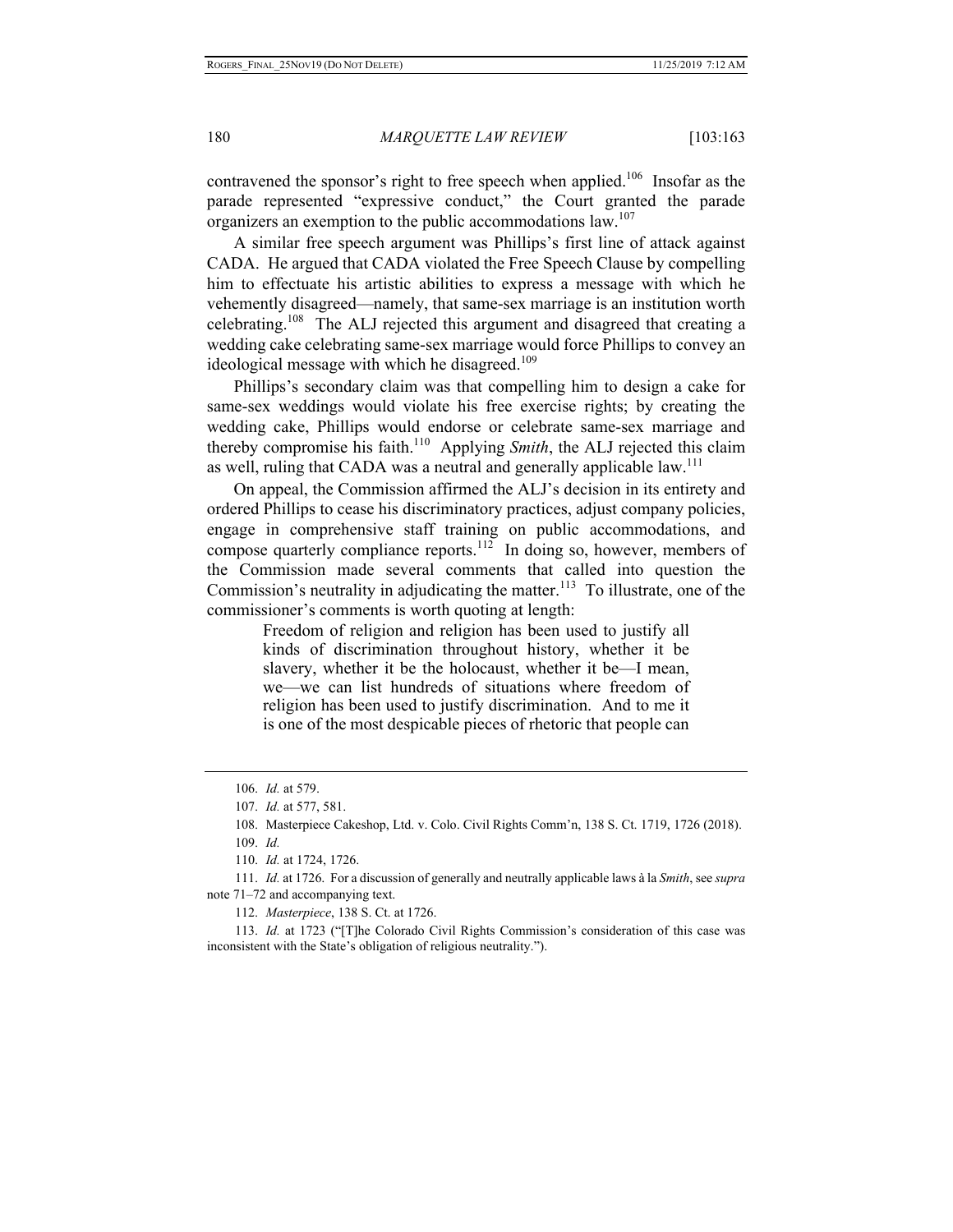contravened the sponsor's right to free speech when applied.<sup>106</sup> Insofar as the parade represented "expressive conduct," the Court granted the parade organizers an exemption to the public accommodations law.<sup>107</sup>

A similar free speech argument was Phillips's first line of attack against CADA. He argued that CADA violated the Free Speech Clause by compelling him to effectuate his artistic abilities to express a message with which he vehemently disagreed—namely, that same-sex marriage is an institution worth celebrating.<sup>108</sup> The ALJ rejected this argument and disagreed that creating a wedding cake celebrating same-sex marriage would force Phillips to convey an ideological message with which he disagreed.<sup>109</sup>

Phillips's secondary claim was that compelling him to design a cake for same-sex weddings would violate his free exercise rights; by creating the wedding cake, Phillips would endorse or celebrate same-sex marriage and thereby compromise his faith.<sup>110</sup> Applying *Smith*, the ALJ rejected this claim as well, ruling that CADA was a neutral and generally applicable law.<sup>111</sup>

On appeal, the Commission affirmed the ALJ's decision in its entirety and ordered Phillips to cease his discriminatory practices, adjust company policies, engage in comprehensive staff training on public accommodations, and compose quarterly compliance reports.<sup>112</sup> In doing so, however, members of the Commission made several comments that called into question the Commission's neutrality in adjudicating the matter.<sup>113</sup> To illustrate, one of the commissioner's comments is worth quoting at length:

> Freedom of religion and religion has been used to justify all kinds of discrimination throughout history, whether it be slavery, whether it be the holocaust, whether it be—I mean, we—we can list hundreds of situations where freedom of religion has been used to justify discrimination. And to me it is one of the most despicable pieces of rhetoric that people can

111. *Id.* at 1726. For a discussion of generally and neutrally applicable laws à la *Smith*, see *supra*  note 71–72 and accompanying text.

112. *Masterpiece*, 138 S. Ct. at 1726.

113. *Id.* at 1723 ("[T]he Colorado Civil Rights Commission's consideration of this case was inconsistent with the State's obligation of religious neutrality.").

<sup>106.</sup> *Id.* at 579.

<sup>107.</sup> *Id.* at 577, 581.

<sup>108.</sup> Masterpiece Cakeshop, Ltd. v. Colo. Civil Rights Comm'n, 138 S. Ct. 1719, 1726 (2018).

<sup>109.</sup> *Id.*

<sup>110.</sup> *Id.* at 1724, 1726.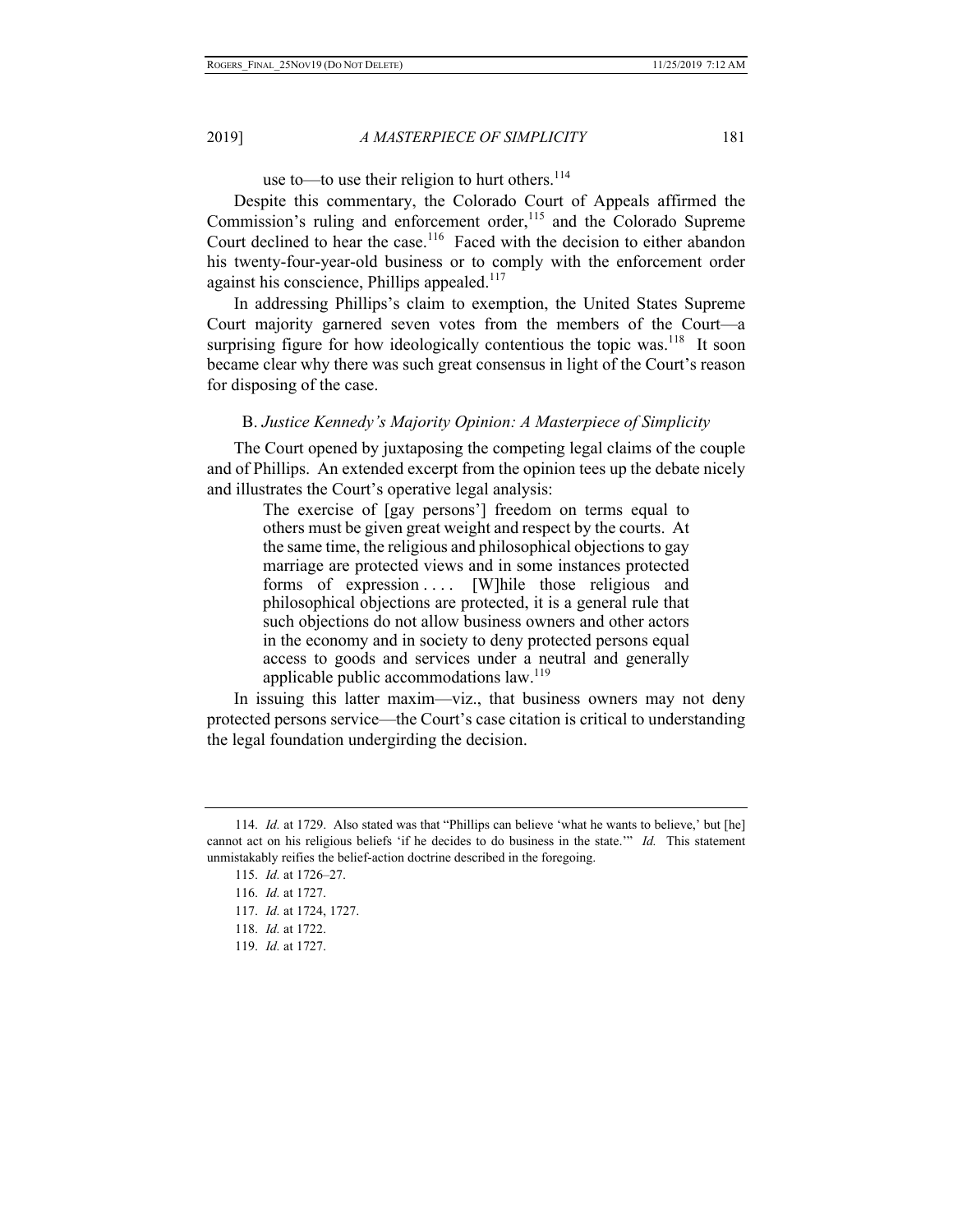# use to—to use their religion to hurt others. $114$

Despite this commentary, the Colorado Court of Appeals affirmed the Commission's ruling and enforcement order,<sup>115</sup> and the Colorado Supreme Court declined to hear the case.<sup>116</sup> Faced with the decision to either abandon his twenty-four-year-old business or to comply with the enforcement order against his conscience, Phillips appealed.<sup>117</sup>

In addressing Phillips's claim to exemption, the United States Supreme Court majority garnered seven votes from the members of the Court—a surprising figure for how ideologically contentious the topic was.<sup>118</sup> It soon became clear why there was such great consensus in light of the Court's reason for disposing of the case.

#### B. *Justice Kennedy's Majority Opinion: A Masterpiece of Simplicity*

The Court opened by juxtaposing the competing legal claims of the couple and of Phillips. An extended excerpt from the opinion tees up the debate nicely and illustrates the Court's operative legal analysis:

> The exercise of [gay persons'] freedom on terms equal to others must be given great weight and respect by the courts. At the same time, the religious and philosophical objections to gay marriage are protected views and in some instances protected forms of expression .... [W]hile those religious and philosophical objections are protected, it is a general rule that such objections do not allow business owners and other actors in the economy and in society to deny protected persons equal access to goods and services under a neutral and generally applicable public accommodations law.<sup>119</sup>

In issuing this latter maxim—viz., that business owners may not deny protected persons service—the Court's case citation is critical to understanding the legal foundation undergirding the decision.

<sup>114.</sup> *Id.* at 1729. Also stated was that "Phillips can believe 'what he wants to believe,' but [he] cannot act on his religious beliefs 'if he decides to do business in the state.'" *Id.* This statement unmistakably reifies the belief-action doctrine described in the foregoing.

<sup>115.</sup> *Id.* at 1726–27.

<sup>116.</sup> *Id.* at 1727.

<sup>117.</sup> *Id.* at 1724, 1727.

<sup>118.</sup> *Id.* at 1722.

<sup>119.</sup> *Id.* at 1727.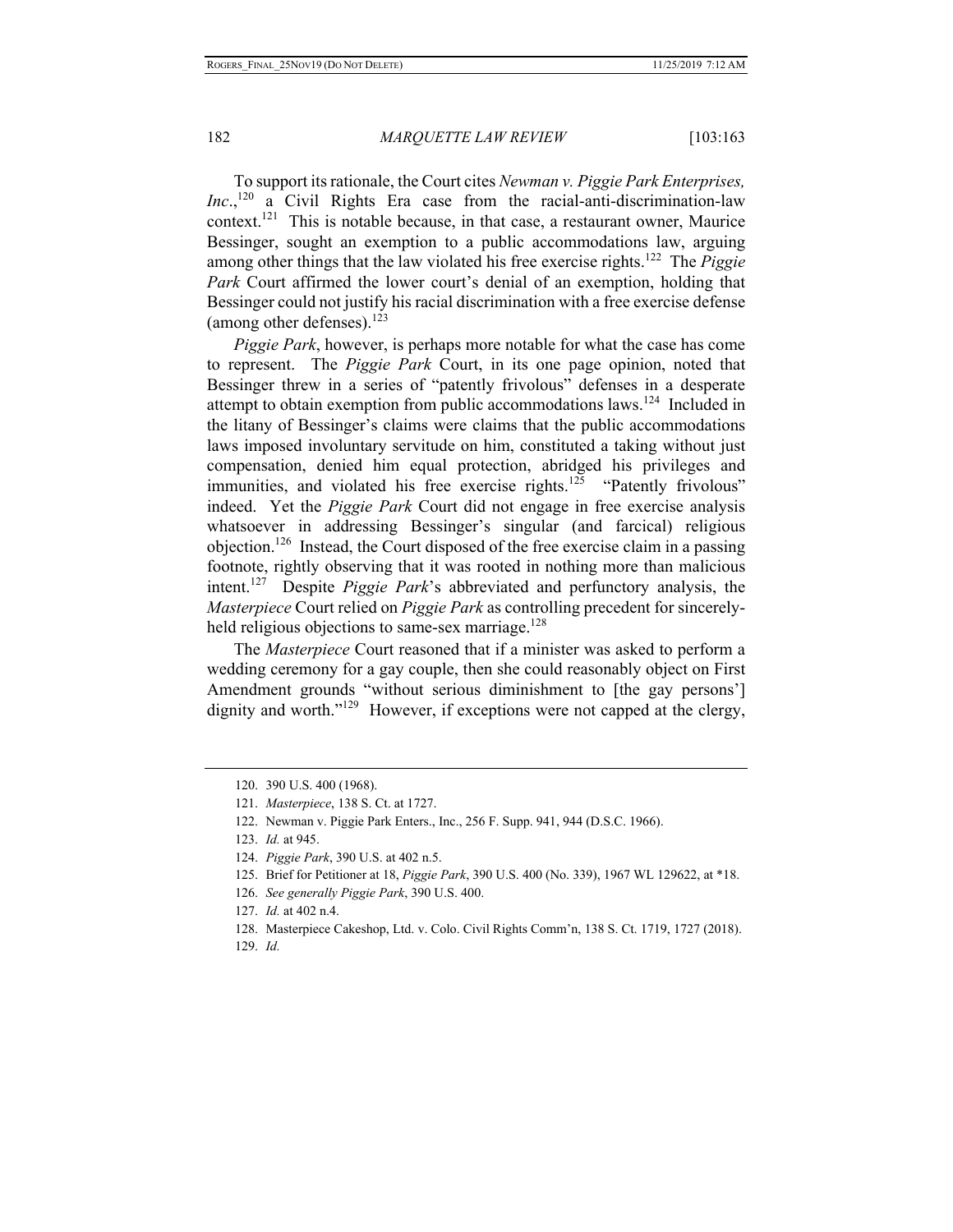To support its rationale, the Court cites *Newman v. Piggie Park Enterprises, Inc.*,<sup>120</sup> a Civil Rights Era case from the racial-anti-discrimination-law context.<sup>121</sup> This is notable because, in that case, a restaurant owner, Maurice Bessinger, sought an exemption to a public accommodations law, arguing among other things that the law violated his free exercise rights.122 The *Piggie Park* Court affirmed the lower court's denial of an exemption, holding that Bessinger could not justify his racial discrimination with a free exercise defense (among other defenses). $123$ 

*Piggie Park*, however, is perhaps more notable for what the case has come to represent. The *Piggie Park* Court, in its one page opinion, noted that Bessinger threw in a series of "patently frivolous" defenses in a desperate attempt to obtain exemption from public accommodations laws.<sup>124</sup> Included in the litany of Bessinger's claims were claims that the public accommodations laws imposed involuntary servitude on him, constituted a taking without just compensation, denied him equal protection, abridged his privileges and immunities, and violated his free exercise rights.<sup>125</sup> "Patently frivolous" indeed. Yet the *Piggie Park* Court did not engage in free exercise analysis whatsoever in addressing Bessinger's singular (and farcical) religious objection.<sup>126</sup> Instead, the Court disposed of the free exercise claim in a passing footnote, rightly observing that it was rooted in nothing more than malicious intent.127 Despite *Piggie Park*'s abbreviated and perfunctory analysis, the *Masterpiece* Court relied on *Piggie Park* as controlling precedent for sincerelyheld religious objections to same-sex marriage.<sup>128</sup>

The *Masterpiece* Court reasoned that if a minister was asked to perform a wedding ceremony for a gay couple, then she could reasonably object on First Amendment grounds "without serious diminishment to [the gay persons'] dignity and worth."<sup>129</sup> However, if exceptions were not capped at the clergy,

125. Brief for Petitioner at 18, *Piggie Park*, 390 U.S. 400 (No. 339), 1967 WL 129622, at \*18.

126. *See generally Piggie Park*, 390 U.S. 400.

129. *Id.*

<sup>120. 390</sup> U.S. 400 (1968).

<sup>121.</sup> *Masterpiece*, 138 S. Ct. at 1727.

<sup>122.</sup> Newman v. Piggie Park Enters., Inc., 256 F. Supp. 941, 944 (D.S.C. 1966).

<sup>123.</sup> *Id.* at 945.

<sup>124.</sup> *Piggie Park*, 390 U.S. at 402 n.5.

<sup>127.</sup> *Id.* at 402 n.4.

<sup>128.</sup> Masterpiece Cakeshop, Ltd. v. Colo. Civil Rights Comm'n, 138 S. Ct. 1719, 1727 (2018).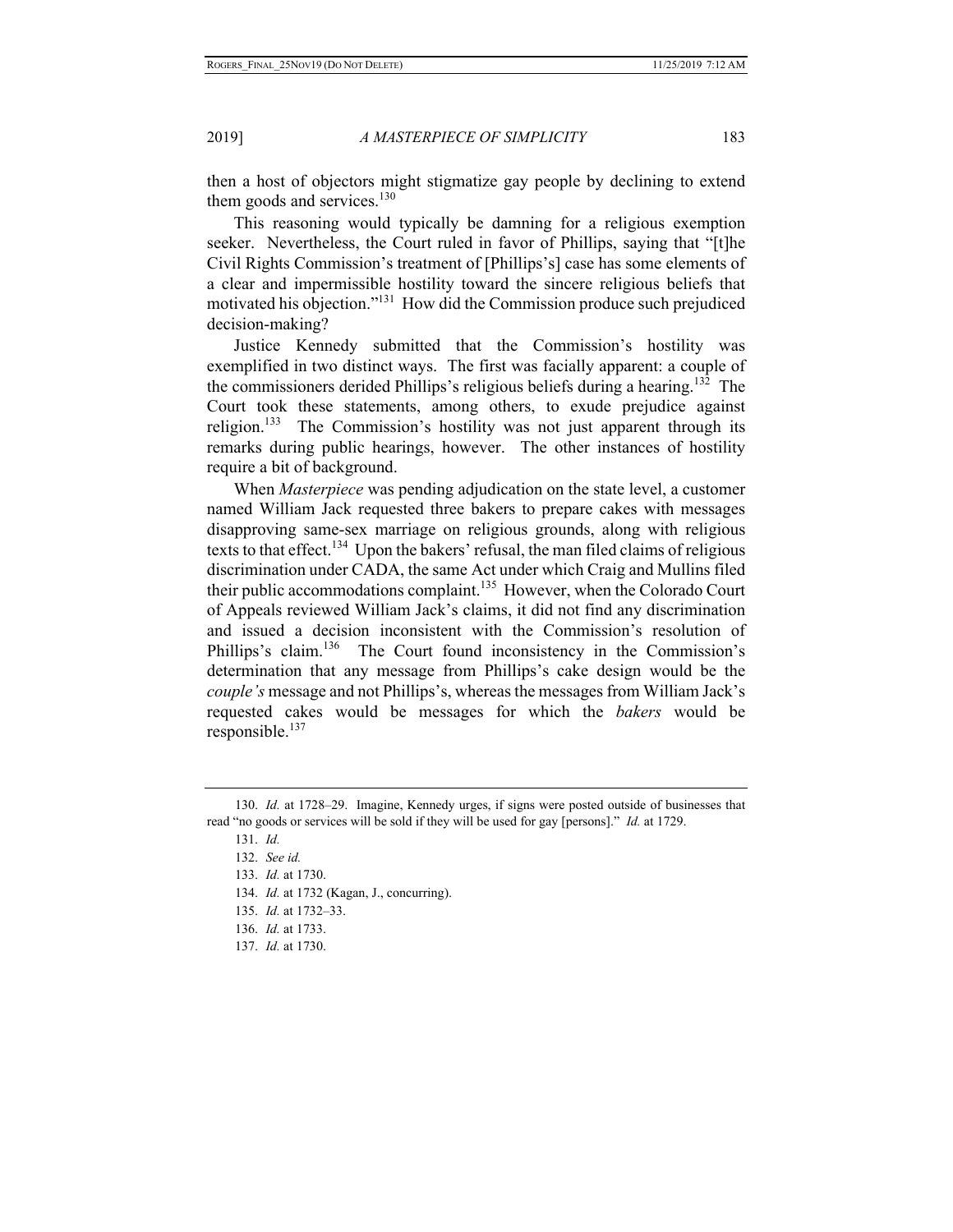then a host of objectors might stigmatize gay people by declining to extend them goods and services. $130$ 

This reasoning would typically be damning for a religious exemption seeker. Nevertheless, the Court ruled in favor of Phillips, saying that "[t]he Civil Rights Commission's treatment of [Phillips's] case has some elements of a clear and impermissible hostility toward the sincere religious beliefs that motivated his objection."<sup>131</sup> How did the Commission produce such prejudiced decision-making?

Justice Kennedy submitted that the Commission's hostility was exemplified in two distinct ways. The first was facially apparent: a couple of the commissioners derided Phillips's religious beliefs during a hearing.<sup>132</sup> The Court took these statements, among others, to exude prejudice against religion.<sup>133</sup> The Commission's hostility was not just apparent through its remarks during public hearings, however. The other instances of hostility require a bit of background.

When *Masterpiece* was pending adjudication on the state level, a customer named William Jack requested three bakers to prepare cakes with messages disapproving same-sex marriage on religious grounds, along with religious texts to that effect.<sup>134</sup> Upon the bakers' refusal, the man filed claims of religious discrimination under CADA, the same Act under which Craig and Mullins filed their public accommodations complaint.<sup>135</sup> However, when the Colorado Court of Appeals reviewed William Jack's claims, it did not find any discrimination and issued a decision inconsistent with the Commission's resolution of Phillips's claim.<sup>136</sup> The Court found inconsistency in the Commission's determination that any message from Phillips's cake design would be the *couple's* message and not Phillips's, whereas the messages from William Jack's requested cakes would be messages for which the *bakers* would be responsible. $137$ 

- 135. *Id.* at 1732–33.
- 136. *Id.* at 1733.
- 137. *Id.* at 1730.

<sup>130.</sup> *Id.* at 1728–29. Imagine, Kennedy urges, if signs were posted outside of businesses that read "no goods or services will be sold if they will be used for gay [persons]." *Id.* at 1729.

<sup>131.</sup> *Id.* 

<sup>132.</sup> *See id.*

<sup>133.</sup> *Id.* at 1730.

<sup>134.</sup> *Id.* at 1732 (Kagan, J., concurring).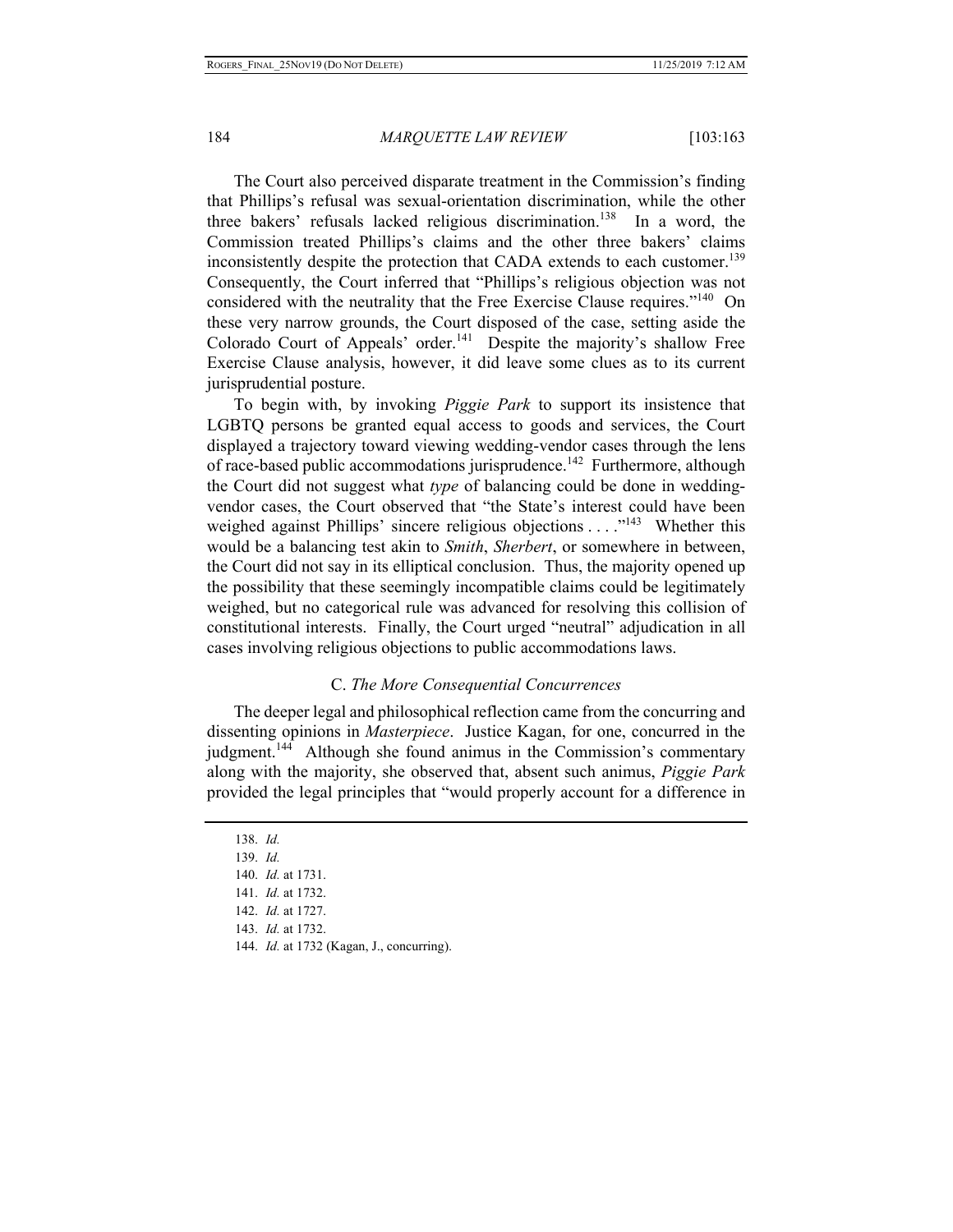The Court also perceived disparate treatment in the Commission's finding that Phillips's refusal was sexual-orientation discrimination, while the other three bakers' refusals lacked religious discrimination.<sup>138</sup> In a word, the Commission treated Phillips's claims and the other three bakers' claims inconsistently despite the protection that CADA extends to each customer.<sup>139</sup> Consequently, the Court inferred that "Phillips's religious objection was not considered with the neutrality that the Free Exercise Clause requires."<sup>140</sup> On these very narrow grounds, the Court disposed of the case, setting aside the Colorado Court of Appeals' order.<sup>141</sup> Despite the majority's shallow Free Exercise Clause analysis, however, it did leave some clues as to its current jurisprudential posture.

To begin with, by invoking *Piggie Park* to support its insistence that LGBTQ persons be granted equal access to goods and services, the Court displayed a trajectory toward viewing wedding-vendor cases through the lens of race-based public accommodations jurisprudence.<sup>142</sup> Furthermore, although the Court did not suggest what *type* of balancing could be done in weddingvendor cases, the Court observed that "the State's interest could have been weighed against Phillips' sincere religious objections . . . . .<sup>143</sup> Whether this would be a balancing test akin to *Smith*, *Sherbert*, or somewhere in between, the Court did not say in its elliptical conclusion. Thus, the majority opened up the possibility that these seemingly incompatible claims could be legitimately weighed, but no categorical rule was advanced for resolving this collision of constitutional interests. Finally, the Court urged "neutral" adjudication in all cases involving religious objections to public accommodations laws.

#### C. *The More Consequential Concurrences*

The deeper legal and philosophical reflection came from the concurring and dissenting opinions in *Masterpiece*. Justice Kagan, for one, concurred in the judgment.<sup>144</sup> Although she found animus in the Commission's commentary along with the majority, she observed that, absent such animus, *Piggie Park*  provided the legal principles that "would properly account for a difference in

138. *Id.*  139. *Id.*  140. *Id.* at 1731. 141. *Id.* at 1732. 142. *Id.* at 1727. 143. *Id.* at 1732.

<sup>144.</sup> *Id.* at 1732 (Kagan, J., concurring).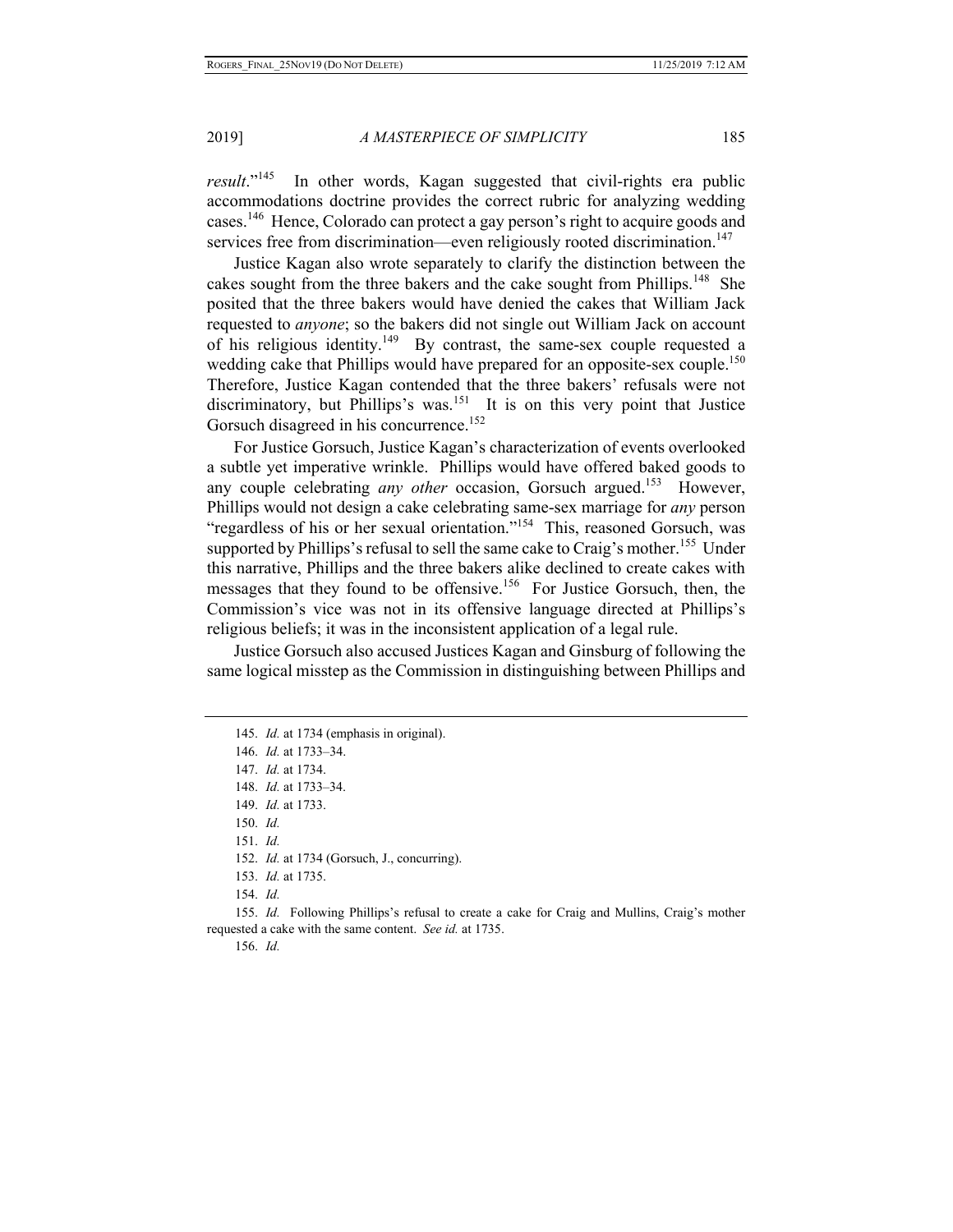*result*."<sup>145</sup> In other words, Kagan suggested that civil-rights era public accommodations doctrine provides the correct rubric for analyzing wedding cases.<sup>146</sup> Hence, Colorado can protect a gay person's right to acquire goods and services free from discrimination—even religiously rooted discrimination.<sup>147</sup>

Justice Kagan also wrote separately to clarify the distinction between the cakes sought from the three bakers and the cake sought from Phillips.<sup>148</sup> She posited that the three bakers would have denied the cakes that William Jack requested to *anyone*; so the bakers did not single out William Jack on account of his religious identity.149 By contrast, the same-sex couple requested a wedding cake that Phillips would have prepared for an opposite-sex couple.<sup>150</sup> Therefore, Justice Kagan contended that the three bakers' refusals were not discriminatory, but Phillips's was.<sup>151</sup> It is on this very point that Justice Gorsuch disagreed in his concurrence.<sup>152</sup>

For Justice Gorsuch, Justice Kagan's characterization of events overlooked a subtle yet imperative wrinkle. Phillips would have offered baked goods to any couple celebrating *any other* occasion, Gorsuch argued.<sup>153</sup> However, Phillips would not design a cake celebrating same-sex marriage for *any* person "regardless of his or her sexual orientation."<sup>154</sup> This, reasoned Gorsuch, was supported by Phillips's refusal to sell the same cake to Craig's mother.<sup>155</sup> Under this narrative, Phillips and the three bakers alike declined to create cakes with messages that they found to be offensive.<sup>156</sup> For Justice Gorsuch, then, the Commission's vice was not in its offensive language directed at Phillips's religious beliefs; it was in the inconsistent application of a legal rule.

Justice Gorsuch also accused Justices Kagan and Ginsburg of following the same logical misstep as the Commission in distinguishing between Phillips and

151. *Id.* 

152. *Id.* at 1734 (Gorsuch, J., concurring).

155. *Id.* Following Phillips's refusal to create a cake for Craig and Mullins, Craig's mother requested a cake with the same content. *See id.* at 1735.

156. *Id.*

<sup>145.</sup> *Id.* at 1734 (emphasis in original).

<sup>146.</sup> *Id.* at 1733–34.

<sup>147.</sup> *Id.* at 1734.

<sup>148.</sup> *Id.* at 1733–34.

<sup>149.</sup> *Id.* at 1733.

<sup>150.</sup> *Id.* 

<sup>153.</sup> *Id.* at 1735.

<sup>154.</sup> *Id.*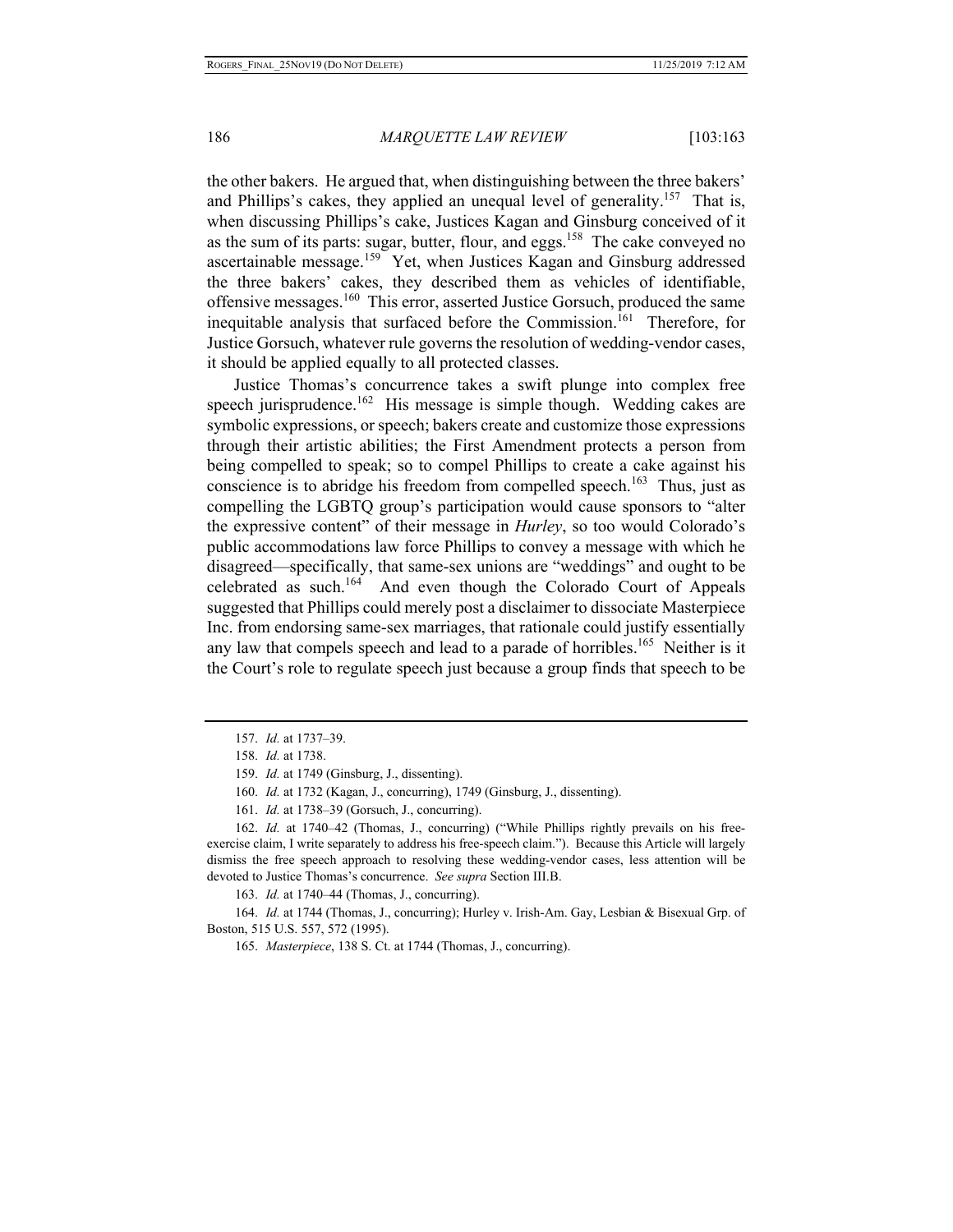the other bakers. He argued that, when distinguishing between the three bakers' and Phillips's cakes, they applied an unequal level of generality.<sup>157</sup> That is, when discussing Phillips's cake, Justices Kagan and Ginsburg conceived of it as the sum of its parts: sugar, butter, flour, and eggs.<sup>158</sup> The cake conveyed no ascertainable message.<sup>159</sup> Yet, when Justices Kagan and Ginsburg addressed the three bakers' cakes, they described them as vehicles of identifiable, offensive messages.<sup>160</sup> This error, asserted Justice Gorsuch, produced the same inequitable analysis that surfaced before the Commission.<sup>161</sup> Therefore, for Justice Gorsuch, whatever rule governs the resolution of wedding-vendor cases, it should be applied equally to all protected classes.

Justice Thomas's concurrence takes a swift plunge into complex free speech jurisprudence.<sup>162</sup> His message is simple though. Wedding cakes are symbolic expressions, or speech; bakers create and customize those expressions through their artistic abilities; the First Amendment protects a person from being compelled to speak; so to compel Phillips to create a cake against his conscience is to abridge his freedom from compelled speech.<sup>163</sup> Thus, just as compelling the LGBTQ group's participation would cause sponsors to "alter the expressive content" of their message in *Hurley*, so too would Colorado's public accommodations law force Phillips to convey a message with which he disagreed—specifically, that same-sex unions are "weddings" and ought to be celebrated as such.<sup>164</sup> And even though the Colorado Court of Appeals suggested that Phillips could merely post a disclaimer to dissociate Masterpiece Inc. from endorsing same-sex marriages, that rationale could justify essentially any law that compels speech and lead to a parade of horribles.<sup>165</sup> Neither is it the Court's role to regulate speech just because a group finds that speech to be

163. *Id.* at 1740–44 (Thomas, J., concurring).

164. *Id.* at 1744 (Thomas, J., concurring); Hurley v. Irish-Am. Gay, Lesbian & Bisexual Grp. of Boston, 515 U.S. 557, 572 (1995).

<sup>157.</sup> *Id.* at 1737–39.

<sup>158.</sup> *Id.* at 1738.

<sup>159.</sup> *Id.* at 1749 (Ginsburg, J., dissenting).

<sup>160.</sup> *Id.* at 1732 (Kagan, J., concurring), 1749 (Ginsburg, J., dissenting).

<sup>161.</sup> *Id.* at 1738–39 (Gorsuch, J., concurring).

<sup>162.</sup> *Id.* at 1740–42 (Thomas, J., concurring) ("While Phillips rightly prevails on his freeexercise claim, I write separately to address his free-speech claim."). Because this Article will largely dismiss the free speech approach to resolving these wedding-vendor cases, less attention will be devoted to Justice Thomas's concurrence. *See supra* Section III.B.

<sup>165.</sup> *Masterpiece*, 138 S. Ct. at 1744 (Thomas, J., concurring).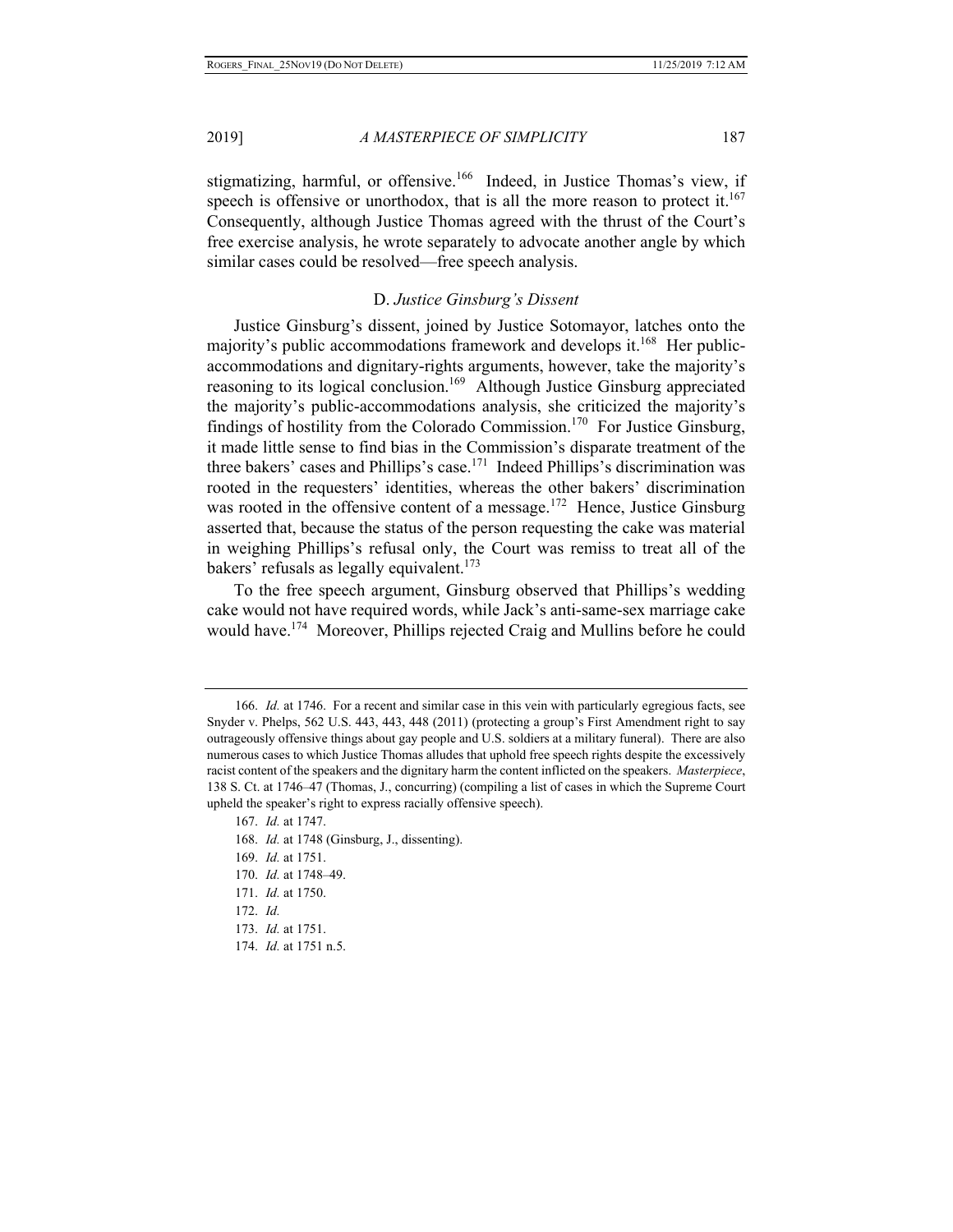stigmatizing, harmful, or offensive.<sup>166</sup> Indeed, in Justice Thomas's view, if speech is offensive or unorthodox, that is all the more reason to protect it.<sup>167</sup> Consequently, although Justice Thomas agreed with the thrust of the Court's free exercise analysis, he wrote separately to advocate another angle by which similar cases could be resolved—free speech analysis.

# D. *Justice Ginsburg's Dissent*

Justice Ginsburg's dissent, joined by Justice Sotomayor, latches onto the majority's public accommodations framework and develops it.<sup>168</sup> Her publicaccommodations and dignitary-rights arguments, however, take the majority's reasoning to its logical conclusion.<sup>169</sup> Although Justice Ginsburg appreciated the majority's public-accommodations analysis, she criticized the majority's findings of hostility from the Colorado Commission.<sup>170</sup> For Justice Ginsburg, it made little sense to find bias in the Commission's disparate treatment of the three bakers' cases and Phillips's case.<sup>171</sup> Indeed Phillips's discrimination was rooted in the requesters' identities, whereas the other bakers' discrimination was rooted in the offensive content of a message.<sup>172</sup> Hence, Justice Ginsburg asserted that, because the status of the person requesting the cake was material in weighing Phillips's refusal only, the Court was remiss to treat all of the bakers' refusals as legally equivalent.<sup>173</sup>

To the free speech argument, Ginsburg observed that Phillips's wedding cake would not have required words, while Jack's anti-same-sex marriage cake would have.<sup>174</sup> Moreover, Phillips rejected Craig and Mullins before he could

<sup>166.</sup> *Id.* at 1746. For a recent and similar case in this vein with particularly egregious facts, see Snyder v. Phelps, 562 U.S. 443, 443, 448 (2011) (protecting a group's First Amendment right to say outrageously offensive things about gay people and U.S. soldiers at a military funeral). There are also numerous cases to which Justice Thomas alludes that uphold free speech rights despite the excessively racist content of the speakers and the dignitary harm the content inflicted on the speakers. *Masterpiece*, 138 S. Ct. at 1746–47 (Thomas, J., concurring) (compiling a list of cases in which the Supreme Court upheld the speaker's right to express racially offensive speech).

<sup>167.</sup> *Id.* at 1747.

<sup>168.</sup> *Id.* at 1748 (Ginsburg, J., dissenting).

<sup>169.</sup> *Id.* at 1751.

<sup>170.</sup> *Id.* at 1748–49.

<sup>171.</sup> *Id.* at 1750.

<sup>172.</sup> *Id.*

<sup>173.</sup> *Id.* at 1751.

<sup>174.</sup> *Id.* at 1751 n.5.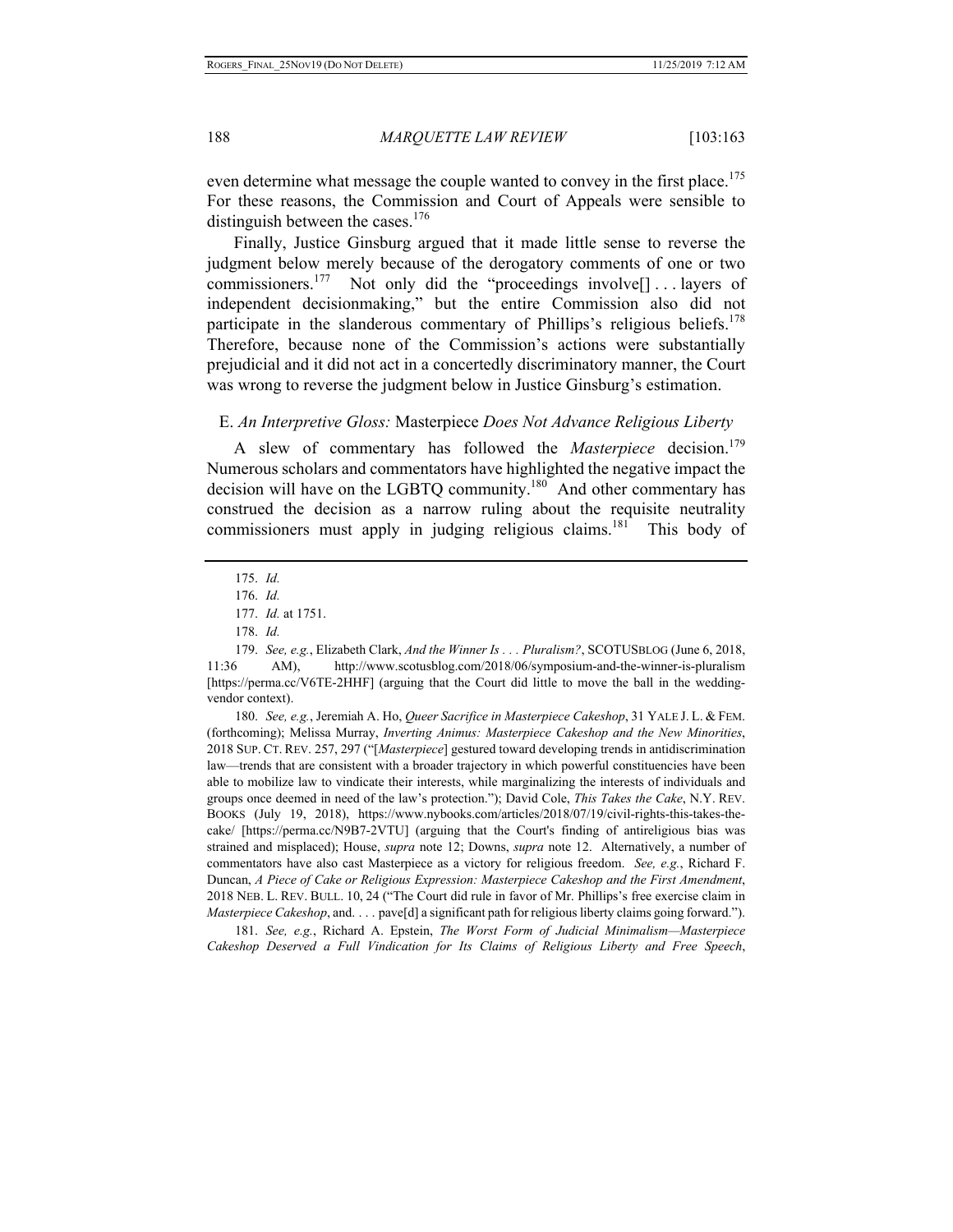even determine what message the couple wanted to convey in the first place.<sup>175</sup> For these reasons, the Commission and Court of Appeals were sensible to distinguish between the cases. $176$ 

Finally, Justice Ginsburg argued that it made little sense to reverse the judgment below merely because of the derogatory comments of one or two commissioners.<sup>177</sup> Not only did the "proceedings involve $[] \dots$  layers of independent decisionmaking," but the entire Commission also did not participate in the slanderous commentary of Phillips's religious beliefs.<sup>178</sup> Therefore, because none of the Commission's actions were substantially prejudicial and it did not act in a concertedly discriminatory manner, the Court was wrong to reverse the judgment below in Justice Ginsburg's estimation.

#### E. *An Interpretive Gloss:* Masterpiece *Does Not Advance Religious Liberty*

A slew of commentary has followed the *Masterpiece* decision.<sup>179</sup> Numerous scholars and commentators have highlighted the negative impact the decision will have on the LGBTQ community.<sup>180</sup> And other commentary has construed the decision as a narrow ruling about the requisite neutrality commissioners must apply in judging religious claims.<sup>181</sup> This body of

179. *See, e.g.*, Elizabeth Clark, *And the Winner Is . . . Pluralism?*, SCOTUSBLOG (June 6, 2018, 11:36 AM), http://www.scotusblog.com/2018/06/symposium-and-the-winner-is-pluralism [https://perma.cc/V6TE-2HHF] (arguing that the Court did little to move the ball in the weddingvendor context).

180. *See, e.g.*, Jeremiah A. Ho, *Queer Sacrifice in Masterpiece Cakeshop*, 31 YALE J. L. & FEM. (forthcoming); Melissa Murray, *Inverting Animus: Masterpiece Cakeshop and the New Minorities*, 2018 SUP. CT. REV. 257, 297 ("[*Masterpiece*] gestured toward developing trends in antidiscrimination law—trends that are consistent with a broader trajectory in which powerful constituencies have been able to mobilize law to vindicate their interests, while marginalizing the interests of individuals and groups once deemed in need of the law's protection."); David Cole, *This Takes the Cake*, N.Y. REV. BOOKS (July 19, 2018), https://www.nybooks.com/articles/2018/07/19/civil-rights-this-takes-thecake/ [https://perma.cc/N9B7-2VTU] (arguing that the Court's finding of antireligious bias was strained and misplaced); House, *supra* note 12; Downs, *supra* note 12. Alternatively, a number of commentators have also cast Masterpiece as a victory for religious freedom. *See, e.g.*, Richard F. Duncan, *A Piece of Cake or Religious Expression: Masterpiece Cakeshop and the First Amendment*, 2018 NEB. L. REV. BULL. 10, 24 ("The Court did rule in favor of Mr. Phillips's free exercise claim in *Masterpiece Cakeshop*, and. . . . pave[d] a significant path for religious liberty claims going forward.").

181. *See, e.g.*, Richard A. Epstein, *The Worst Form of Judicial Minimalism—Masterpiece Cakeshop Deserved a Full Vindication for Its Claims of Religious Liberty and Free Speech*,

<sup>175.</sup> *Id.*

<sup>176.</sup> *Id.*

<sup>177.</sup> *Id.* at 1751.

<sup>178.</sup> *Id.*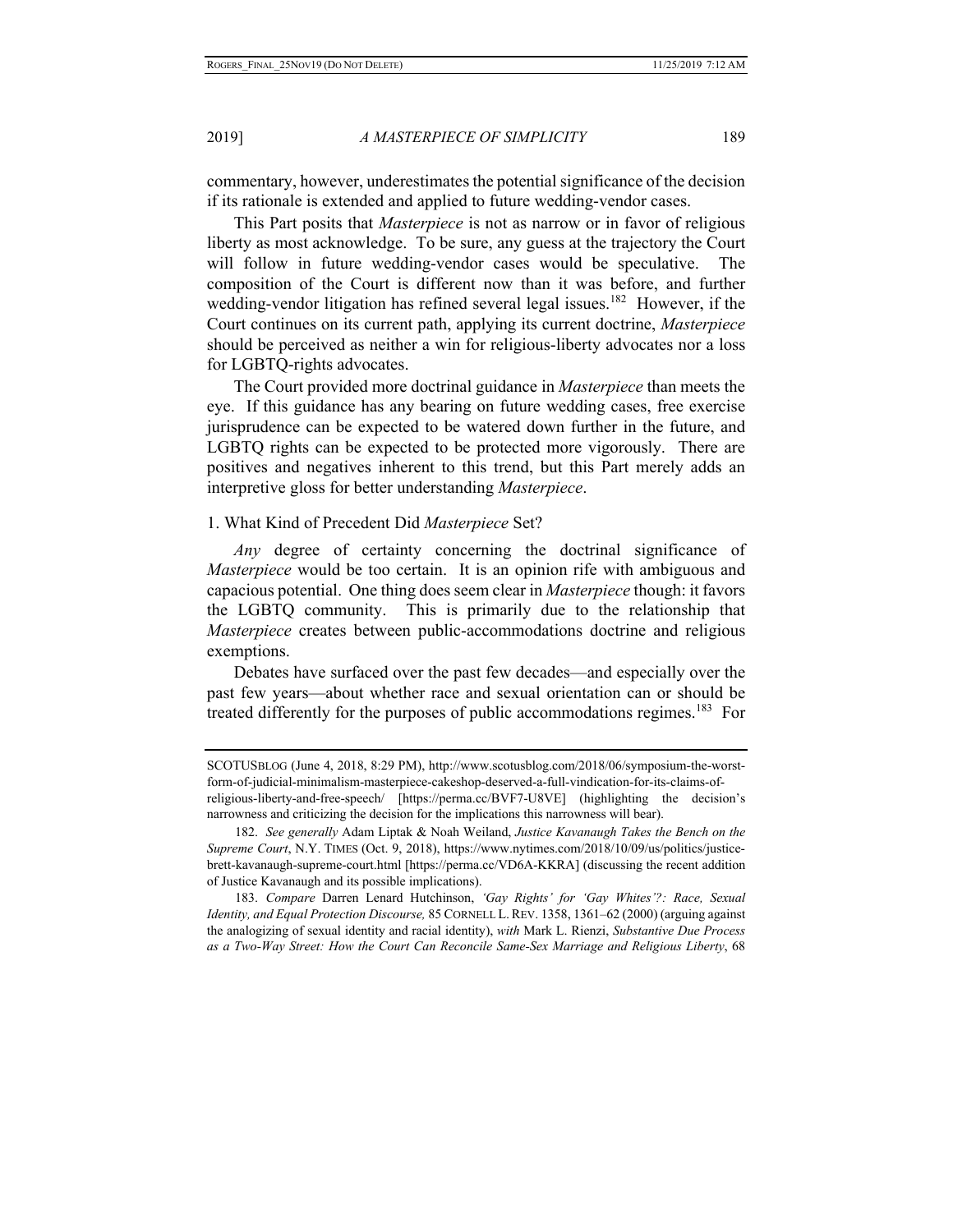commentary, however, underestimates the potential significance of the decision if its rationale is extended and applied to future wedding-vendor cases.

This Part posits that *Masterpiece* is not as narrow or in favor of religious liberty as most acknowledge. To be sure, any guess at the trajectory the Court will follow in future wedding-vendor cases would be speculative. The composition of the Court is different now than it was before, and further wedding-vendor litigation has refined several legal issues.<sup>182</sup> However, if the Court continues on its current path, applying its current doctrine, *Masterpiece*  should be perceived as neither a win for religious-liberty advocates nor a loss for LGBTQ-rights advocates.

The Court provided more doctrinal guidance in *Masterpiece* than meets the eye. If this guidance has any bearing on future wedding cases, free exercise jurisprudence can be expected to be watered down further in the future, and LGBTQ rights can be expected to be protected more vigorously. There are positives and negatives inherent to this trend, but this Part merely adds an interpretive gloss for better understanding *Masterpiece*.

#### 1. What Kind of Precedent Did *Masterpiece* Set?

*Any* degree of certainty concerning the doctrinal significance of *Masterpiece* would be too certain. It is an opinion rife with ambiguous and capacious potential. One thing does seem clear in *Masterpiece* though: it favors the LGBTQ community. This is primarily due to the relationship that *Masterpiece* creates between public-accommodations doctrine and religious exemptions.

Debates have surfaced over the past few decades—and especially over the past few years—about whether race and sexual orientation can or should be treated differently for the purposes of public accommodations regimes.<sup>183</sup> For

183. *Compare* Darren Lenard Hutchinson, *'Gay Rights' for 'Gay Whites'?: Race, Sexual Identity, and Equal Protection Discourse,* 85 CORNELL L.REV. 1358, 1361–62 (2000) (arguing against the analogizing of sexual identity and racial identity), *with* Mark L. Rienzi, *Substantive Due Process as a Two-Way Street: How the Court Can Reconcile Same-Sex Marriage and Religious Liberty*, 68

SCOTUSBLOG (June 4, 2018, 8:29 PM), http://www.scotusblog.com/2018/06/symposium-the-worstform-of-judicial-minimalism-masterpiece-cakeshop-deserved-a-full-vindication-for-its-claims-ofreligious-liberty-and-free-speech/ [https://perma.cc/BVF7-U8VE] (highlighting the decision's

narrowness and criticizing the decision for the implications this narrowness will bear).

<sup>182.</sup> *See generally* Adam Liptak & Noah Weiland, *Justice Kavanaugh Takes the Bench on the Supreme Court*, N.Y. TIMES (Oct. 9, 2018), https://www.nytimes.com/2018/10/09/us/politics/justicebrett-kavanaugh-supreme-court.html [https://perma.cc/VD6A-KKRA] (discussing the recent addition of Justice Kavanaugh and its possible implications).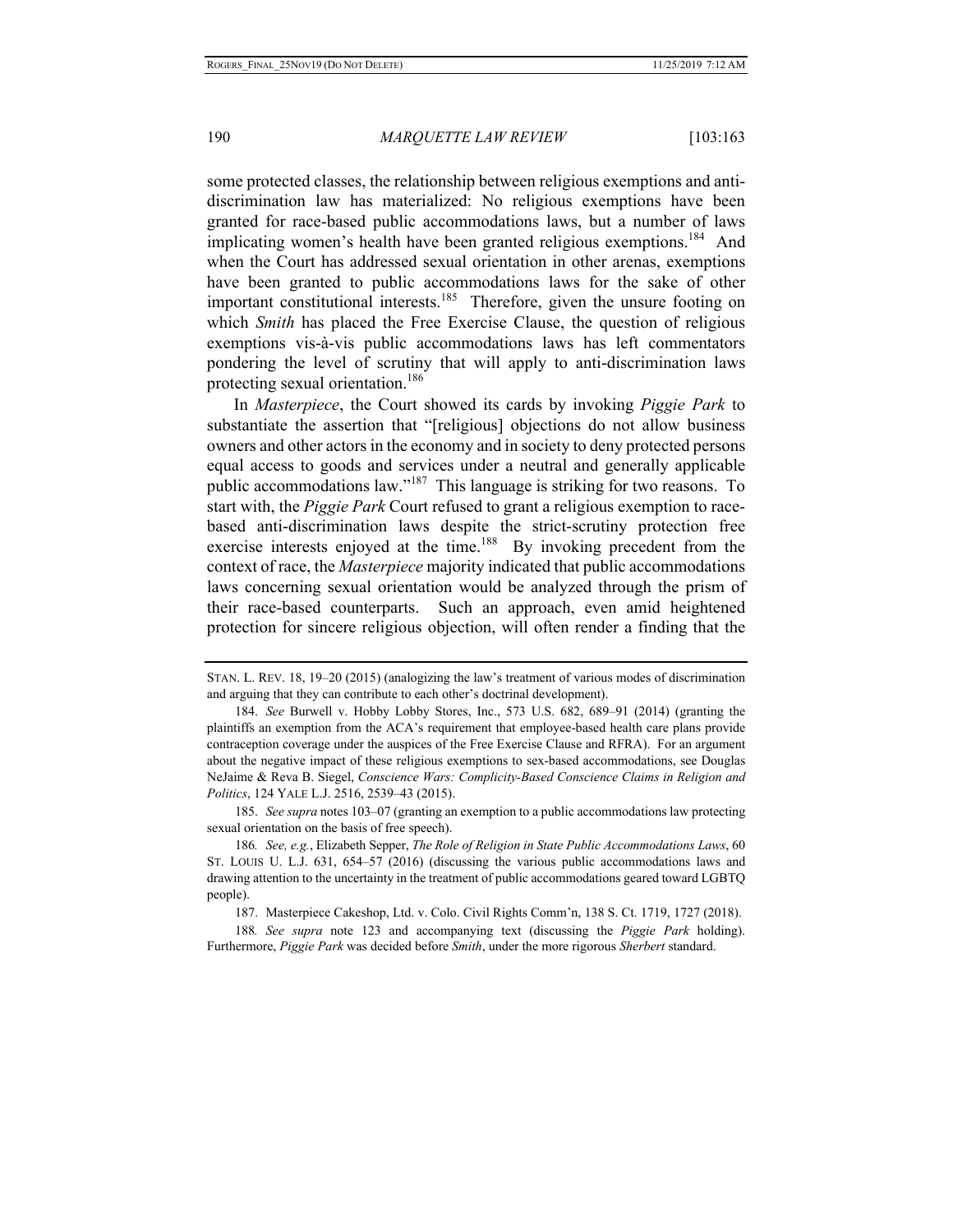some protected classes, the relationship between religious exemptions and antidiscrimination law has materialized: No religious exemptions have been granted for race-based public accommodations laws, but a number of laws implicating women's health have been granted religious exemptions.<sup>184</sup> And when the Court has addressed sexual orientation in other arenas, exemptions have been granted to public accommodations laws for the sake of other important constitutional interests.<sup>185</sup> Therefore, given the unsure footing on which *Smith* has placed the Free Exercise Clause, the question of religious exemptions vis-à-vis public accommodations laws has left commentators pondering the level of scrutiny that will apply to anti-discrimination laws protecting sexual orientation.<sup>186</sup>

In *Masterpiece*, the Court showed its cards by invoking *Piggie Park* to substantiate the assertion that "[religious] objections do not allow business owners and other actors in the economy and in society to deny protected persons equal access to goods and services under a neutral and generally applicable public accommodations law."187 This language is striking for two reasons. To start with, the *Piggie Park* Court refused to grant a religious exemption to racebased anti-discrimination laws despite the strict-scrutiny protection free exercise interests enjoyed at the time.<sup>188</sup> By invoking precedent from the context of race, the *Masterpiece* majority indicated that public accommodations laws concerning sexual orientation would be analyzed through the prism of their race-based counterparts. Such an approach, even amid heightened protection for sincere religious objection, will often render a finding that the

185. *See supra* notes 103–07 (granting an exemption to a public accommodations law protecting sexual orientation on the basis of free speech).

187. Masterpiece Cakeshop, Ltd. v. Colo. Civil Rights Comm'n, 138 S. Ct. 1719, 1727 (2018).

188*. See supra* note 123 and accompanying text (discussing the *Piggie Park* holding). Furthermore, *Piggie Park* was decided before *Smith*, under the more rigorous *Sherbert* standard.

STAN. L. REV. 18, 19–20 (2015) (analogizing the law's treatment of various modes of discrimination and arguing that they can contribute to each other's doctrinal development).

<sup>184.</sup> *See* Burwell v. Hobby Lobby Stores, Inc., 573 U.S. 682, 689–91 (2014) (granting the plaintiffs an exemption from the ACA's requirement that employee-based health care plans provide contraception coverage under the auspices of the Free Exercise Clause and RFRA). For an argument about the negative impact of these religious exemptions to sex-based accommodations, see Douglas NeJaime & Reva B. Siegel, *Conscience Wars: Complicity-Based Conscience Claims in Religion and Politics*, 124 YALE L.J. 2516, 2539–43 (2015).

<sup>186</sup>*. See, e.g.*, Elizabeth Sepper, *The Role of Religion in State Public Accommodations Laws*, 60 ST. LOUIS U. L.J. 631, 654–57 (2016) (discussing the various public accommodations laws and drawing attention to the uncertainty in the treatment of public accommodations geared toward LGBTQ people).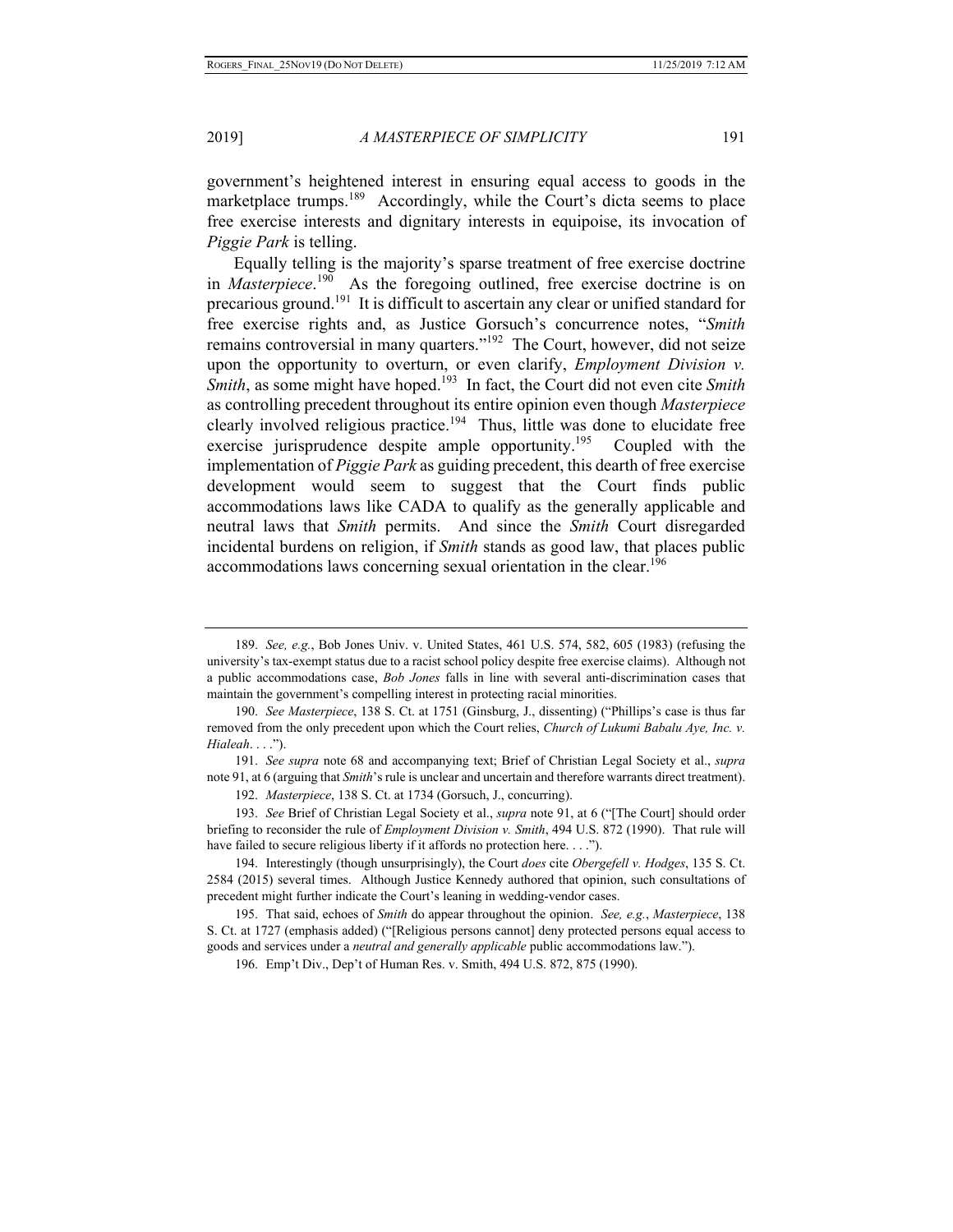government's heightened interest in ensuring equal access to goods in the marketplace trumps.<sup>189</sup> Accordingly, while the Court's dicta seems to place free exercise interests and dignitary interests in equipoise, its invocation of *Piggie Park* is telling.

Equally telling is the majority's sparse treatment of free exercise doctrine in *Masterpiece*. 190 As the foregoing outlined, free exercise doctrine is on precarious ground.191 It is difficult to ascertain any clear or unified standard for free exercise rights and, as Justice Gorsuch's concurrence notes, "*Smith*  remains controversial in many quarters."192 The Court, however, did not seize upon the opportunity to overturn, or even clarify, *Employment Division v. Smith*, as some might have hoped.<sup>193</sup> In fact, the Court did not even cite *Smith* as controlling precedent throughout its entire opinion even though *Masterpiece*  clearly involved religious practice.<sup>194</sup> Thus, little was done to elucidate free exercise jurisprudence despite ample opportunity.<sup>195</sup> Coupled with the implementation of *Piggie Park* as guiding precedent, this dearth of free exercise development would seem to suggest that the Court finds public accommodations laws like CADA to qualify as the generally applicable and neutral laws that *Smith* permits. And since the *Smith* Court disregarded incidental burdens on religion, if *Smith* stands as good law, that places public accommodations laws concerning sexual orientation in the clear.<sup>196</sup>

191. *See supra* note 68 and accompanying text; Brief of Christian Legal Society et al., *supra*  note 91, at 6 (arguing that *Smith*'s rule is unclear and uncertain and therefore warrants direct treatment).

192. *Masterpiece*, 138 S. Ct. at 1734 (Gorsuch, J., concurring).

193. *See* Brief of Christian Legal Society et al., *supra* note 91, at 6 ("[The Court] should order briefing to reconsider the rule of *Employment Division v. Smith*, 494 U.S. 872 (1990). That rule will have failed to secure religious liberty if it affords no protection here. . . .").

194. Interestingly (though unsurprisingly), the Court *does* cite *Obergefell v. Hodges*, 135 S. Ct. 2584 (2015) several times. Although Justice Kennedy authored that opinion, such consultations of precedent might further indicate the Court's leaning in wedding-vendor cases.

195. That said, echoes of *Smith* do appear throughout the opinion. *See, e.g.*, *Masterpiece*, 138 S. Ct. at 1727 (emphasis added) ("[Religious persons cannot] deny protected persons equal access to goods and services under a *neutral and generally applicable* public accommodations law.").

196. Emp't Div., Dep't of Human Res. v. Smith, 494 U.S. 872, 875 (1990).

<sup>189.</sup> *See, e.g.*, Bob Jones Univ. v. United States, 461 U.S. 574, 582, 605 (1983) (refusing the university's tax-exempt status due to a racist school policy despite free exercise claims). Although not a public accommodations case, *Bob Jones* falls in line with several anti-discrimination cases that maintain the government's compelling interest in protecting racial minorities.

<sup>190.</sup> *See Masterpiece*, 138 S. Ct. at 1751 (Ginsburg, J., dissenting) ("Phillips's case is thus far removed from the only precedent upon which the Court relies, *Church of Lukumi Babalu Aye, Inc. v. Hialeah*. . . .").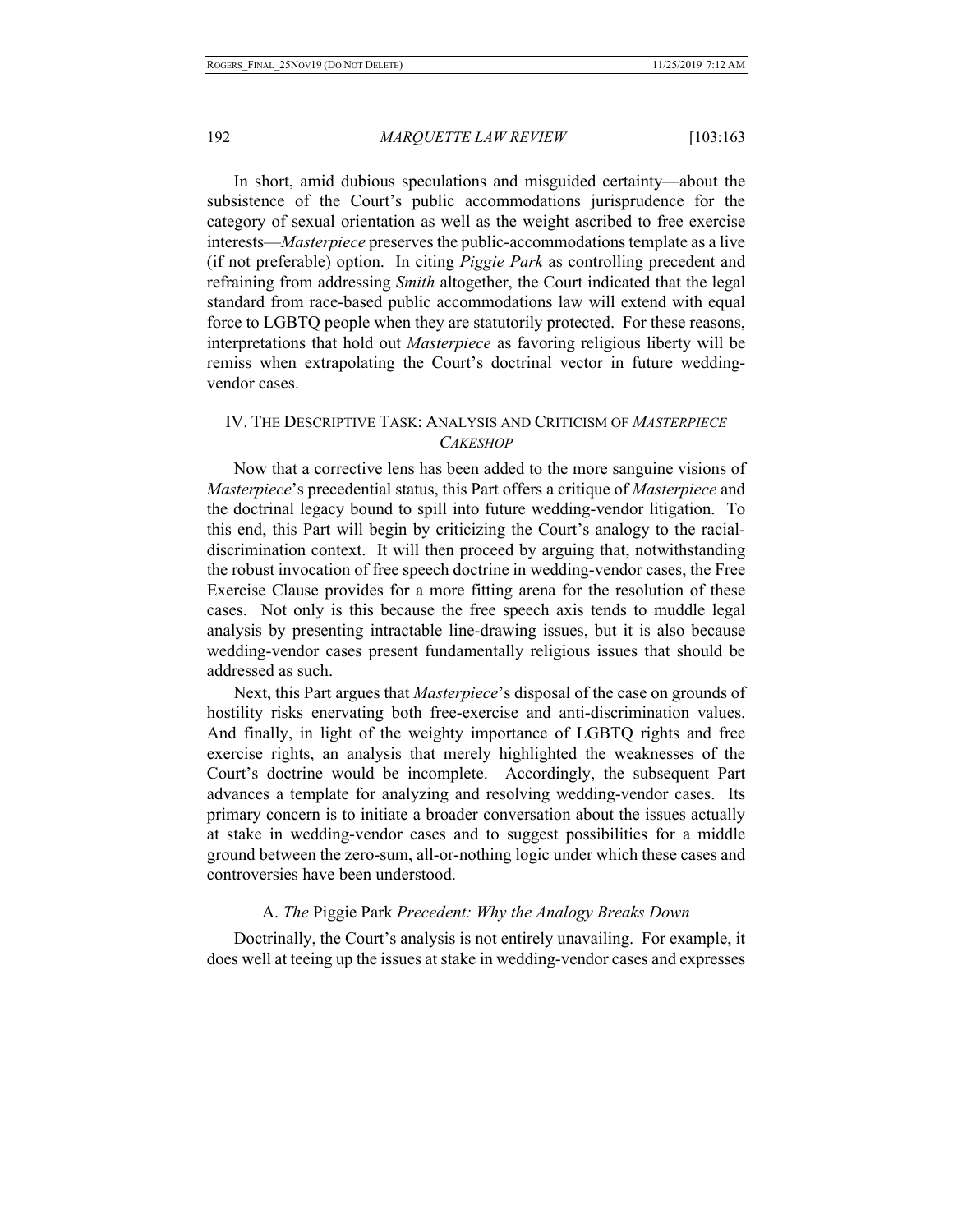In short, amid dubious speculations and misguided certainty—about the subsistence of the Court's public accommodations jurisprudence for the category of sexual orientation as well as the weight ascribed to free exercise interests—*Masterpiece* preserves the public-accommodations template as a live (if not preferable) option. In citing *Piggie Park* as controlling precedent and refraining from addressing *Smith* altogether, the Court indicated that the legal standard from race-based public accommodations law will extend with equal force to LGBTQ people when they are statutorily protected. For these reasons, interpretations that hold out *Masterpiece* as favoring religious liberty will be remiss when extrapolating the Court's doctrinal vector in future weddingvendor cases.

# IV. THE DESCRIPTIVE TASK: ANALYSIS AND CRITICISM OF *MASTERPIECE CAKESHOP*

Now that a corrective lens has been added to the more sanguine visions of *Masterpiece*'s precedential status, this Part offers a critique of *Masterpiece* and the doctrinal legacy bound to spill into future wedding-vendor litigation. To this end, this Part will begin by criticizing the Court's analogy to the racialdiscrimination context. It will then proceed by arguing that, notwithstanding the robust invocation of free speech doctrine in wedding-vendor cases, the Free Exercise Clause provides for a more fitting arena for the resolution of these cases. Not only is this because the free speech axis tends to muddle legal analysis by presenting intractable line-drawing issues, but it is also because wedding-vendor cases present fundamentally religious issues that should be addressed as such.

Next, this Part argues that *Masterpiece*'s disposal of the case on grounds of hostility risks enervating both free-exercise and anti-discrimination values. And finally, in light of the weighty importance of LGBTQ rights and free exercise rights, an analysis that merely highlighted the weaknesses of the Court's doctrine would be incomplete. Accordingly, the subsequent Part advances a template for analyzing and resolving wedding-vendor cases. Its primary concern is to initiate a broader conversation about the issues actually at stake in wedding-vendor cases and to suggest possibilities for a middle ground between the zero-sum, all-or-nothing logic under which these cases and controversies have been understood.

#### A. *The* Piggie Park *Precedent: Why the Analogy Breaks Down*

Doctrinally, the Court's analysis is not entirely unavailing. For example, it does well at teeing up the issues at stake in wedding-vendor cases and expresses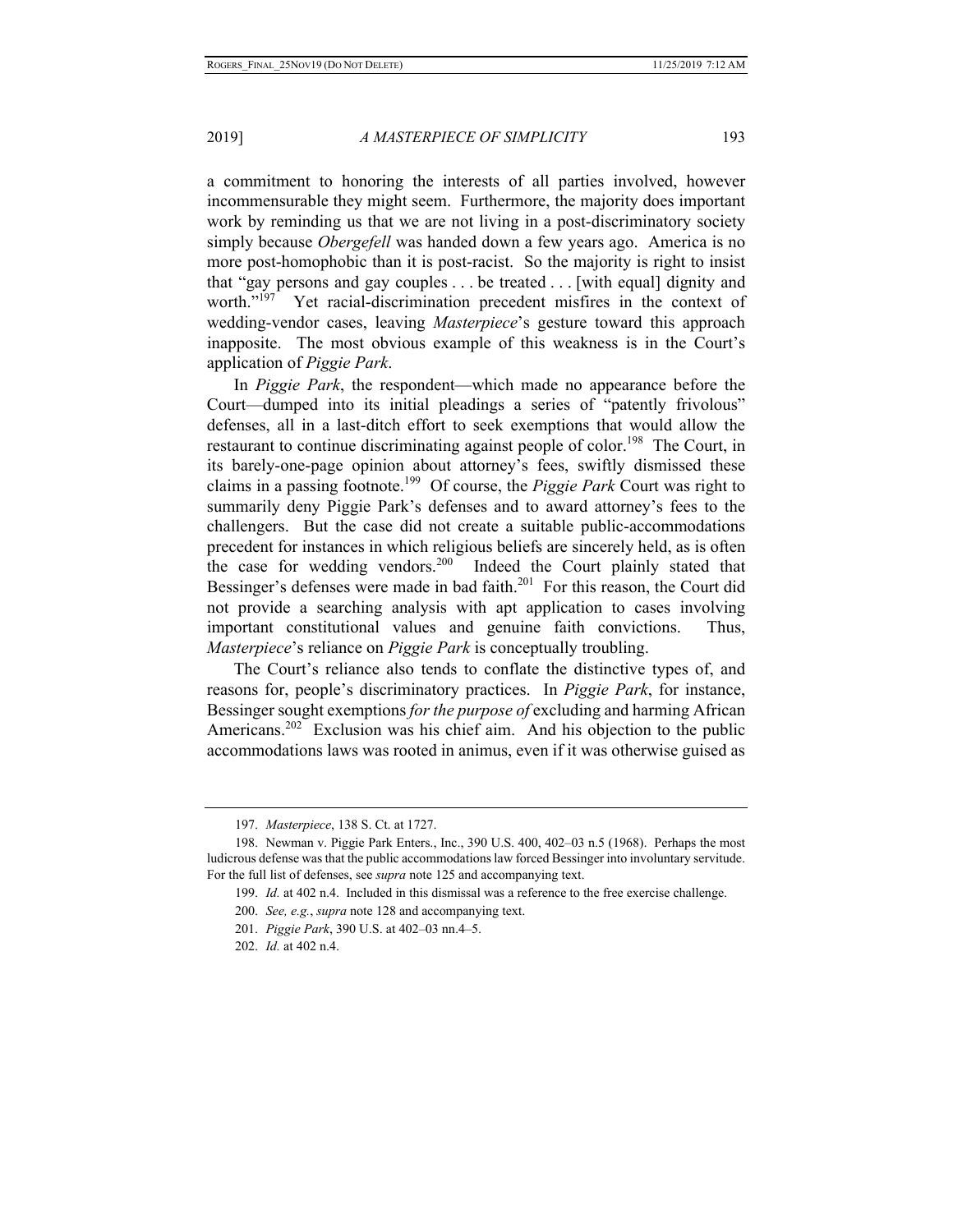a commitment to honoring the interests of all parties involved, however incommensurable they might seem. Furthermore, the majority does important work by reminding us that we are not living in a post-discriminatory society simply because *Obergefell* was handed down a few years ago. America is no more post-homophobic than it is post-racist. So the majority is right to insist that "gay persons and gay couples . . . be treated . . . [with equal] dignity and worth."<sup>197</sup> Yet racial-discrimination precedent misfires in the context of wedding-vendor cases, leaving *Masterpiece*'s gesture toward this approach inapposite. The most obvious example of this weakness is in the Court's application of *Piggie Park*.

In *Piggie Park*, the respondent—which made no appearance before the Court—dumped into its initial pleadings a series of "patently frivolous" defenses, all in a last-ditch effort to seek exemptions that would allow the restaurant to continue discriminating against people of color.<sup>198</sup> The Court, in its barely-one-page opinion about attorney's fees, swiftly dismissed these claims in a passing footnote.199 Of course, the *Piggie Park* Court was right to summarily deny Piggie Park's defenses and to award attorney's fees to the challengers. But the case did not create a suitable public-accommodations precedent for instances in which religious beliefs are sincerely held, as is often the case for wedding vendors.<sup>200</sup> Indeed the Court plainly stated that Bessinger's defenses were made in bad faith.<sup>201</sup> For this reason, the Court did not provide a searching analysis with apt application to cases involving important constitutional values and genuine faith convictions. Thus, *Masterpiece*'s reliance on *Piggie Park* is conceptually troubling.

The Court's reliance also tends to conflate the distinctive types of, and reasons for, people's discriminatory practices. In *Piggie Park*, for instance, Bessinger sought exemptions *for the purpose of* excluding and harming African Americans.<sup>202</sup> Exclusion was his chief aim. And his objection to the public accommodations laws was rooted in animus, even if it was otherwise guised as

<sup>197.</sup> *Masterpiece*, 138 S. Ct. at 1727.

<sup>198.</sup> Newman v. Piggie Park Enters., Inc., 390 U.S. 400, 402–03 n.5 (1968).Perhaps the most ludicrous defense was that the public accommodations law forced Bessinger into involuntary servitude. For the full list of defenses, see *supra* note 125 and accompanying text.

<sup>199.</sup> *Id.* at 402 n.4.Included in this dismissal was a reference to the free exercise challenge.

<sup>200.</sup> *See, e.g.*, *supra* note 128 and accompanying text.

<sup>201.</sup> *Piggie Park*, 390 U.S. at 402–03 nn.4–5.

<sup>202.</sup> *Id.* at 402 n.4.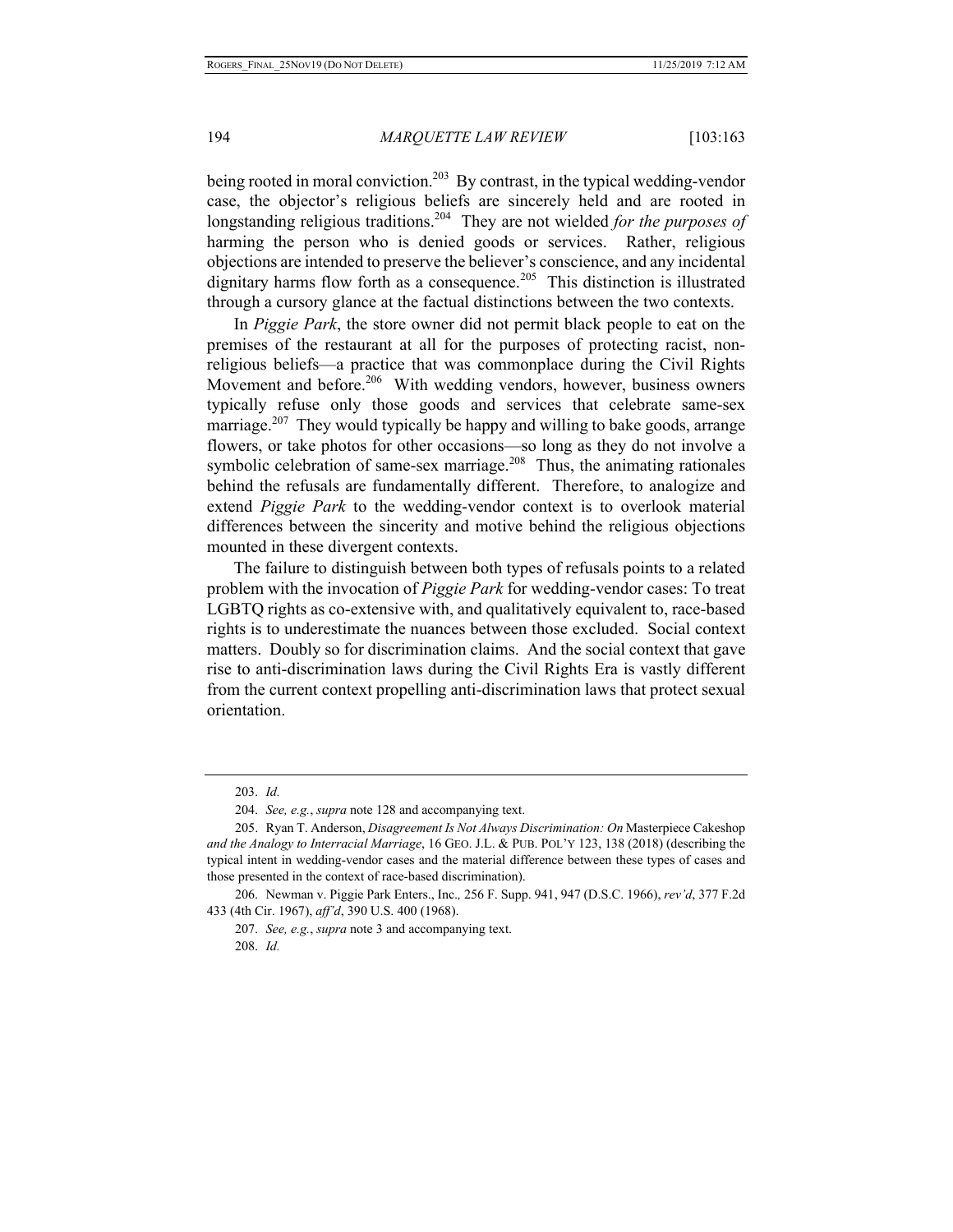being rooted in moral conviction.<sup>203</sup> By contrast, in the typical wedding-vendor case, the objector's religious beliefs are sincerely held and are rooted in longstanding religious traditions.204 They are not wielded *for the purposes of* harming the person who is denied goods or services. Rather, religious objections are intended to preserve the believer's conscience, and any incidental dignitary harms flow forth as a consequence.<sup>205</sup> This distinction is illustrated through a cursory glance at the factual distinctions between the two contexts.

In *Piggie Park*, the store owner did not permit black people to eat on the premises of the restaurant at all for the purposes of protecting racist, nonreligious beliefs—a practice that was commonplace during the Civil Rights Movement and before.<sup>206</sup> With wedding vendors, however, business owners typically refuse only those goods and services that celebrate same-sex marriage.<sup>207</sup> They would typically be happy and willing to bake goods, arrange flowers, or take photos for other occasions—so long as they do not involve a symbolic celebration of same-sex marriage.<sup>208</sup> Thus, the animating rationales behind the refusals are fundamentally different. Therefore, to analogize and extend *Piggie Park* to the wedding-vendor context is to overlook material differences between the sincerity and motive behind the religious objections mounted in these divergent contexts.

The failure to distinguish between both types of refusals points to a related problem with the invocation of *Piggie Park* for wedding-vendor cases: To treat LGBTQ rights as co-extensive with, and qualitatively equivalent to, race-based rights is to underestimate the nuances between those excluded. Social context matters. Doubly so for discrimination claims. And the social context that gave rise to anti-discrimination laws during the Civil Rights Era is vastly different from the current context propelling anti-discrimination laws that protect sexual orientation.

207. *See, e.g.*, *supra* note 3 and accompanying text.

208. *Id.* 

<sup>203.</sup> *Id.*

<sup>204.</sup> *See, e.g.*, *supra* note 128 and accompanying text.

<sup>205.</sup> Ryan T. Anderson, *Disagreement Is Not Always Discrimination: On* Masterpiece Cakeshop *and the Analogy to Interracial Marriage*, 16 GEO. J.L. & PUB. POL'Y 123, 138 (2018) (describing the typical intent in wedding-vendor cases and the material difference between these types of cases and those presented in the context of race-based discrimination).

<sup>206.</sup> Newman v. Piggie Park Enters., Inc.*,* 256 F. Supp. 941, 947 (D.S.C. 1966), *rev'd*, 377 F.2d 433 (4th Cir. 1967), *aff'd*, 390 U.S. 400 (1968).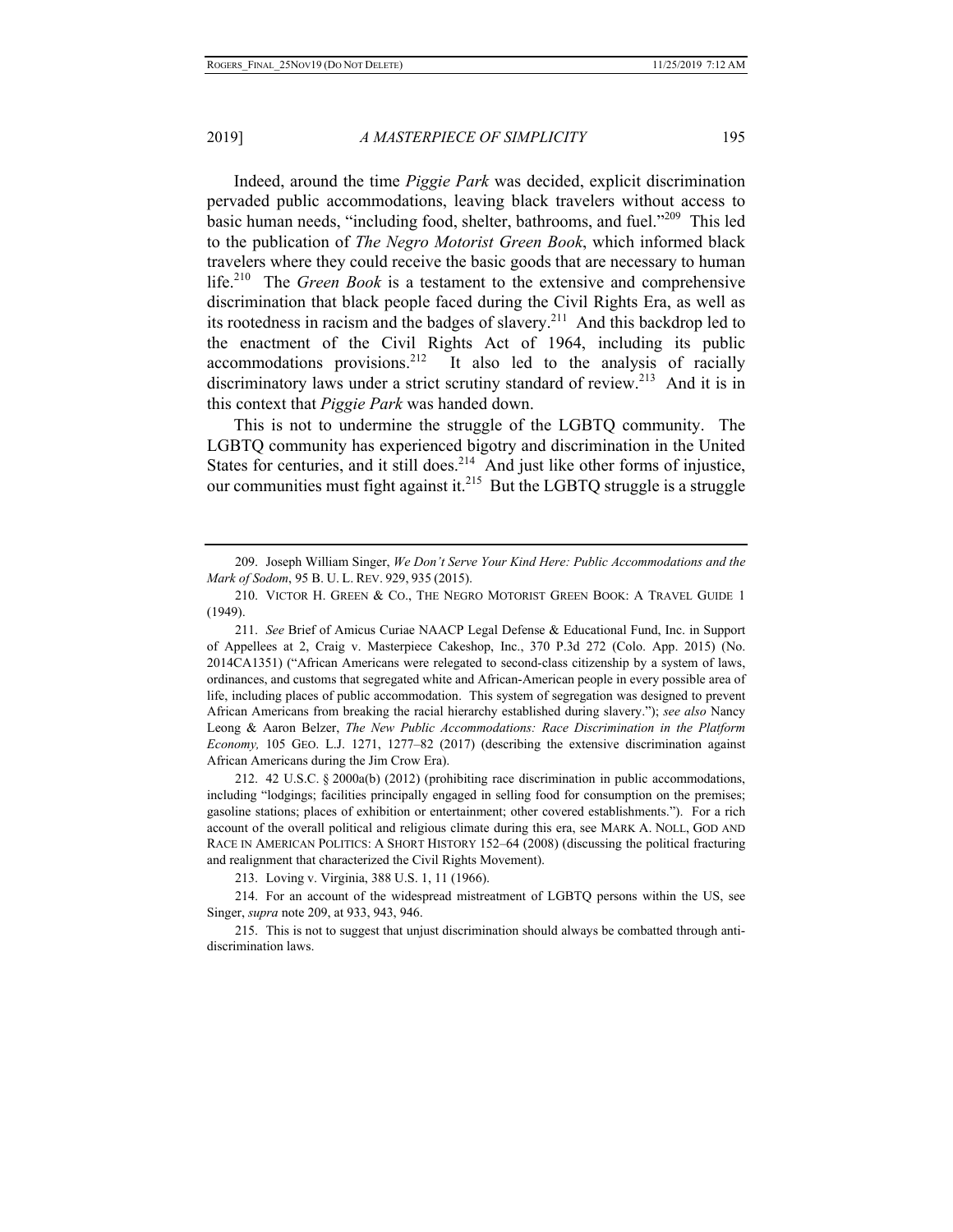Indeed, around the time *Piggie Park* was decided, explicit discrimination pervaded public accommodations, leaving black travelers without access to basic human needs, "including food, shelter, bathrooms, and fuel."209 This led to the publication of *The Negro Motorist Green Book*, which informed black travelers where they could receive the basic goods that are necessary to human life.210 The *Green Book* is a testament to the extensive and comprehensive discrimination that black people faced during the Civil Rights Era, as well as its rootedness in racism and the badges of slavery.<sup>211</sup> And this backdrop led to the enactment of the Civil Rights Act of 1964, including its public accommodations provisions.<sup>212</sup> It also led to the analysis of racially discriminatory laws under a strict scrutiny standard of review.<sup>213</sup> And it is in this context that *Piggie Park* was handed down.

This is not to undermine the struggle of the LGBTQ community. The LGBTQ community has experienced bigotry and discrimination in the United States for centuries, and it still does.<sup>214</sup> And just like other forms of injustice, our communities must fight against it.<sup>215</sup> But the LGBTO struggle is a struggle

<sup>209.</sup> Joseph William Singer, *We Don't Serve Your Kind Here: Public Accommodations and the Mark of Sodom*, 95 B. U. L. REV. 929, 935 (2015).

<sup>210.</sup> VICTOR H. GREEN & CO., THE NEGRO MOTORIST GREEN BOOK: A TRAVEL GUIDE 1 (1949).

<sup>211.</sup> *See* Brief of Amicus Curiae NAACP Legal Defense & Educational Fund, Inc. in Support of Appellees at 2, Craig v. Masterpiece Cakeshop, Inc., 370 P.3d 272 (Colo. App. 2015) (No. 2014CA1351) ("African Americans were relegated to second-class citizenship by a system of laws, ordinances, and customs that segregated white and African-American people in every possible area of life, including places of public accommodation. This system of segregation was designed to prevent African Americans from breaking the racial hierarchy established during slavery."); *see also* Nancy Leong & Aaron Belzer, *The New Public Accommodations: Race Discrimination in the Platform Economy,* 105 GEO. L.J. 1271, 1277–82 (2017) (describing the extensive discrimination against African Americans during the Jim Crow Era).

<sup>212. 42</sup> U.S.C. § 2000a(b) (2012) (prohibiting race discrimination in public accommodations, including "lodgings; facilities principally engaged in selling food for consumption on the premises; gasoline stations; places of exhibition or entertainment; other covered establishments."). For a rich account of the overall political and religious climate during this era, see MARK A. NOLL, GOD AND RACE IN AMERICAN POLITICS: A SHORT HISTORY 152–64 (2008) (discussing the political fracturing and realignment that characterized the Civil Rights Movement).

<sup>213.</sup> Loving v. Virginia, 388 U.S. 1, 11 (1966).

<sup>214.</sup> For an account of the widespread mistreatment of LGBTQ persons within the US, see Singer, *supra* note 209, at 933, 943, 946.

<sup>215.</sup> This is not to suggest that unjust discrimination should always be combatted through antidiscrimination laws.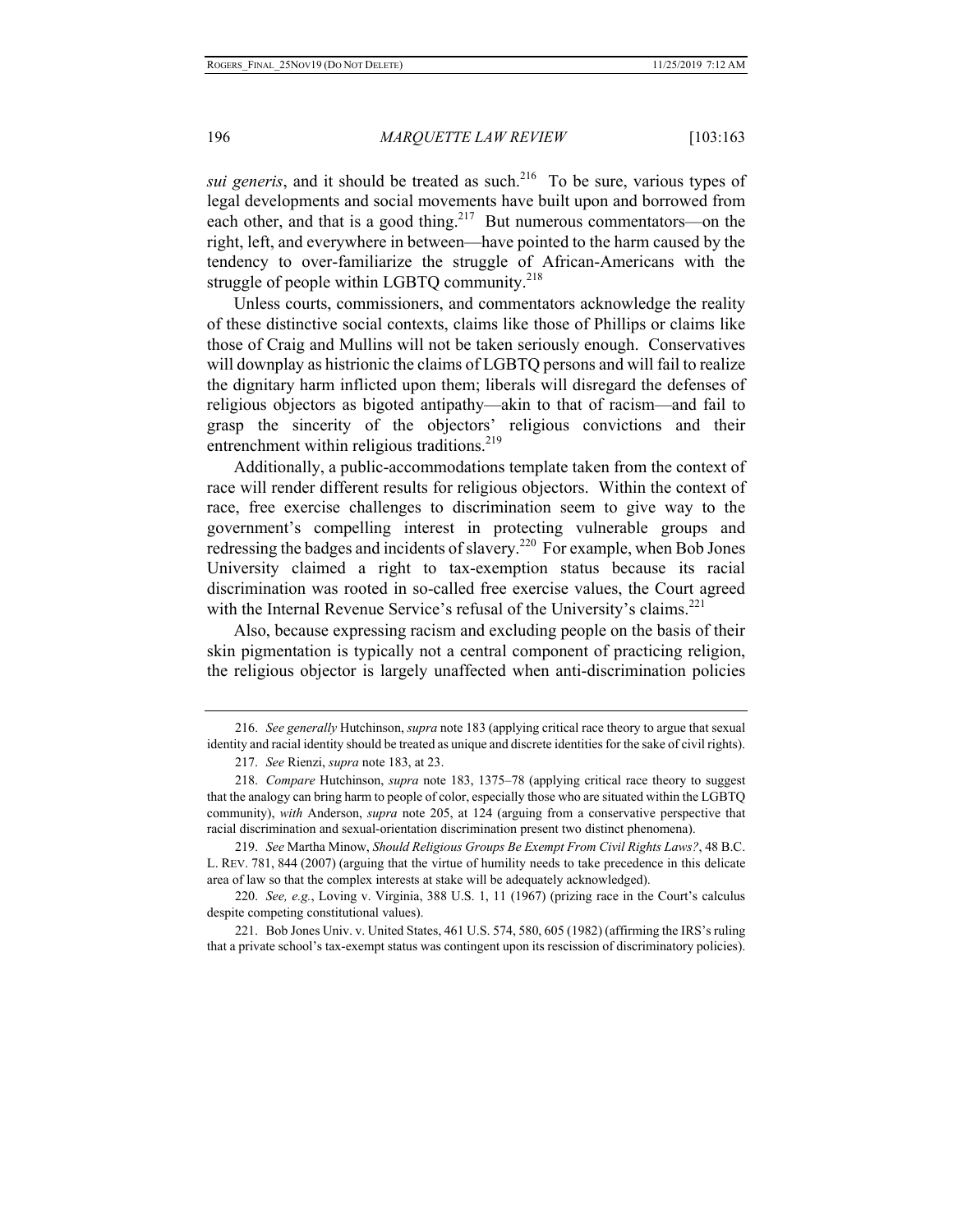*sui generis*, and it should be treated as such.<sup>216</sup> To be sure, various types of legal developments and social movements have built upon and borrowed from each other, and that is a good thing.<sup>217</sup> But numerous commentators—on the right, left, and everywhere in between—have pointed to the harm caused by the tendency to over-familiarize the struggle of African-Americans with the struggle of people within LGBTQ community. $218$ 

Unless courts, commissioners, and commentators acknowledge the reality of these distinctive social contexts, claims like those of Phillips or claims like those of Craig and Mullins will not be taken seriously enough. Conservatives will downplay as histrionic the claims of LGBTQ persons and will fail to realize the dignitary harm inflicted upon them; liberals will disregard the defenses of religious objectors as bigoted antipathy—akin to that of racism—and fail to grasp the sincerity of the objectors' religious convictions and their entrenchment within religious traditions.<sup>219</sup>

Additionally, a public-accommodations template taken from the context of race will render different results for religious objectors. Within the context of race, free exercise challenges to discrimination seem to give way to the government's compelling interest in protecting vulnerable groups and redressing the badges and incidents of slavery.<sup>220</sup> For example, when Bob Jones University claimed a right to tax-exemption status because its racial discrimination was rooted in so-called free exercise values, the Court agreed with the Internal Revenue Service's refusal of the University's claims.<sup>221</sup>

Also, because expressing racism and excluding people on the basis of their skin pigmentation is typically not a central component of practicing religion, the religious objector is largely unaffected when anti-discrimination policies

221. Bob Jones Univ. v. United States, 461 U.S. 574, 580, 605 (1982) (affirming the IRS's ruling that a private school's tax-exempt status was contingent upon its rescission of discriminatory policies).

<sup>216.</sup> *See generally* Hutchinson, *supra* note 183 (applying critical race theory to argue that sexual identity and racial identity should be treated as unique and discrete identities for the sake of civil rights).

<sup>217.</sup> *See* Rienzi, *supra* note 183, at 23.

<sup>218.</sup> *Compare* Hutchinson, *supra* note 183, 1375–78 (applying critical race theory to suggest that the analogy can bring harm to people of color, especially those who are situated within the LGBTQ community), *with* Anderson, *supra* note 205, at 124 (arguing from a conservative perspective that racial discrimination and sexual-orientation discrimination present two distinct phenomena).

<sup>219.</sup> *See* Martha Minow, *Should Religious Groups Be Exempt From Civil Rights Laws?*, 48 B.C. L. REV. 781, 844 (2007) (arguing that the virtue of humility needs to take precedence in this delicate area of law so that the complex interests at stake will be adequately acknowledged).

<sup>220.</sup> *See, e.g.*, Loving v. Virginia, 388 U.S. 1, 11 (1967) (prizing race in the Court's calculus despite competing constitutional values).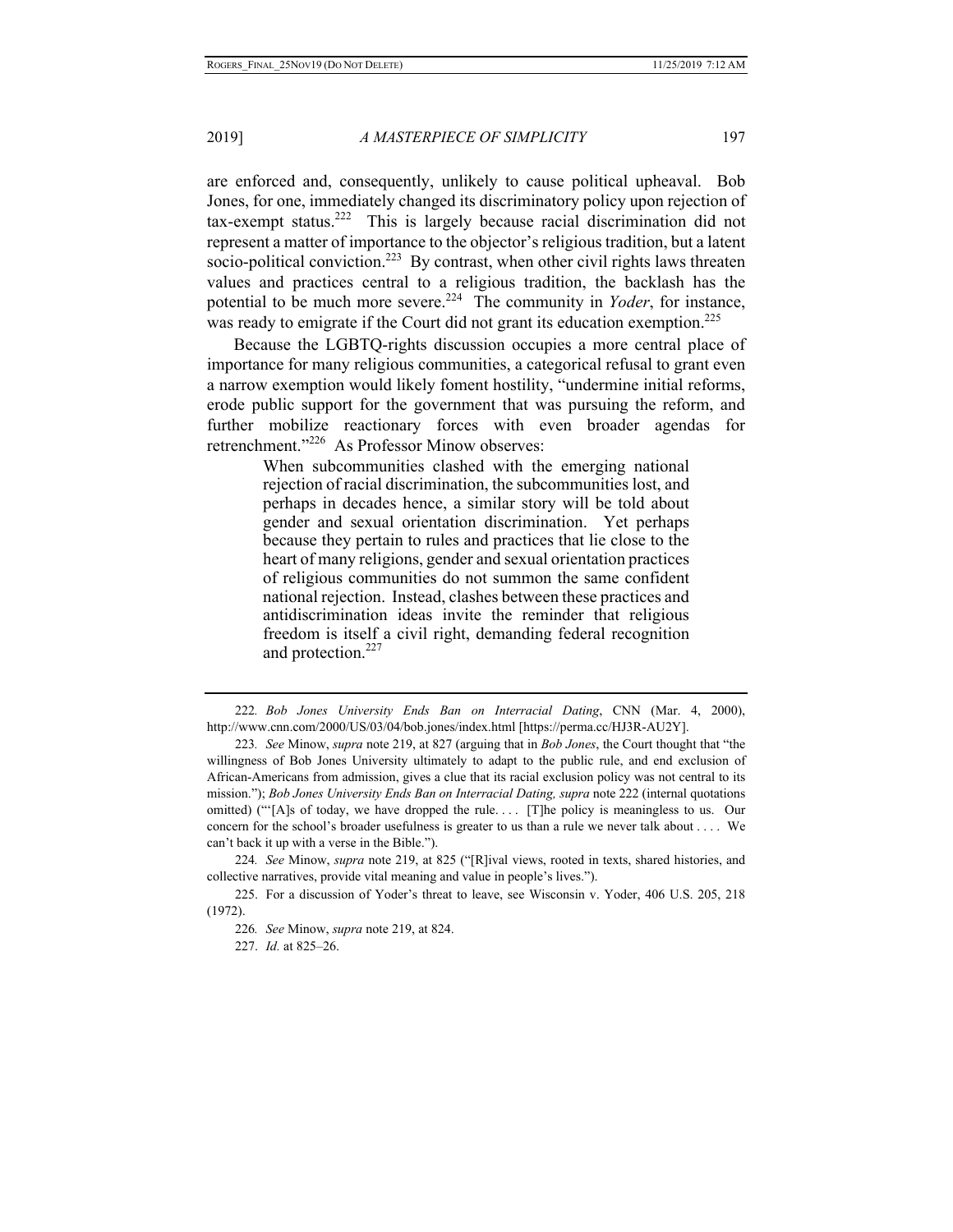are enforced and, consequently, unlikely to cause political upheaval. Bob Jones, for one, immediately changed its discriminatory policy upon rejection of  $\text{tax-exempt status.}^{222}$  This is largely because racial discrimination did not represent a matter of importance to the objector's religious tradition, but a latent socio-political conviction.<sup>223</sup> By contrast, when other civil rights laws threaten values and practices central to a religious tradition, the backlash has the potential to be much more severe.<sup>224</sup> The community in *Yoder*, for instance, was ready to emigrate if the Court did not grant its education exemption.<sup>225</sup>

Because the LGBTQ-rights discussion occupies a more central place of importance for many religious communities, a categorical refusal to grant even a narrow exemption would likely foment hostility, "undermine initial reforms, erode public support for the government that was pursuing the reform, and further mobilize reactionary forces with even broader agendas for retrenchment."226 As Professor Minow observes:

> When subcommunities clashed with the emerging national rejection of racial discrimination, the subcommunities lost, and perhaps in decades hence, a similar story will be told about gender and sexual orientation discrimination. Yet perhaps because they pertain to rules and practices that lie close to the heart of many religions, gender and sexual orientation practices of religious communities do not summon the same confident national rejection. Instead, clashes between these practices and antidiscrimination ideas invite the reminder that religious freedom is itself a civil right, demanding federal recognition and protection.<sup>227</sup>

<sup>222</sup>*. Bob Jones University Ends Ban on Interracial Dating*, CNN (Mar. 4, 2000), http://www.cnn.com/2000/US/03/04/bob.jones/index.html [https://perma.cc/HJ3R-AU2Y].

<sup>223</sup>*. See* Minow, *supra* note 219, at 827 (arguing that in *Bob Jones*, the Court thought that "the willingness of Bob Jones University ultimately to adapt to the public rule, and end exclusion of African-Americans from admission, gives a clue that its racial exclusion policy was not central to its mission."); *Bob Jones University Ends Ban on Interracial Dating, supra* note 222 (internal quotations omitted) ("'[A]s of today, we have dropped the rule. . . . [T]he policy is meaningless to us. Our concern for the school's broader usefulness is greater to us than a rule we never talk about . . . . We can't back it up with a verse in the Bible.").

<sup>224</sup>*. See* Minow, *supra* note 219, at 825 ("[R]ival views, rooted in texts, shared histories, and collective narratives, provide vital meaning and value in people's lives.").

<sup>225.</sup> For a discussion of Yoder's threat to leave, see Wisconsin v. Yoder, 406 U.S. 205, 218 (1972).

<sup>226</sup>*. See* Minow, *supra* note 219, at 824.

<sup>227.</sup> *Id.* at 825–26.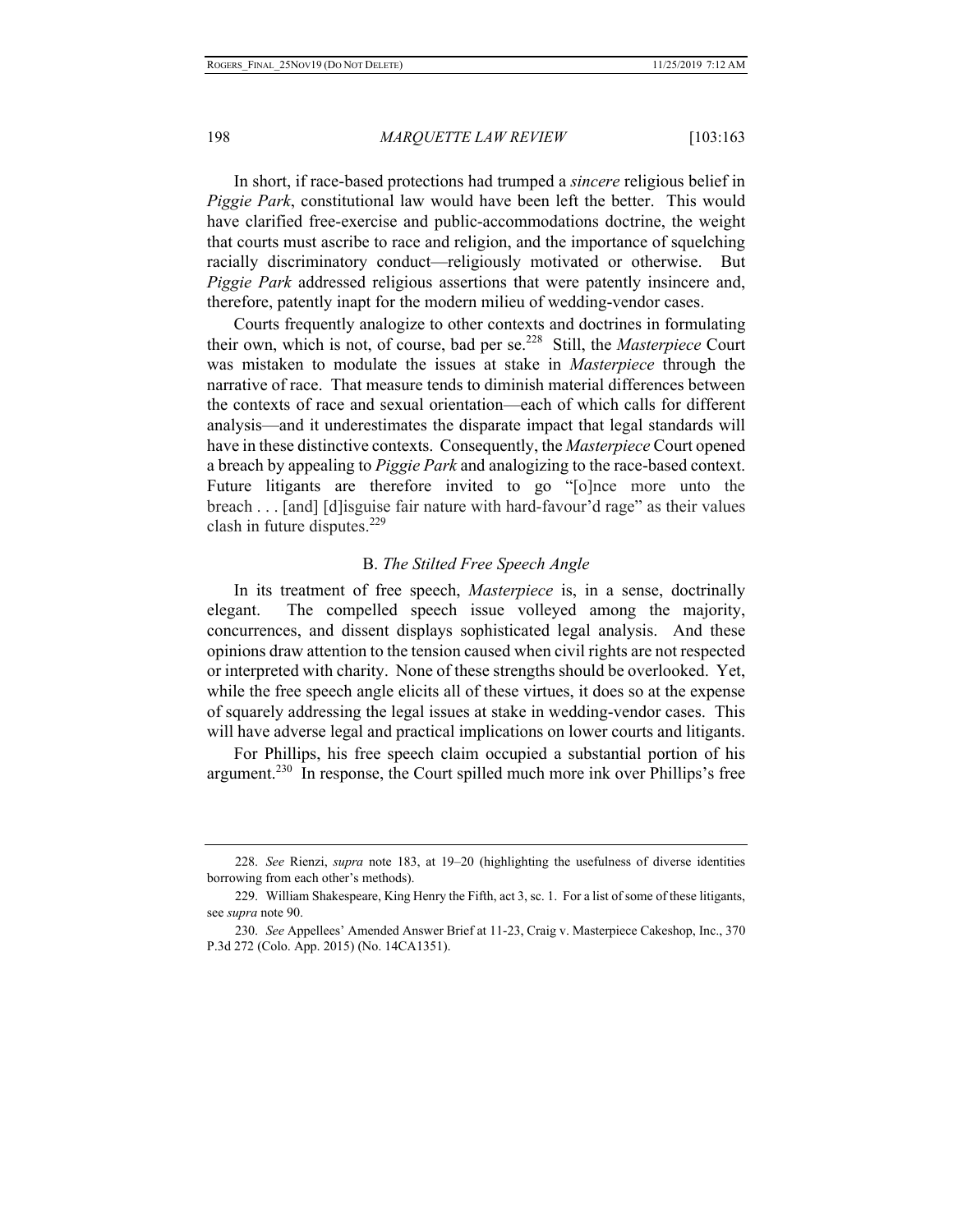In short, if race-based protections had trumped a *sincere* religious belief in *Piggie Park*, constitutional law would have been left the better. This would have clarified free-exercise and public-accommodations doctrine, the weight that courts must ascribe to race and religion, and the importance of squelching racially discriminatory conduct—religiously motivated or otherwise. But *Piggie Park* addressed religious assertions that were patently insincere and, therefore, patently inapt for the modern milieu of wedding-vendor cases.

Courts frequently analogize to other contexts and doctrines in formulating their own, which is not, of course, bad per se.228 Still, the *Masterpiece* Court was mistaken to modulate the issues at stake in *Masterpiece* through the narrative of race. That measure tends to diminish material differences between the contexts of race and sexual orientation—each of which calls for different analysis—and it underestimates the disparate impact that legal standards will have in these distinctive contexts. Consequently, the *Masterpiece* Court opened a breach by appealing to *Piggie Park* and analogizing to the race-based context. Future litigants are therefore invited to go "[o]nce more unto the breach . . . [and] [d]isguise fair nature with hard-favour'd rage" as their values clash in future disputes.<sup>229</sup>

# B. *The Stilted Free Speech Angle*

In its treatment of free speech, *Masterpiece* is, in a sense, doctrinally elegant. The compelled speech issue volleyed among the majority, concurrences, and dissent displays sophisticated legal analysis. And these opinions draw attention to the tension caused when civil rights are not respected or interpreted with charity. None of these strengths should be overlooked. Yet, while the free speech angle elicits all of these virtues, it does so at the expense of squarely addressing the legal issues at stake in wedding-vendor cases. This will have adverse legal and practical implications on lower courts and litigants.

For Phillips, his free speech claim occupied a substantial portion of his argument.<sup>230</sup> In response, the Court spilled much more ink over Phillips's free

<sup>228.</sup> *See* Rienzi, *supra* note 183, at 19–20 (highlighting the usefulness of diverse identities borrowing from each other's methods).

<sup>229.</sup> William Shakespeare, King Henry the Fifth, act 3, sc. 1. For a list of some of these litigants, see *supra* note 90.

<sup>230.</sup> *See* Appellees' Amended Answer Brief at 11-23, Craig v. Masterpiece Cakeshop, Inc., 370 P.3d 272 (Colo. App. 2015) (No. 14CA1351).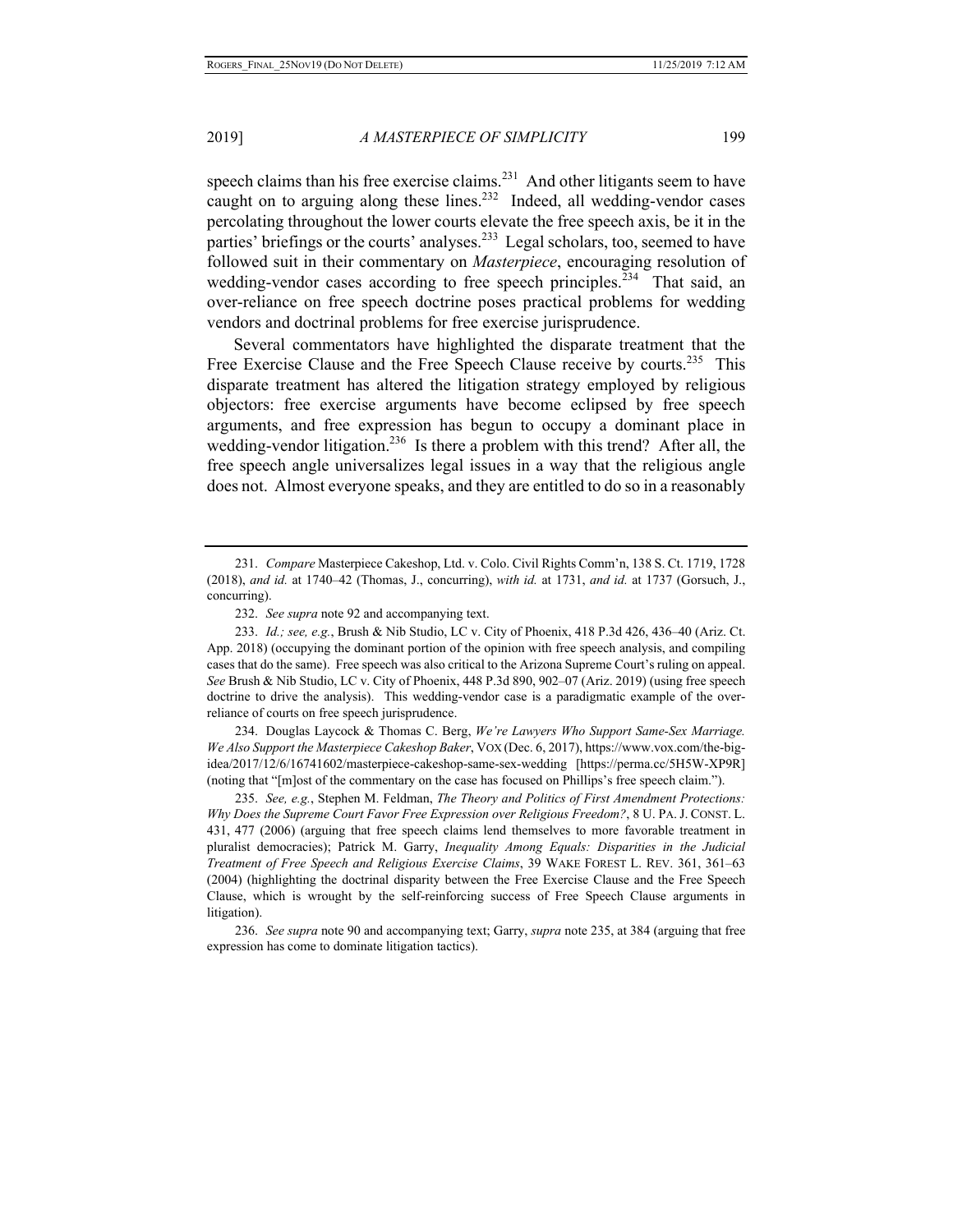speech claims than his free exercise claims.<sup>231</sup> And other litigants seem to have caught on to arguing along these lines.<sup>232</sup> Indeed, all wedding-vendor cases percolating throughout the lower courts elevate the free speech axis, be it in the parties' briefings or the courts' analyses.<sup>233</sup> Legal scholars, too, seemed to have followed suit in their commentary on *Masterpiece*, encouraging resolution of wedding-vendor cases according to free speech principles.<sup>234</sup> That said, an over-reliance on free speech doctrine poses practical problems for wedding vendors and doctrinal problems for free exercise jurisprudence.

Several commentators have highlighted the disparate treatment that the Free Exercise Clause and the Free Speech Clause receive by courts.<sup>235</sup> This disparate treatment has altered the litigation strategy employed by religious objectors: free exercise arguments have become eclipsed by free speech arguments, and free expression has begun to occupy a dominant place in wedding-vendor litigation.<sup>236</sup> Is there a problem with this trend? After all, the free speech angle universalizes legal issues in a way that the religious angle does not. Almost everyone speaks, and they are entitled to do so in a reasonably

234. Douglas Laycock & Thomas C. Berg, *We're Lawyers Who Support Same-Sex Marriage. We Also Support the Masterpiece Cakeshop Baker*, VOX (Dec. 6, 2017), https://www.vox.com/the-bigidea/2017/12/6/16741602/masterpiece-cakeshop-same-sex-wedding [https://perma.cc/5H5W-XP9R] (noting that "[m]ost of the commentary on the case has focused on Phillips's free speech claim.").

235. *See, e.g.*, Stephen M. Feldman, *The Theory and Politics of First Amendment Protections: Why Does the Supreme Court Favor Free Expression over Religious Freedom?*, 8 U. PA.J. CONST. L. 431, 477 (2006) (arguing that free speech claims lend themselves to more favorable treatment in pluralist democracies); Patrick M. Garry, *Inequality Among Equals: Disparities in the Judicial Treatment of Free Speech and Religious Exercise Claims*, 39 WAKE FOREST L. REV. 361, 361–63 (2004) (highlighting the doctrinal disparity between the Free Exercise Clause and the Free Speech Clause, which is wrought by the self-reinforcing success of Free Speech Clause arguments in litigation).

236. *See supra* note 90 and accompanying text; Garry, *supra* note 235, at 384 (arguing that free expression has come to dominate litigation tactics).

<sup>231.</sup> *Compare* Masterpiece Cakeshop, Ltd. v. Colo. Civil Rights Comm'n, 138 S. Ct. 1719, 1728 (2018), *and id.* at 1740–42 (Thomas, J., concurring), *with id.* at 1731, *and id.* at 1737 (Gorsuch, J., concurring).

<sup>232.</sup> *See supra* note 92 and accompanying text.

<sup>233.</sup> *Id.; see, e.g.*, Brush & Nib Studio, LC v. City of Phoenix, 418 P.3d 426, 436–40 (Ariz. Ct. App. 2018) (occupying the dominant portion of the opinion with free speech analysis, and compiling cases that do the same). Free speech was also critical to the Arizona Supreme Court's ruling on appeal. *See* Brush & Nib Studio, LC v. City of Phoenix, 448 P.3d 890, 902–07 (Ariz. 2019) (using free speech doctrine to drive the analysis). This wedding-vendor case is a paradigmatic example of the overreliance of courts on free speech jurisprudence.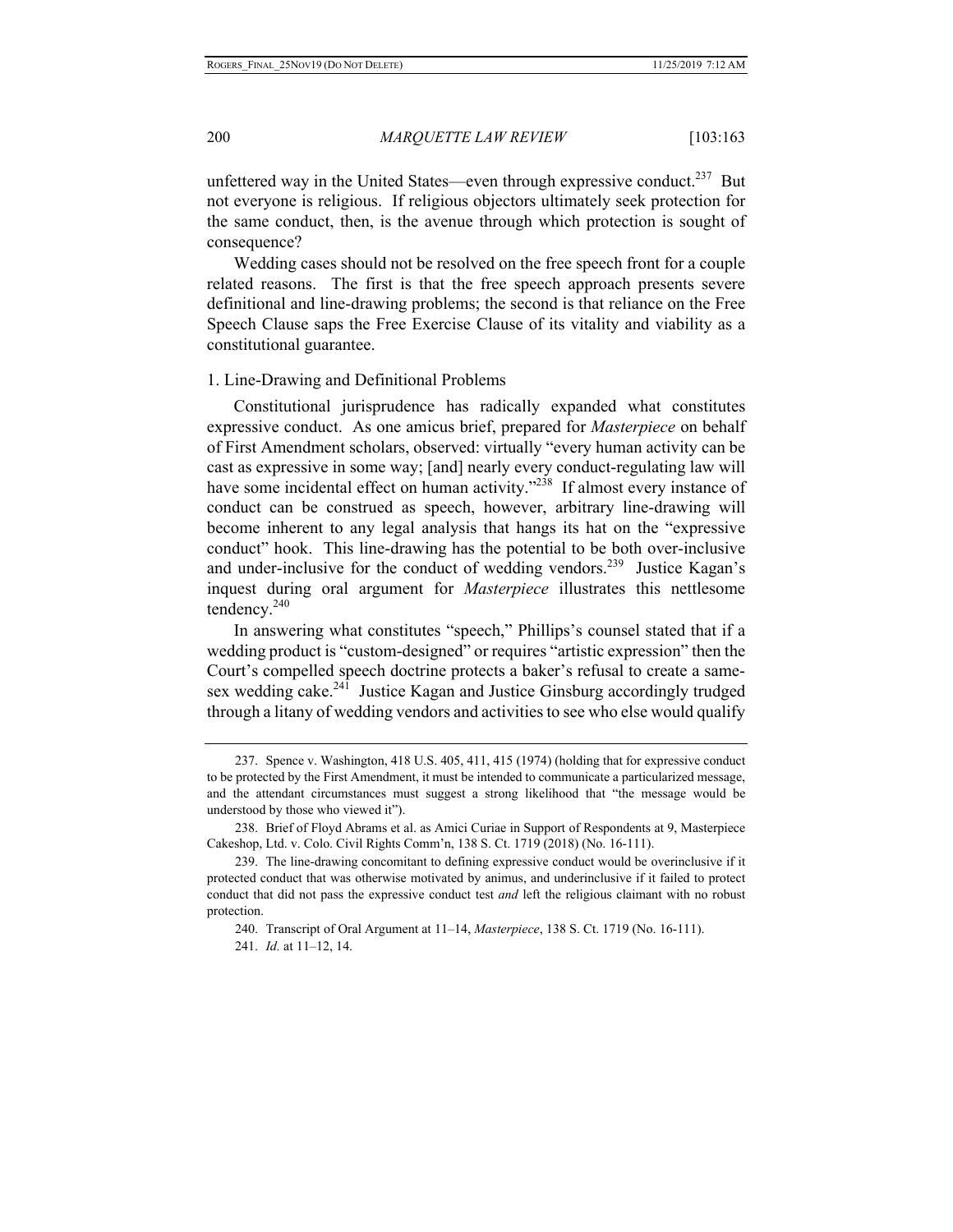unfettered way in the United States—even through expressive conduct.<sup>237</sup> But not everyone is religious. If religious objectors ultimately seek protection for the same conduct, then, is the avenue through which protection is sought of consequence?

Wedding cases should not be resolved on the free speech front for a couple related reasons. The first is that the free speech approach presents severe definitional and line-drawing problems; the second is that reliance on the Free Speech Clause saps the Free Exercise Clause of its vitality and viability as a constitutional guarantee.

#### 1. Line-Drawing and Definitional Problems

Constitutional jurisprudence has radically expanded what constitutes expressive conduct. As one amicus brief, prepared for *Masterpiece* on behalf of First Amendment scholars, observed: virtually "every human activity can be cast as expressive in some way; [and] nearly every conduct-regulating law will have some incidental effect on human activity."<sup>238</sup> If almost every instance of conduct can be construed as speech, however, arbitrary line-drawing will become inherent to any legal analysis that hangs its hat on the "expressive conduct" hook. This line-drawing has the potential to be both over-inclusive and under-inclusive for the conduct of wedding vendors.<sup>239</sup> Justice Kagan's inquest during oral argument for *Masterpiece* illustrates this nettlesome tendency. $240$ 

In answering what constitutes "speech," Phillips's counsel stated that if a wedding product is "custom-designed" or requires "artistic expression" then the Court's compelled speech doctrine protects a baker's refusal to create a samesex wedding cake.<sup>241</sup> Justice Kagan and Justice Ginsburg accordingly trudged through a litany of wedding vendors and activities to see who else would qualify

240. Transcript of Oral Argument at 11–14, *Masterpiece*, 138 S. Ct. 1719 (No. 16-111). 241. *Id.* at 11–12, 14.

<sup>237.</sup> Spence v. Washington, 418 U.S. 405, 411, 415 (1974) (holding that for expressive conduct to be protected by the First Amendment, it must be intended to communicate a particularized message, and the attendant circumstances must suggest a strong likelihood that "the message would be understood by those who viewed it").

<sup>238.</sup> Brief of Floyd Abrams et al. as Amici Curiae in Support of Respondents at 9, Masterpiece Cakeshop, Ltd. v. Colo. Civil Rights Comm'n, 138 S. Ct. 1719 (2018) (No. 16-111).

<sup>239.</sup> The line-drawing concomitant to defining expressive conduct would be overinclusive if it protected conduct that was otherwise motivated by animus, and underinclusive if it failed to protect conduct that did not pass the expressive conduct test *and* left the religious claimant with no robust protection.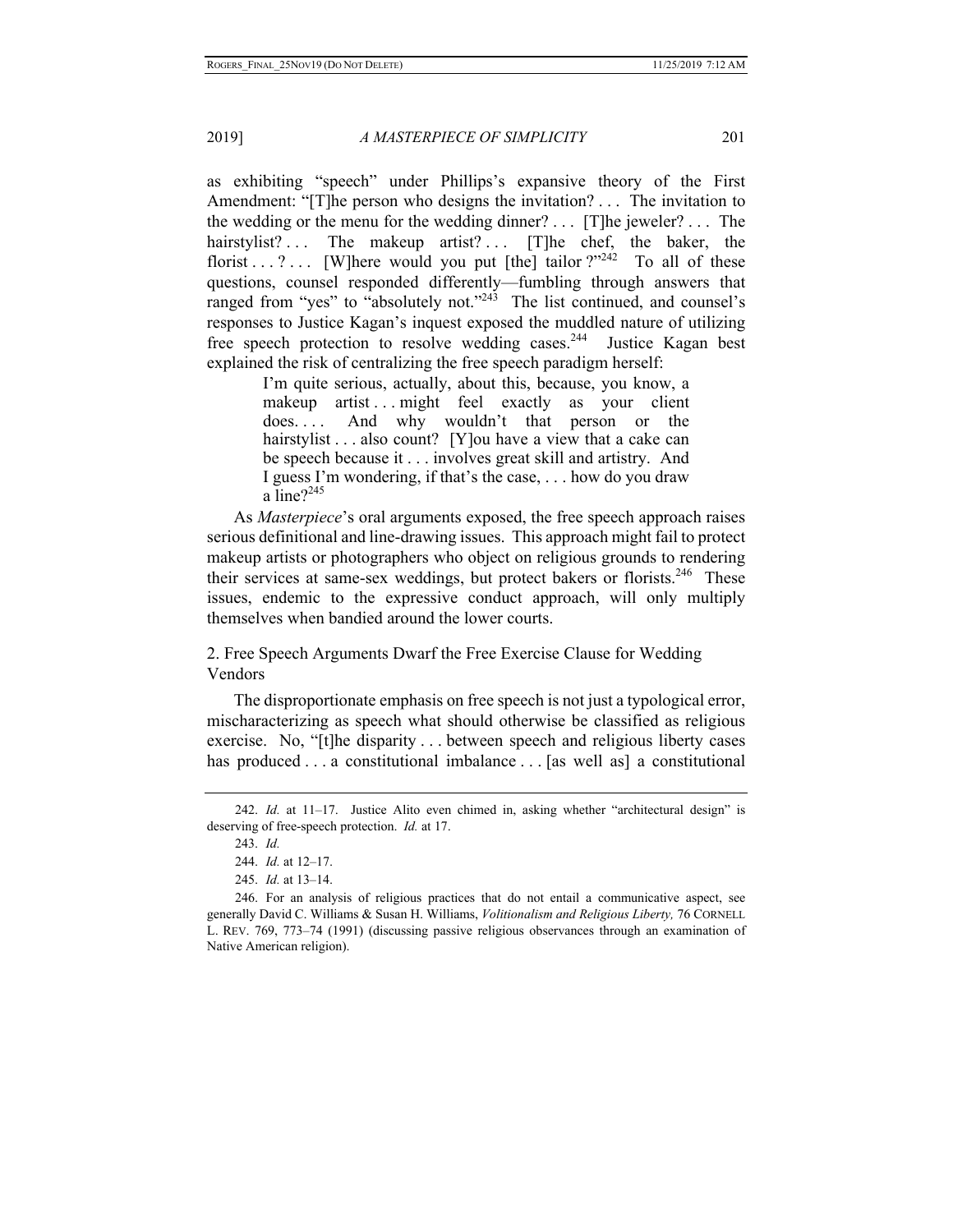as exhibiting "speech" under Phillips's expansive theory of the First Amendment: "[T]he person who designs the invitation? . . . The invitation to the wedding or the menu for the wedding dinner? . . . [T]he jeweler? . . . The hairstylist?... The makeup artist?... [T]he chef, the baker, the florist . . . ? . . . [W]here would you put [the] tailor ?"<sup>242</sup> To all of these questions, counsel responded differently—fumbling through answers that ranged from "yes" to "absolutely not."<sup>243</sup> The list continued, and counsel's responses to Justice Kagan's inquest exposed the muddled nature of utilizing free speech protection to resolve wedding cases.<sup>244</sup> Justice Kagan best explained the risk of centralizing the free speech paradigm herself:

I'm quite serious, actually, about this, because, you know, a makeup artist ... might feel exactly as your client does. . . . And why wouldn't that person or the hairstylist . . . also count? [Y]ou have a view that a cake can be speech because it . . . involves great skill and artistry. And I guess I'm wondering, if that's the case, . . . how do you draw a line? $2^{245}$ 

As *Masterpiece*'s oral arguments exposed, the free speech approach raises serious definitional and line-drawing issues. This approach might fail to protect makeup artists or photographers who object on religious grounds to rendering their services at same-sex weddings, but protect bakers or florists.<sup>246</sup> These issues, endemic to the expressive conduct approach, will only multiply themselves when bandied around the lower courts.

2. Free Speech Arguments Dwarf the Free Exercise Clause for Wedding Vendors

The disproportionate emphasis on free speech is not just a typological error, mischaracterizing as speech what should otherwise be classified as religious exercise. No, "[t]he disparity . . . between speech and religious liberty cases has produced . . . a constitutional imbalance . . . [as well as] a constitutional

<sup>242.</sup> *Id.* at 11–17. Justice Alito even chimed in, asking whether "architectural design" is deserving of free-speech protection. *Id.* at 17.

<sup>243.</sup> *Id.*

<sup>244.</sup> *Id.* at 12–17.

<sup>245.</sup> *Id.* at 13–14.

<sup>246.</sup> For an analysis of religious practices that do not entail a communicative aspect, see generally David C. Williams & Susan H. Williams, *Volitionalism and Religious Liberty,* 76 CORNELL L. REV. 769, 773–74 (1991) (discussing passive religious observances through an examination of Native American religion).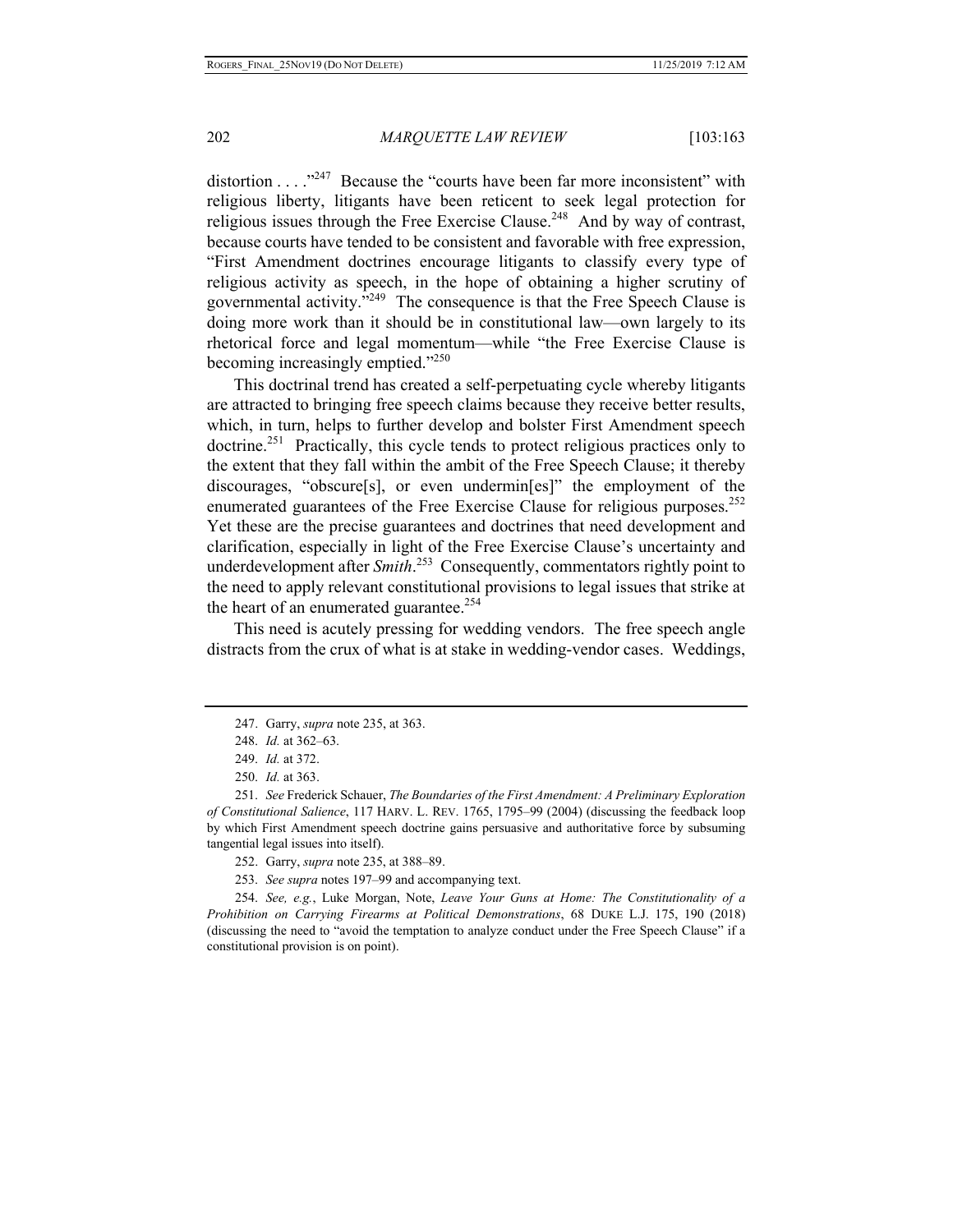distortion  $\dots$ <sup>247</sup> Because the "courts have been far more inconsistent" with religious liberty, litigants have been reticent to seek legal protection for religious issues through the Free Exercise Clause.<sup>248</sup> And by way of contrast, because courts have tended to be consistent and favorable with free expression, "First Amendment doctrines encourage litigants to classify every type of religious activity as speech, in the hope of obtaining a higher scrutiny of governmental activity."<sup>249</sup> The consequence is that the Free Speech Clause is doing more work than it should be in constitutional law—own largely to its rhetorical force and legal momentum—while "the Free Exercise Clause is becoming increasingly emptied."<sup>250</sup>

This doctrinal trend has created a self-perpetuating cycle whereby litigants are attracted to bringing free speech claims because they receive better results, which, in turn, helps to further develop and bolster First Amendment speech  $dot$  Practically, this cycle tends to protect religious practices only to the extent that they fall within the ambit of the Free Speech Clause; it thereby discourages, "obscure[s], or even undermin[es]" the employment of the enumerated guarantees of the Free Exercise Clause for religious purposes.<sup>252</sup> Yet these are the precise guarantees and doctrines that need development and clarification, especially in light of the Free Exercise Clause's uncertainty and underdevelopment after *Smith*. 253 Consequently, commentators rightly point to the need to apply relevant constitutional provisions to legal issues that strike at the heart of an enumerated guarantee.<sup>254</sup>

This need is acutely pressing for wedding vendors. The free speech angle distracts from the crux of what is at stake in wedding-vendor cases. Weddings,

253. *See supra* notes 197–99 and accompanying text.

254. *See, e.g.*, Luke Morgan, Note, *Leave Your Guns at Home: The Constitutionality of a Prohibition on Carrying Firearms at Political Demonstrations*, 68 DUKE L.J. 175, 190 (2018) (discussing the need to "avoid the temptation to analyze conduct under the Free Speech Clause" if a constitutional provision is on point).

<sup>247.</sup> Garry, *supra* note 235, at 363.

<sup>248.</sup> *Id.* at 362–63.

<sup>249.</sup> *Id.* at 372.

<sup>250.</sup> *Id.* at 363.

<sup>251.</sup> *See* Frederick Schauer, *The Boundaries of the First Amendment: A Preliminary Exploration of Constitutional Salience*, 117 HARV. L. REV. 1765, 1795–99 (2004) (discussing the feedback loop by which First Amendment speech doctrine gains persuasive and authoritative force by subsuming tangential legal issues into itself).

<sup>252.</sup> Garry, *supra* note 235, at 388–89.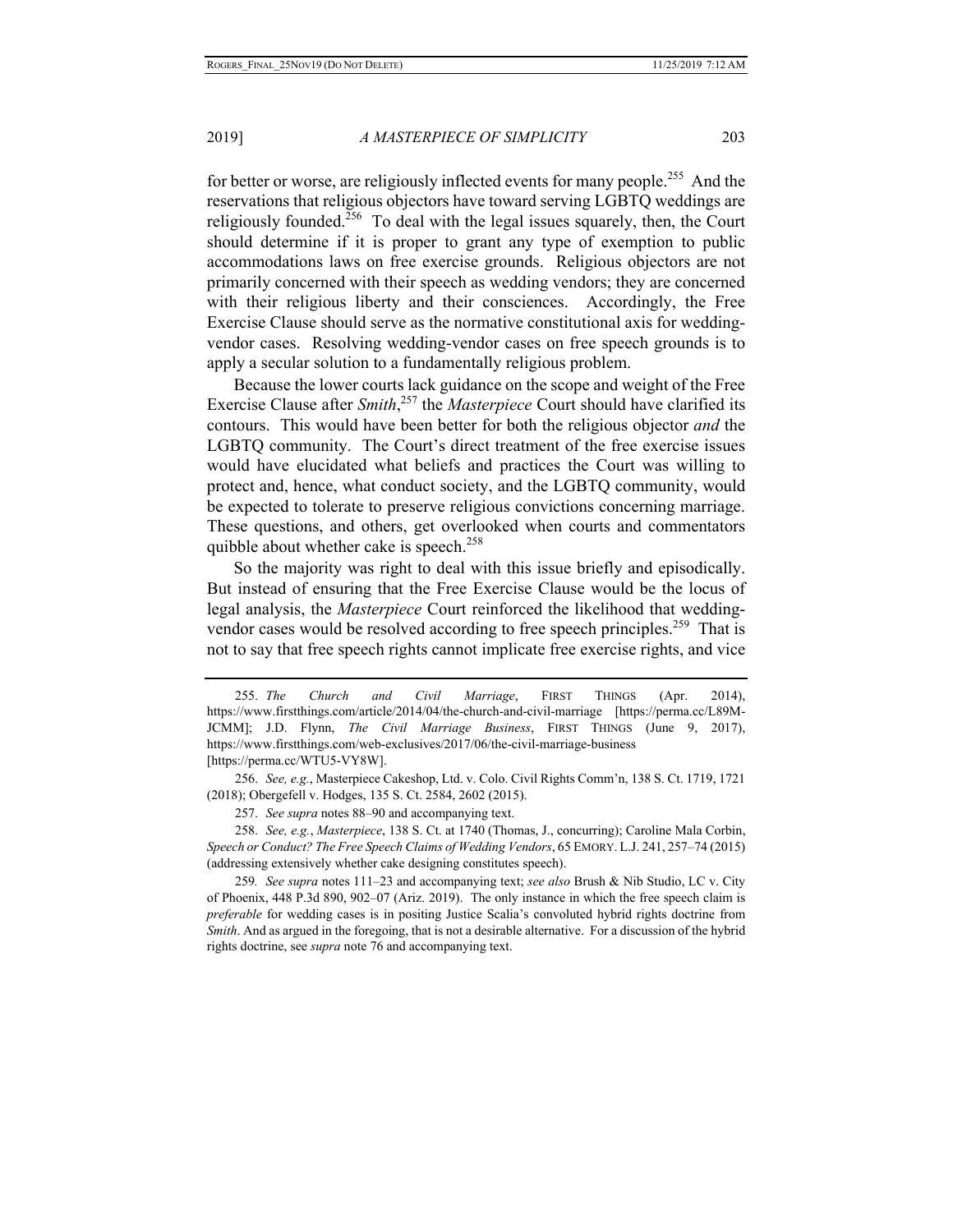for better or worse, are religiously inflected events for many people.<sup>255</sup> And the reservations that religious objectors have toward serving LGBTQ weddings are religiously founded.<sup>256</sup> To deal with the legal issues squarely, then, the Court should determine if it is proper to grant any type of exemption to public accommodations laws on free exercise grounds. Religious objectors are not primarily concerned with their speech as wedding vendors; they are concerned with their religious liberty and their consciences. Accordingly, the Free Exercise Clause should serve as the normative constitutional axis for weddingvendor cases. Resolving wedding-vendor cases on free speech grounds is to apply a secular solution to a fundamentally religious problem.

Because the lower courts lack guidance on the scope and weight of the Free Exercise Clause after *Smith*, 257 the *Masterpiece* Court should have clarified its contours. This would have been better for both the religious objector *and* the LGBTQ community. The Court's direct treatment of the free exercise issues would have elucidated what beliefs and practices the Court was willing to protect and, hence, what conduct society, and the LGBTQ community, would be expected to tolerate to preserve religious convictions concerning marriage. These questions, and others, get overlooked when courts and commentators quibble about whether cake is speech.<sup>258</sup>

So the majority was right to deal with this issue briefly and episodically. But instead of ensuring that the Free Exercise Clause would be the locus of legal analysis, the *Masterpiece* Court reinforced the likelihood that weddingvendor cases would be resolved according to free speech principles.<sup>259</sup> That is not to say that free speech rights cannot implicate free exercise rights, and vice

257. *See supra* notes 88–90 and accompanying text.

258. *See, e.g.*, *Masterpiece*, 138 S. Ct. at 1740 (Thomas, J., concurring); Caroline Mala Corbin, *Speech or Conduct? The Free Speech Claims of Wedding Vendors*, 65 EMORY. L.J. 241, 257–74 (2015) (addressing extensively whether cake designing constitutes speech).

259*. See supra* notes 111–23 and accompanying text; *see also* Brush & Nib Studio, LC v. City of Phoenix, 448 P.3d 890, 902–07 (Ariz. 2019). The only instance in which the free speech claim is *preferable* for wedding cases is in positing Justice Scalia's convoluted hybrid rights doctrine from *Smith*. And as argued in the foregoing, that is not a desirable alternative. For a discussion of the hybrid rights doctrine, see *supra* note 76 and accompanying text.

<sup>255.</sup> *The Church and Civil Marriage*, FIRST THINGS (Apr. 2014), https://www.firstthings.com/article/2014/04/the-church-and-civil-marriage [https://perma.cc/L89M-JCMM]; J.D. Flynn, *The Civil Marriage Business*, FIRST THINGS (June 9, 2017), https://www.firstthings.com/web-exclusives/2017/06/the-civil-marriage-business [https://perma.cc/WTU5-VY8W].

<sup>256.</sup> *See, e.g.*, Masterpiece Cakeshop, Ltd. v. Colo. Civil Rights Comm'n, 138 S. Ct. 1719, 1721 (2018); Obergefell v. Hodges, 135 S. Ct. 2584, 2602 (2015).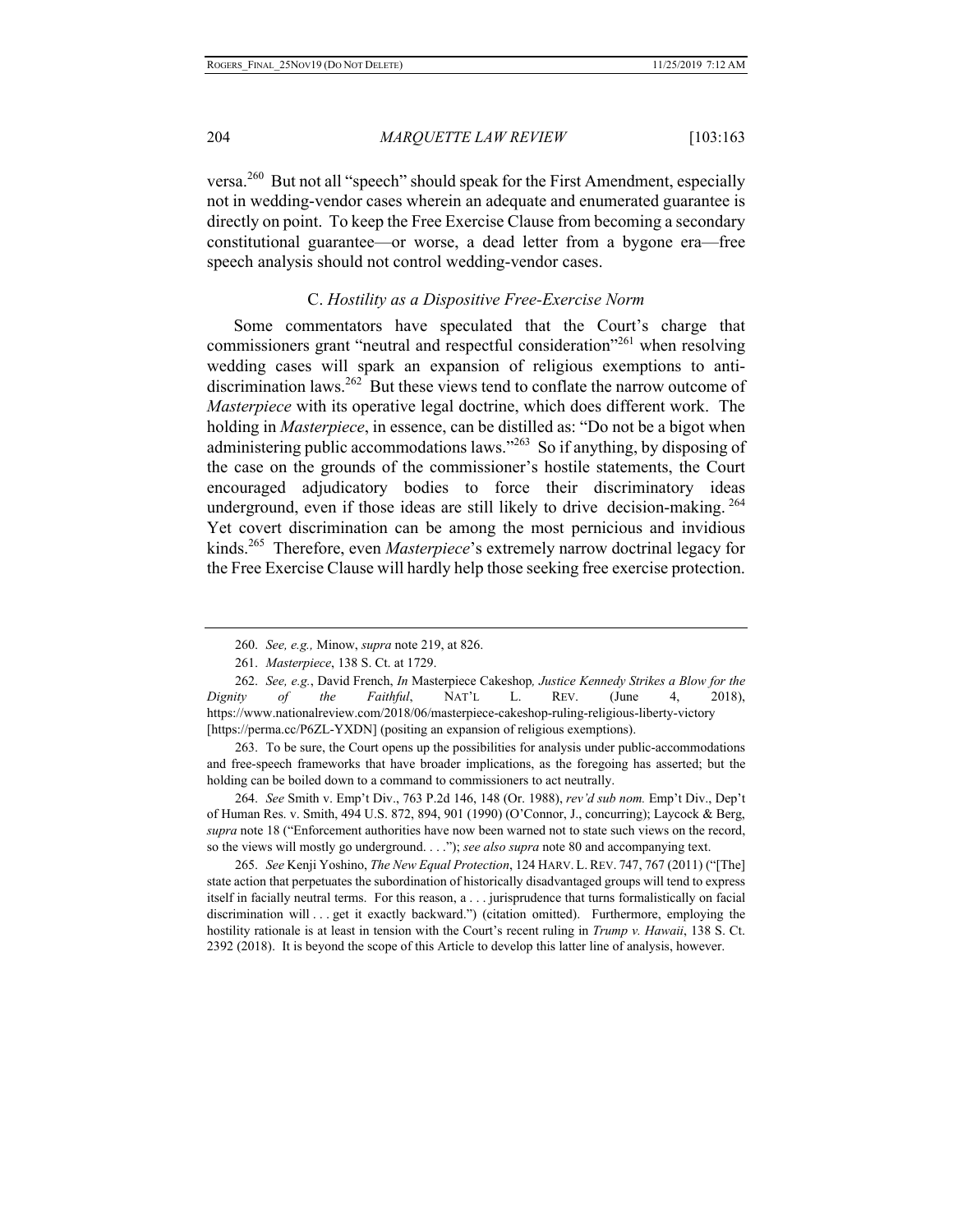versa.<sup>260</sup> But not all "speech" should speak for the First Amendment, especially not in wedding-vendor cases wherein an adequate and enumerated guarantee is directly on point. To keep the Free Exercise Clause from becoming a secondary constitutional guarantee—or worse, a dead letter from a bygone era—free speech analysis should not control wedding-vendor cases.

## C. *Hostility as a Dispositive Free-Exercise Norm*

Some commentators have speculated that the Court's charge that commissioners grant "neutral and respectful consideration"<sup>261</sup> when resolving wedding cases will spark an expansion of religious exemptions to antidiscrimination laws.<sup>262</sup> But these views tend to conflate the narrow outcome of *Masterpiece* with its operative legal doctrine, which does different work. The holding in *Masterpiece*, in essence, can be distilled as: "Do not be a bigot when administering public accommodations laws."<sup>263</sup> So if anything, by disposing of the case on the grounds of the commissioner's hostile statements, the Court encouraged adjudicatory bodies to force their discriminatory ideas underground, even if those ideas are still likely to drive decision-making.  $264$ Yet covert discrimination can be among the most pernicious and invidious kinds.265 Therefore, even *Masterpiece*'s extremely narrow doctrinal legacy for the Free Exercise Clause will hardly help those seeking free exercise protection.

263. To be sure, the Court opens up the possibilities for analysis under public-accommodations and free-speech frameworks that have broader implications, as the foregoing has asserted; but the holding can be boiled down to a command to commissioners to act neutrally.

264. *See* Smith v. Emp't Div., 763 P.2d 146, 148 (Or. 1988), *rev'd sub nom.* Emp't Div., Dep't of Human Res. v. Smith, 494 U.S. 872, 894, 901 (1990) (O'Connor, J., concurring); Laycock & Berg, *supra* note 18 ("Enforcement authorities have now been warned not to state such views on the record, so the views will mostly go underground. . . ."); *see also supra* note 80 and accompanying text.

265. *See* Kenji Yoshino, *The New Equal Protection*, 124 HARV. L. REV. 747, 767 (2011) ("[The] state action that perpetuates the subordination of historically disadvantaged groups will tend to express itself in facially neutral terms. For this reason, a . . . jurisprudence that turns formalistically on facial discrimination will . . . get it exactly backward.") (citation omitted). Furthermore, employing the hostility rationale is at least in tension with the Court's recent ruling in *Trump v. Hawaii*, 138 S. Ct. 2392 (2018). It is beyond the scope of this Article to develop this latter line of analysis, however.

<sup>260.</sup> *See, e.g.,* Minow, *supra* note 219, at 826.

<sup>261.</sup> *Masterpiece*, 138 S. Ct. at 1729.

<sup>262.</sup> *See, e.g.*, David French, *In* Masterpiece Cakeshop*, Justice Kennedy Strikes a Blow for the Dignity of the Faithful*, NAT'L L. REV. (June 4, 2018), https://www.nationalreview.com/2018/06/masterpiece-cakeshop-ruling-religious-liberty-victory [https://perma.cc/P6ZL-YXDN] (positing an expansion of religious exemptions).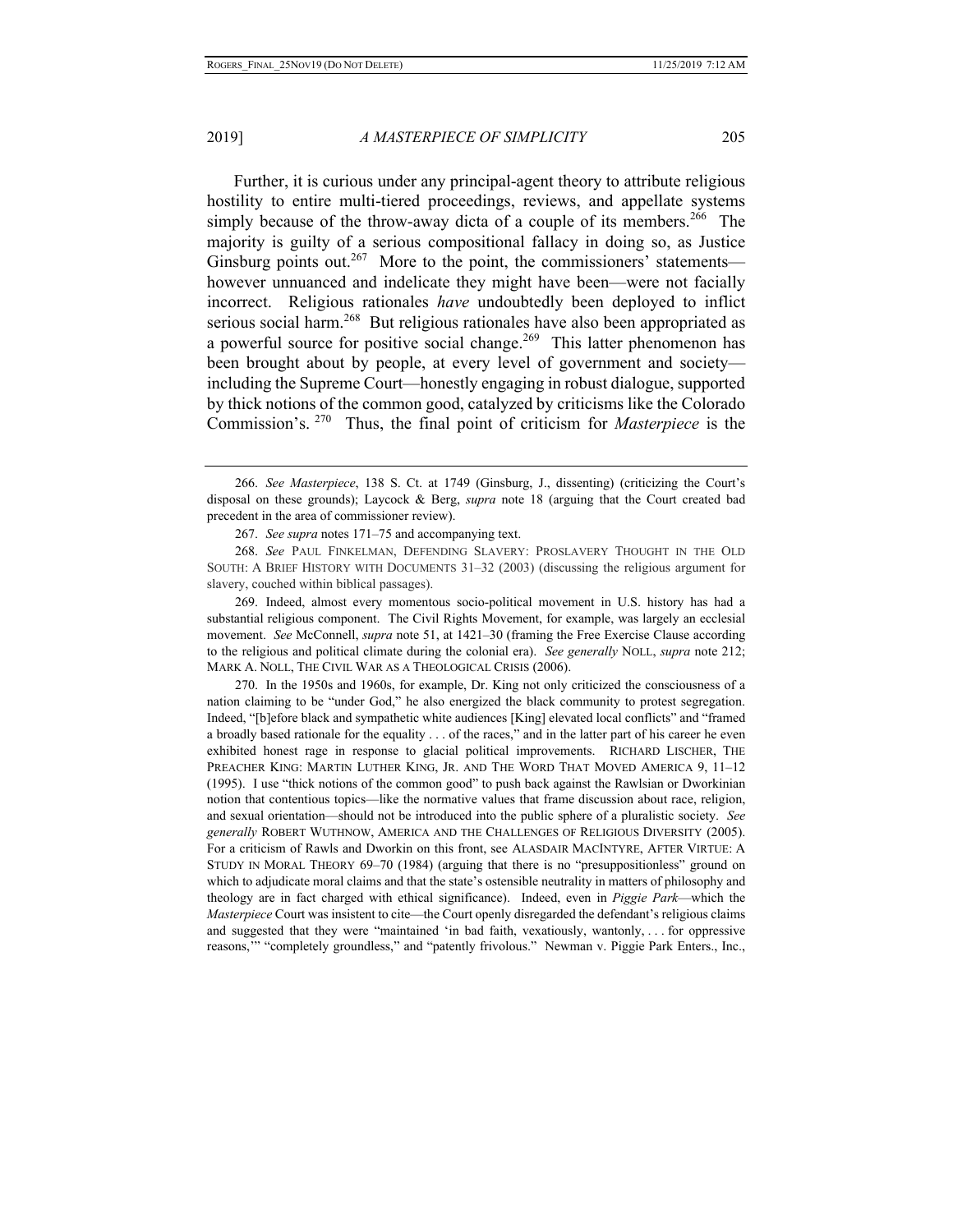Further, it is curious under any principal-agent theory to attribute religious hostility to entire multi-tiered proceedings, reviews, and appellate systems simply because of the throw-away dicta of a couple of its members.<sup>266</sup> The majority is guilty of a serious compositional fallacy in doing so, as Justice Ginsburg points out.<sup>267</sup> More to the point, the commissioners' statements however unnuanced and indelicate they might have been—were not facially incorrect. Religious rationales *have* undoubtedly been deployed to inflict serious social harm.<sup>268</sup> But religious rationales have also been appropriated as a powerful source for positive social change.<sup>269</sup> This latter phenomenon has been brought about by people, at every level of government and society including the Supreme Court—honestly engaging in robust dialogue, supported by thick notions of the common good, catalyzed by criticisms like the Colorado Commission's. 270 Thus, the final point of criticism for *Masterpiece* is the

269. Indeed, almost every momentous socio-political movement in U.S. history has had a substantial religious component. The Civil Rights Movement, for example, was largely an ecclesial movement. *See* McConnell, *supra* note 51, at 1421–30 (framing the Free Exercise Clause according to the religious and political climate during the colonial era). *See generally* NOLL, *supra* note 212; MARK A. NOLL, THE CIVIL WAR AS A THEOLOGICAL CRISIS (2006).

270. In the 1950s and 1960s, for example, Dr. King not only criticized the consciousness of a nation claiming to be "under God," he also energized the black community to protest segregation. Indeed, "[b]efore black and sympathetic white audiences [King] elevated local conflicts" and "framed a broadly based rationale for the equality . . . of the races," and in the latter part of his career he even exhibited honest rage in response to glacial political improvements. RICHARD LISCHER, THE PREACHER KING: MARTIN LUTHER KING, JR. AND THE WORD THAT MOVED AMERICA 9, 11–12 (1995). I use "thick notions of the common good" to push back against the Rawlsian or Dworkinian notion that contentious topics—like the normative values that frame discussion about race, religion, and sexual orientation—should not be introduced into the public sphere of a pluralistic society. *See generally* ROBERT WUTHNOW, AMERICA AND THE CHALLENGES OF RELIGIOUS DIVERSITY (2005). For a criticism of Rawls and Dworkin on this front, see ALASDAIR MACINTYRE, AFTER VIRTUE: A STUDY IN MORAL THEORY 69–70 (1984) (arguing that there is no "presuppositionless" ground on which to adjudicate moral claims and that the state's ostensible neutrality in matters of philosophy and theology are in fact charged with ethical significance). Indeed, even in *Piggie Park*—which the *Masterpiece* Court was insistent to cite—the Court openly disregarded the defendant's religious claims and suggested that they were "maintained 'in bad faith, vexatiously, wantonly, . . . for oppressive reasons,'" "completely groundless," and "patently frivolous." Newman v. Piggie Park Enters., Inc.,

<sup>266.</sup> *See Masterpiece*, 138 S. Ct. at 1749 (Ginsburg, J., dissenting) (criticizing the Court's disposal on these grounds); Laycock & Berg, *supra* note 18 (arguing that the Court created bad precedent in the area of commissioner review).

<sup>267.</sup> *See supra* notes 171–75 and accompanying text.

<sup>268.</sup> *See* PAUL FINKELMAN, DEFENDING SLAVERY: PROSLAVERY THOUGHT IN THE OLD SOUTH: A BRIEF HISTORY WITH DOCUMENTS 31–32 (2003) (discussing the religious argument for slavery, couched within biblical passages).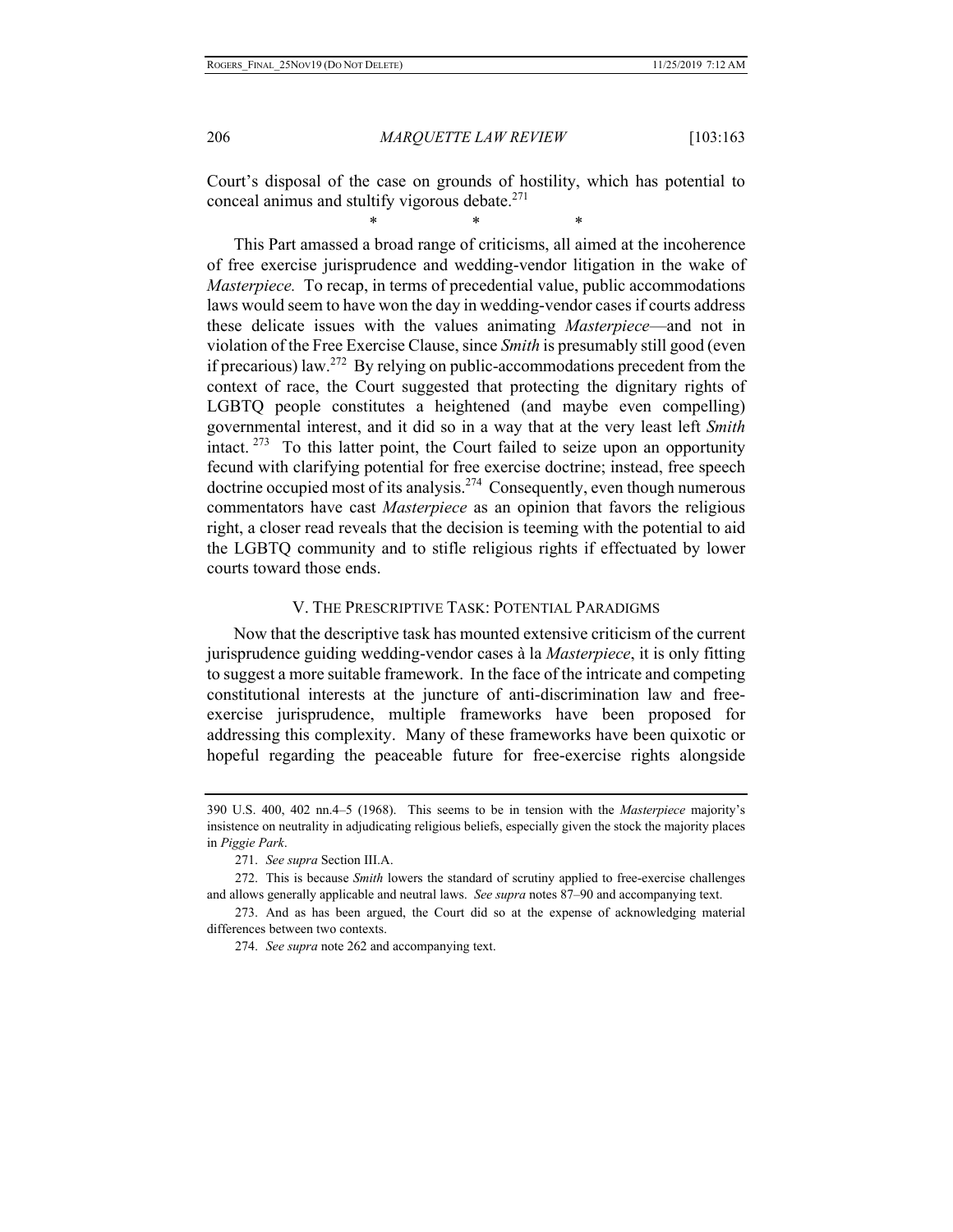Court's disposal of the case on grounds of hostility, which has potential to conceal animus and stultify vigorous debate.<sup>271</sup>

\* \* \*

This Part amassed a broad range of criticisms, all aimed at the incoherence of free exercise jurisprudence and wedding-vendor litigation in the wake of *Masterpiece.* To recap, in terms of precedential value, public accommodations laws would seem to have won the day in wedding-vendor cases if courts address these delicate issues with the values animating *Masterpiece*—and not in violation of the Free Exercise Clause, since *Smith* is presumably still good (even if precarious) law.<sup>272</sup> By relying on public-accommodations precedent from the context of race, the Court suggested that protecting the dignitary rights of LGBTQ people constitutes a heightened (and maybe even compelling) governmental interest, and it did so in a way that at the very least left *Smith*  intact.  $273$  To this latter point, the Court failed to seize upon an opportunity fecund with clarifying potential for free exercise doctrine; instead, free speech doctrine occupied most of its analysis.<sup>274</sup> Consequently, even though numerous commentators have cast *Masterpiece* as an opinion that favors the religious right, a closer read reveals that the decision is teeming with the potential to aid the LGBTQ community and to stifle religious rights if effectuated by lower courts toward those ends.

#### V. THE PRESCRIPTIVE TASK: POTENTIAL PARADIGMS

Now that the descriptive task has mounted extensive criticism of the current jurisprudence guiding wedding-vendor cases à la *Masterpiece*, it is only fitting to suggest a more suitable framework. In the face of the intricate and competing constitutional interests at the juncture of anti-discrimination law and freeexercise jurisprudence, multiple frameworks have been proposed for addressing this complexity. Many of these frameworks have been quixotic or hopeful regarding the peaceable future for free-exercise rights alongside

272. This is because *Smith* lowers the standard of scrutiny applied to free-exercise challenges and allows generally applicable and neutral laws. *See supra* notes 87–90 and accompanying text.

273. And as has been argued, the Court did so at the expense of acknowledging material differences between two contexts.

274. *See supra* note 262 and accompanying text.

<sup>390</sup> U.S. 400, 402 nn.4–5 (1968). This seems to be in tension with the *Masterpiece* majority's insistence on neutrality in adjudicating religious beliefs, especially given the stock the majority places in *Piggie Park*.

<sup>271.</sup> *See supra* Section III.A.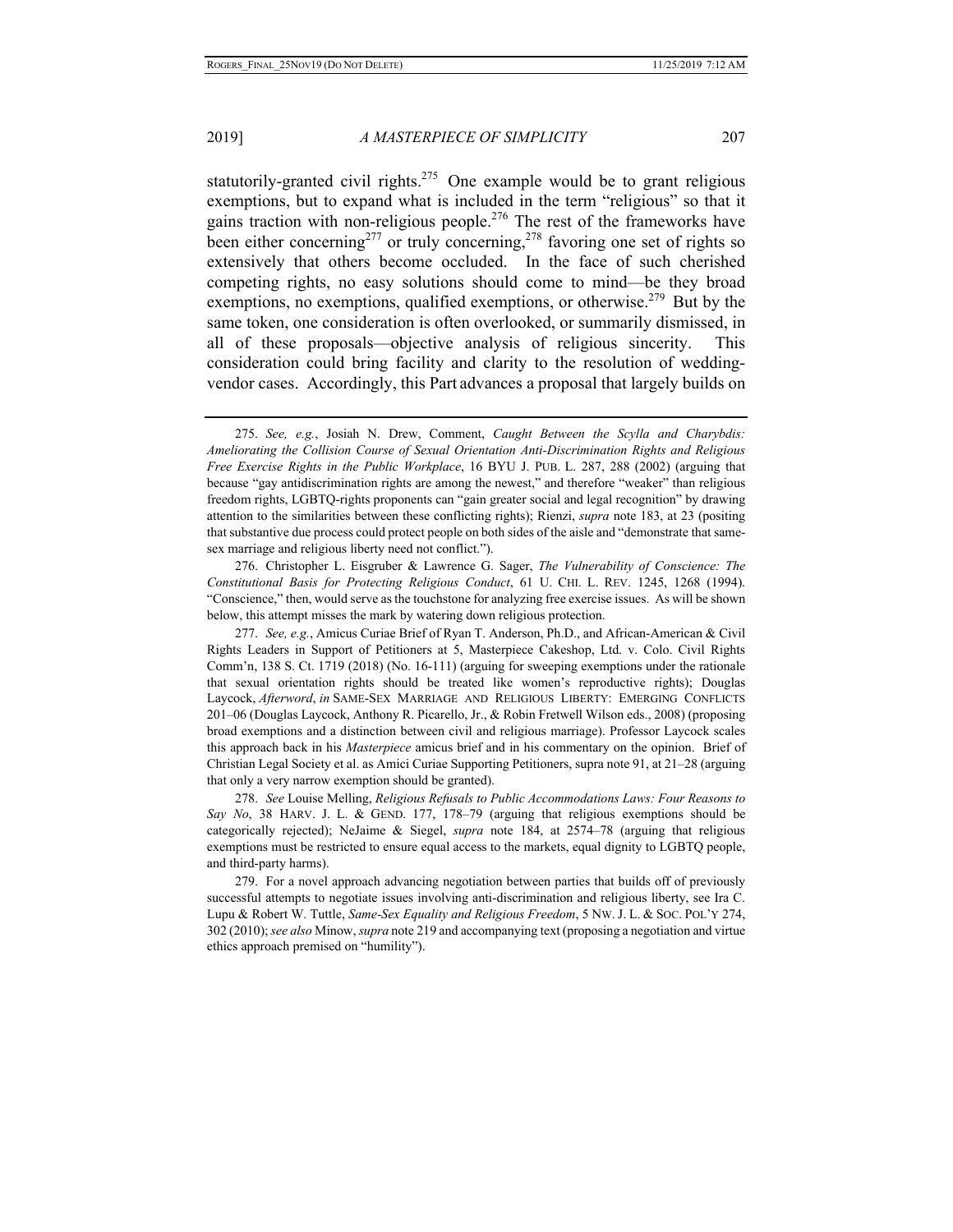statutorily-granted civil rights.<sup>275</sup> One example would be to grant religious exemptions, but to expand what is included in the term "religious" so that it gains traction with non-religious people.276 The rest of the frameworks have been either concerning<sup>277</sup> or truly concerning,<sup>278</sup> favoring one set of rights so extensively that others become occluded. In the face of such cherished competing rights, no easy solutions should come to mind—be they broad exemptions, no exemptions, qualified exemptions, or otherwise.<sup>279</sup> But by the same token, one consideration is often overlooked, or summarily dismissed, in all of these proposals—objective analysis of religious sincerity. This consideration could bring facility and clarity to the resolution of weddingvendor cases. Accordingly, this Part advances a proposal that largely builds on

276. Christopher L. Eisgruber & Lawrence G. Sager, *The Vulnerability of Conscience: The Constitutional Basis for Protecting Religious Conduct*, 61 U. CHI. L. REV. 1245, 1268 (1994). "Conscience," then, would serve as the touchstone for analyzing free exercise issues. As will be shown below, this attempt misses the mark by watering down religious protection.

277. *See, e.g.*, Amicus Curiae Brief of Ryan T. Anderson, Ph.D., and African-American & Civil Rights Leaders in Support of Petitioners at 5, Masterpiece Cakeshop, Ltd. v. Colo. Civil Rights Comm'n, 138 S. Ct. 1719 (2018) (No. 16-111) (arguing for sweeping exemptions under the rationale that sexual orientation rights should be treated like women's reproductive rights); Douglas Laycock, *Afterword*, *in* SAME-SEX MARRIAGE AND RELIGIOUS LIBERTY: EMERGING CONFLICTS 201–06 (Douglas Laycock, Anthony R. Picarello, Jr., & Robin Fretwell Wilson eds., 2008) (proposing broad exemptions and a distinction between civil and religious marriage). Professor Laycock scales this approach back in his *Masterpiece* amicus brief and in his commentary on the opinion. Brief of Christian Legal Society et al. as Amici Curiae Supporting Petitioners, supra note 91, at 21–28 (arguing that only a very narrow exemption should be granted).

278. *See* Louise Melling, *Religious Refusals to Public Accommodations Laws: Four Reasons to Say No*, 38 HARV. J. L. & GEND. 177, 178–79 (arguing that religious exemptions should be categorically rejected); NeJaime & Siegel, *supra* note 184, at 2574–78 (arguing that religious exemptions must be restricted to ensure equal access to the markets, equal dignity to LGBTQ people, and third-party harms).

279. For a novel approach advancing negotiation between parties that builds off of previously successful attempts to negotiate issues involving anti-discrimination and religious liberty, see Ira C. Lupu & Robert W. Tuttle, *Same-Sex Equality and Religious Freedom*, 5 NW. J. L. & SOC. POL'Y 274, 302 (2010); *see also* Minow, *supra* note 219 and accompanying text (proposing a negotiation and virtue ethics approach premised on "humility").

<sup>275.</sup> *See, e.g.*, Josiah N. Drew, Comment, *Caught Between the Scylla and Charybdis: Ameliorating the Collision Course of Sexual Orientation Anti-Discrimination Rights and Religious Free Exercise Rights in the Public Workplace*, 16 BYU J. PUB. L. 287, 288 (2002) (arguing that because "gay antidiscrimination rights are among the newest," and therefore "weaker" than religious freedom rights, LGBTQ-rights proponents can "gain greater social and legal recognition" by drawing attention to the similarities between these conflicting rights); Rienzi, *supra* note 183, at 23 (positing that substantive due process could protect people on both sides of the aisle and "demonstrate that samesex marriage and religious liberty need not conflict.").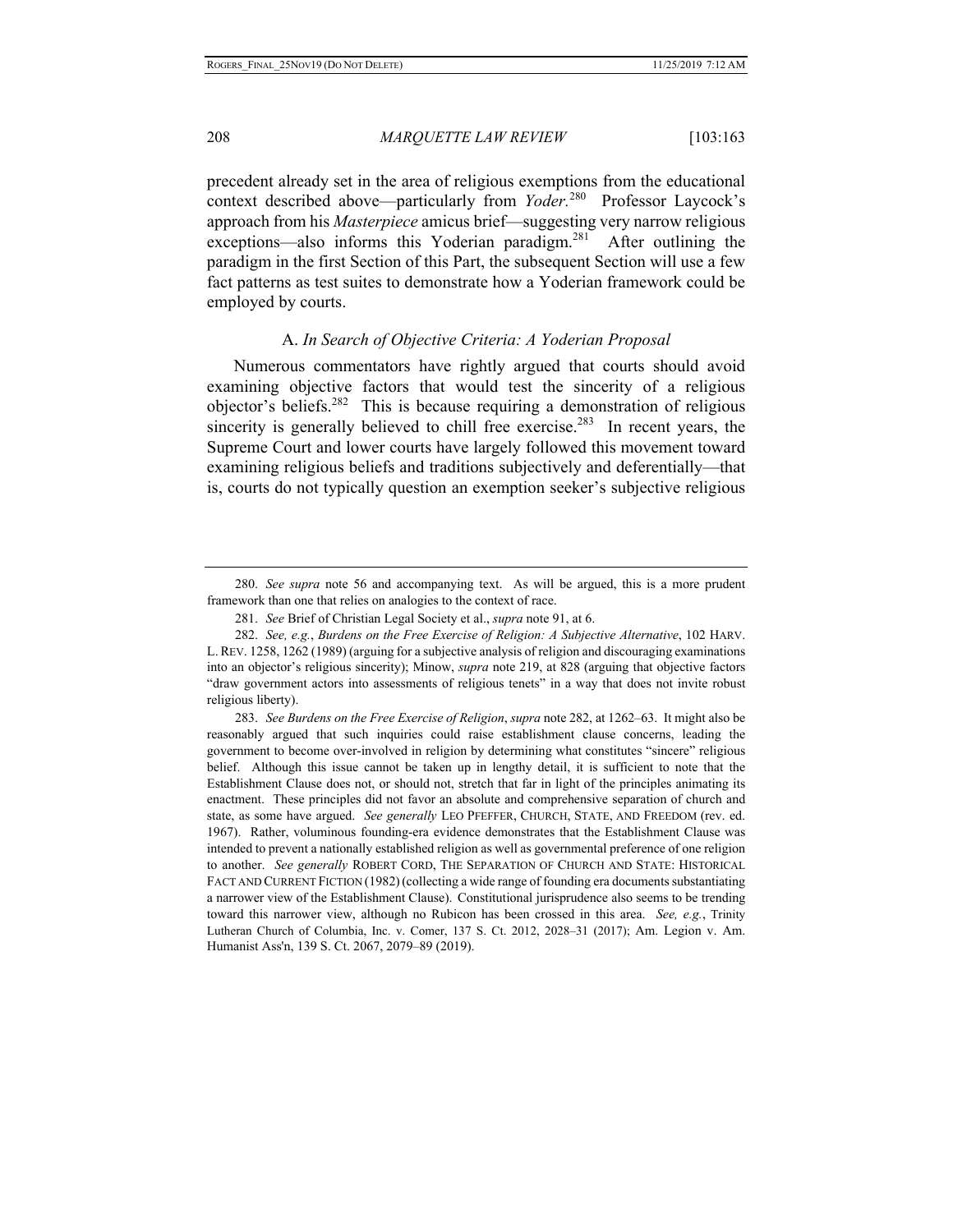precedent already set in the area of religious exemptions from the educational context described above—particularly from *Yoder*.<sup>280</sup> Professor Laycock's approach from his *Masterpiece* amicus brief—suggesting very narrow religious exceptions—also informs this Yoderian paradigm.<sup>281</sup> After outlining the paradigm in the first Section of this Part, the subsequent Section will use a few fact patterns as test suites to demonstrate how a Yoderian framework could be employed by courts.

#### A. *In Search of Objective Criteria: A Yoderian Proposal*

Numerous commentators have rightly argued that courts should avoid examining objective factors that would test the sincerity of a religious objector's beliefs.<sup>282</sup> This is because requiring a demonstration of religious sincerity is generally believed to chill free exercise.<sup>283</sup> In recent years, the Supreme Court and lower courts have largely followed this movement toward examining religious beliefs and traditions subjectively and deferentially—that is, courts do not typically question an exemption seeker's subjective religious

283. *See Burdens on the Free Exercise of Religion*, *supra* note 282, at 1262–63. It might also be reasonably argued that such inquiries could raise establishment clause concerns, leading the government to become over-involved in religion by determining what constitutes "sincere" religious belief. Although this issue cannot be taken up in lengthy detail, it is sufficient to note that the Establishment Clause does not, or should not, stretch that far in light of the principles animating its enactment. These principles did not favor an absolute and comprehensive separation of church and state, as some have argued. *See generally* LEO PFEFFER, CHURCH, STATE, AND FREEDOM (rev. ed. 1967). Rather, voluminous founding-era evidence demonstrates that the Establishment Clause was intended to prevent a nationally established religion as well as governmental preference of one religion to another. *See generally* ROBERT CORD, THE SEPARATION OF CHURCH AND STATE: HISTORICAL FACT AND CURRENT FICTION (1982)(collecting a wide range of founding era documents substantiating a narrower view of the Establishment Clause). Constitutional jurisprudence also seems to be trending toward this narrower view, although no Rubicon has been crossed in this area. *See, e.g.*, Trinity Lutheran Church of Columbia, Inc. v. Comer, 137 S. Ct. 2012, 2028–31 (2017); Am. Legion v. Am. Humanist Ass'n, 139 S. Ct. 2067, 2079–89 (2019).

<sup>280.</sup> *See supra* note 56 and accompanying text. As will be argued, this is a more prudent framework than one that relies on analogies to the context of race.

<sup>281.</sup> *See* Brief of Christian Legal Society et al., *supra* note 91, at 6.

<sup>282.</sup> *See, e.g.*, *Burdens on the Free Exercise of Religion: A Subjective Alternative*, 102 HARV. L.REV. 1258, 1262 (1989) (arguing for a subjective analysis of religion and discouraging examinations into an objector's religious sincerity); Minow, *supra* note 219, at 828 (arguing that objective factors "draw government actors into assessments of religious tenets" in a way that does not invite robust religious liberty).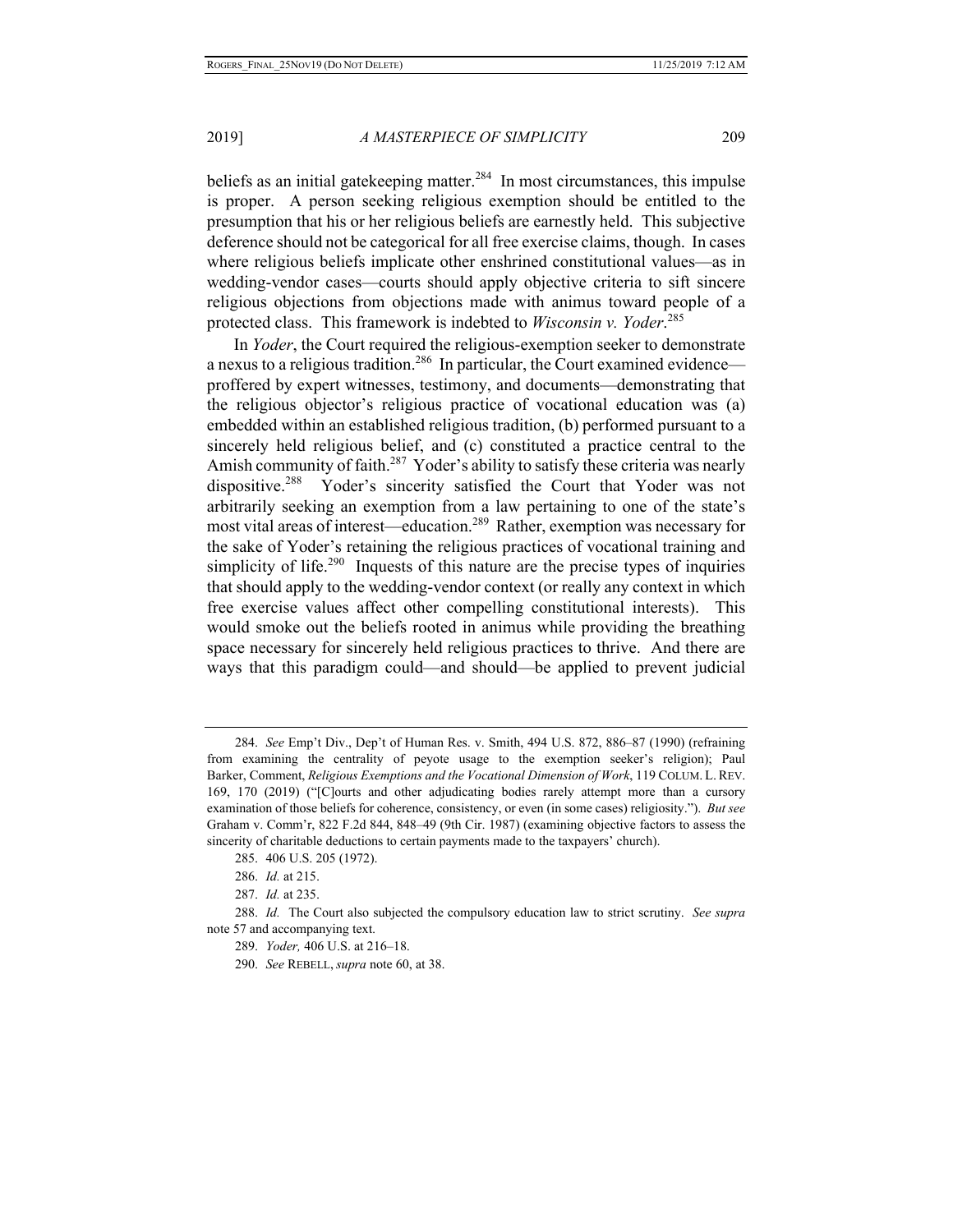beliefs as an initial gatekeeping matter.<sup>284</sup> In most circumstances, this impulse is proper. A person seeking religious exemption should be entitled to the presumption that his or her religious beliefs are earnestly held. This subjective deference should not be categorical for all free exercise claims, though. In cases where religious beliefs implicate other enshrined constitutional values—as in wedding-vendor cases—courts should apply objective criteria to sift sincere religious objections from objections made with animus toward people of a protected class. This framework is indebted to *Wisconsin v. Yoder*. 285

In *Yoder*, the Court required the religious-exemption seeker to demonstrate a nexus to a religious tradition.<sup>286</sup> In particular, the Court examined evidence proffered by expert witnesses, testimony, and documents—demonstrating that the religious objector's religious practice of vocational education was (a) embedded within an established religious tradition, (b) performed pursuant to a sincerely held religious belief, and (c) constituted a practice central to the Amish community of faith.<sup>287</sup> Yoder's ability to satisfy these criteria was nearly dispositive.<sup>288</sup> Yoder's sincerity satisfied the Court that Yoder was not arbitrarily seeking an exemption from a law pertaining to one of the state's most vital areas of interest—education.289 Rather, exemption was necessary for the sake of Yoder's retaining the religious practices of vocational training and simplicity of life.<sup>290</sup> Inquests of this nature are the precise types of inquiries that should apply to the wedding-vendor context (or really any context in which free exercise values affect other compelling constitutional interests). This would smoke out the beliefs rooted in animus while providing the breathing space necessary for sincerely held religious practices to thrive. And there are ways that this paradigm could—and should—be applied to prevent judicial

<sup>284.</sup> *See* Emp't Div., Dep't of Human Res. v. Smith, 494 U.S. 872, 886–87 (1990) (refraining from examining the centrality of peyote usage to the exemption seeker's religion); Paul Barker, Comment, *Religious Exemptions and the Vocational Dimension of Work*, 119 COLUM. L. REV. 169, 170 (2019) ("[C]ourts and other adjudicating bodies rarely attempt more than a cursory examination of those beliefs for coherence, consistency, or even (in some cases) religiosity."). *But see*  Graham v. Comm'r, 822 F.2d 844, 848–49 (9th Cir. 1987) (examining objective factors to assess the sincerity of charitable deductions to certain payments made to the taxpayers' church).

<sup>285. 406</sup> U.S. 205 (1972).

<sup>286.</sup> *Id.* at 215.

<sup>287.</sup> *Id.* at 235.

<sup>288.</sup> *Id.* The Court also subjected the compulsory education law to strict scrutiny. *See supra*  note 57 and accompanying text.

<sup>289.</sup> *Yoder,* 406 U.S. at 216–18.

<sup>290.</sup> *See* REBELL, *supra* note 60, at 38.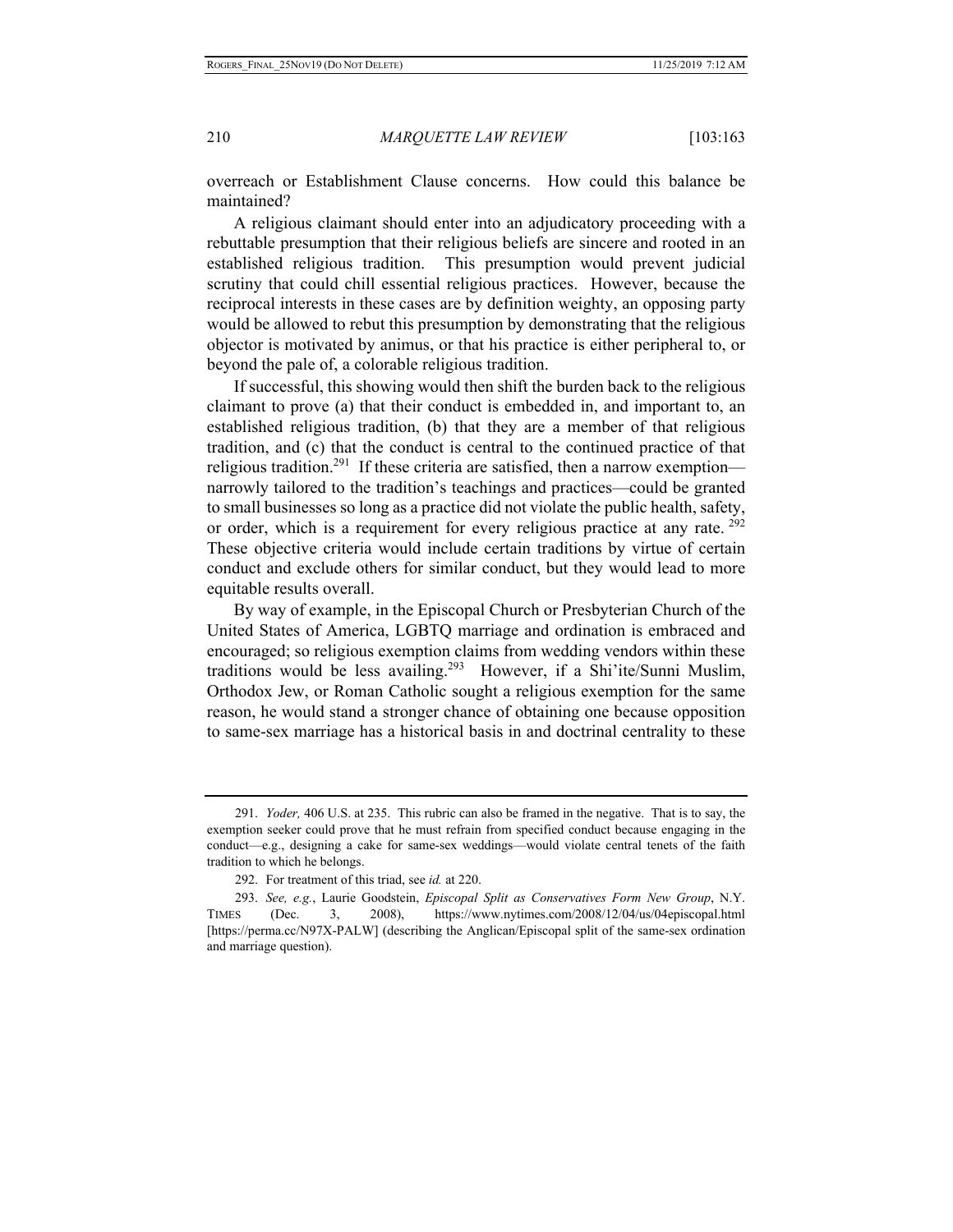overreach or Establishment Clause concerns. How could this balance be maintained?

A religious claimant should enter into an adjudicatory proceeding with a rebuttable presumption that their religious beliefs are sincere and rooted in an established religious tradition. This presumption would prevent judicial scrutiny that could chill essential religious practices. However, because the reciprocal interests in these cases are by definition weighty, an opposing party would be allowed to rebut this presumption by demonstrating that the religious objector is motivated by animus, or that his practice is either peripheral to, or beyond the pale of, a colorable religious tradition.

If successful, this showing would then shift the burden back to the religious claimant to prove (a) that their conduct is embedded in, and important to, an established religious tradition, (b) that they are a member of that religious tradition, and (c) that the conduct is central to the continued practice of that religious tradition.<sup>291</sup> If these criteria are satisfied, then a narrow exemption narrowly tailored to the tradition's teachings and practices—could be granted to small businesses so long as a practice did not violate the public health, safety, or order, which is a requirement for every religious practice at any rate. <sup>292</sup> These objective criteria would include certain traditions by virtue of certain conduct and exclude others for similar conduct, but they would lead to more equitable results overall.

By way of example, in the Episcopal Church or Presbyterian Church of the United States of America, LGBTQ marriage and ordination is embraced and encouraged; so religious exemption claims from wedding vendors within these traditions would be less availing.<sup>293</sup> However, if a Shi'ite/Sunni Muslim, Orthodox Jew, or Roman Catholic sought a religious exemption for the same reason, he would stand a stronger chance of obtaining one because opposition to same-sex marriage has a historical basis in and doctrinal centrality to these

<sup>291.</sup> *Yoder,* 406 U.S. at 235. This rubric can also be framed in the negative. That is to say, the exemption seeker could prove that he must refrain from specified conduct because engaging in the conduct—e.g., designing a cake for same-sex weddings—would violate central tenets of the faith tradition to which he belongs.

<sup>292.</sup> For treatment of this triad, see *id.* at 220.

<sup>293.</sup> *See, e.g.*, Laurie Goodstein, *Episcopal Split as Conservatives Form New Group*, N.Y. TIMES (Dec. 3, 2008), https://www.nytimes.com/2008/12/04/us/04episcopal.html [https://perma.cc/N97X-PALW] (describing the Anglican/Episcopal split of the same-sex ordination and marriage question).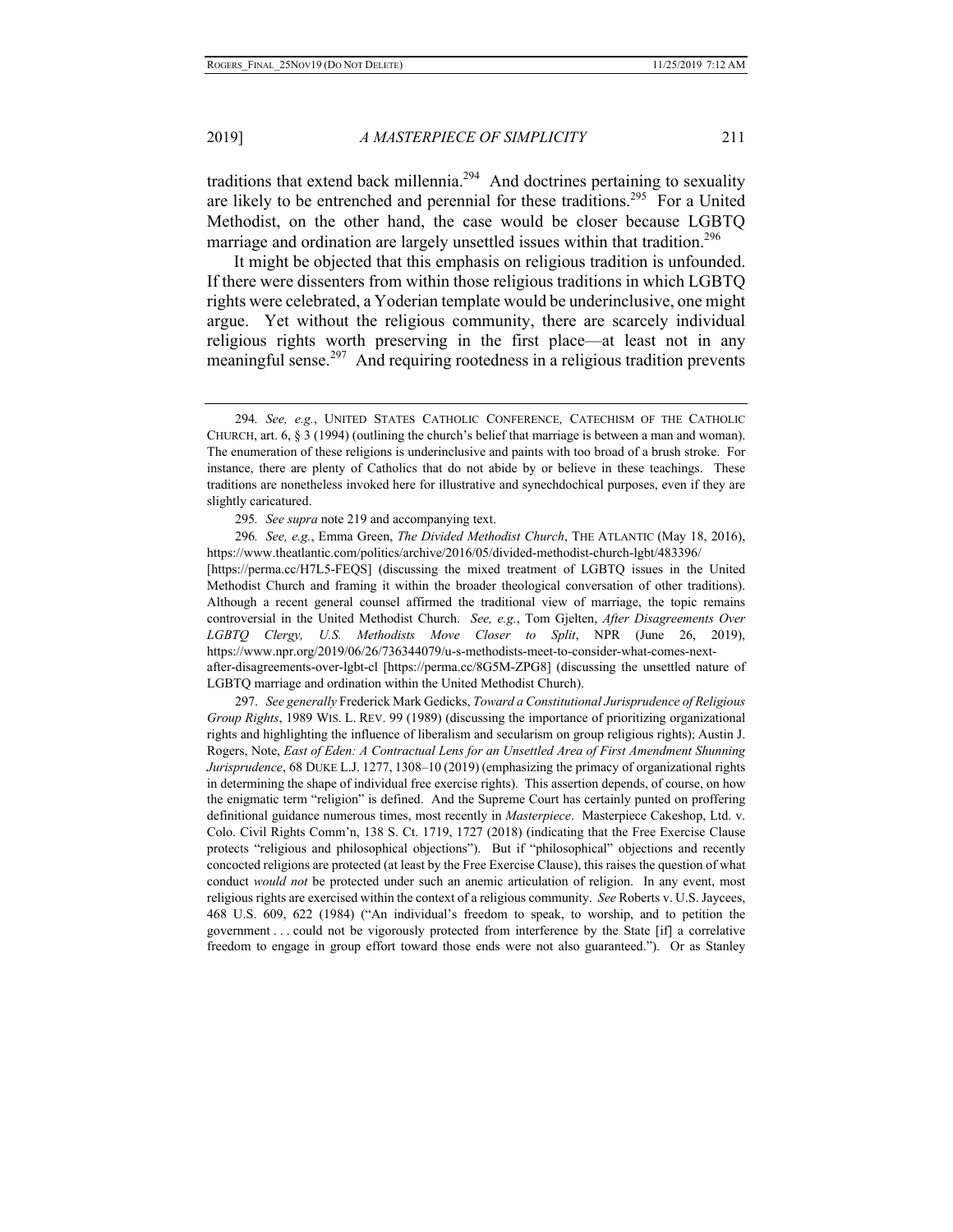traditions that extend back millennia.<sup>294</sup> And doctrines pertaining to sexuality are likely to be entrenched and perennial for these traditions.<sup>295</sup> For a United Methodist, on the other hand, the case would be closer because LGBTQ marriage and ordination are largely unsettled issues within that tradition.<sup>296</sup>

It might be objected that this emphasis on religious tradition is unfounded. If there were dissenters from within those religious traditions in which LGBTQ rights were celebrated, a Yoderian template would be underinclusive, one might argue. Yet without the religious community, there are scarcely individual religious rights worth preserving in the first place—at least not in any meaningful sense.297 And requiring rootedness in a religious tradition prevents

296*. See, e.g.*, Emma Green, *The Divided Methodist Church*, THE ATLANTIC (May 18, 2016), https://www.theatlantic.com/politics/archive/2016/05/divided-methodist-church-lgbt/483396/ [https://perma.cc/H7L5-FEQS] (discussing the mixed treatment of LGBTQ issues in the United Methodist Church and framing it within the broader theological conversation of other traditions). Although a recent general counsel affirmed the traditional view of marriage, the topic remains controversial in the United Methodist Church. *See, e.g.*, Tom Gjelten, *After Disagreements Over LGBTQ Clergy, U.S. Methodists Move Closer to Split*, NPR (June 26, 2019), https://www.npr.org/2019/06/26/736344079/u-s-methodists-meet-to-consider-what-comes-nextafter-disagreements-over-lgbt-cl [https://perma.cc/8G5M-ZPG8] (discussing the unsettled nature of LGBTQ marriage and ordination within the United Methodist Church).

297. *See generally* Frederick Mark Gedicks, *Toward a Constitutional Jurisprudence of Religious Group Rights*, 1989 WIS. L. REV. 99 (1989) (discussing the importance of prioritizing organizational rights and highlighting the influence of liberalism and secularism on group religious rights); Austin J. Rogers, Note, *East of Eden: A Contractual Lens for an Unsettled Area of First Amendment Shunning Jurisprudence*, 68 DUKE L.J. 1277, 1308–10 (2019) (emphasizing the primacy of organizational rights in determining the shape of individual free exercise rights). This assertion depends, of course, on how the enigmatic term "religion" is defined. And the Supreme Court has certainly punted on proffering definitional guidance numerous times, most recently in *Masterpiece*. Masterpiece Cakeshop, Ltd. v. Colo. Civil Rights Comm'n, 138 S. Ct. 1719, 1727 (2018) (indicating that the Free Exercise Clause protects "religious and philosophical objections"). But if "philosophical" objections and recently concocted religions are protected (at least by the Free Exercise Clause), this raises the question of what conduct *would not* be protected under such an anemic articulation of religion. In any event, most religious rights are exercised within the context of a religious community. *See* Roberts v. U.S. Jaycees, 468 U.S. 609, 622 (1984) ("An individual's freedom to speak, to worship, and to petition the government . . . could not be vigorously protected from interference by the State [if] a correlative freedom to engage in group effort toward those ends were not also guaranteed."). Or as Stanley

<sup>294</sup>*. See, e.g.*, UNITED STATES CATHOLIC CONFERENCE*,* CATECHISM OF THE CATHOLIC CHURCH, art. 6, § 3 (1994) (outlining the church's belief that marriage is between a man and woman). The enumeration of these religions is underinclusive and paints with too broad of a brush stroke. For instance, there are plenty of Catholics that do not abide by or believe in these teachings. These traditions are nonetheless invoked here for illustrative and synechdochical purposes, even if they are slightly caricatured.

<sup>295</sup>*. See supra* note 219 and accompanying text.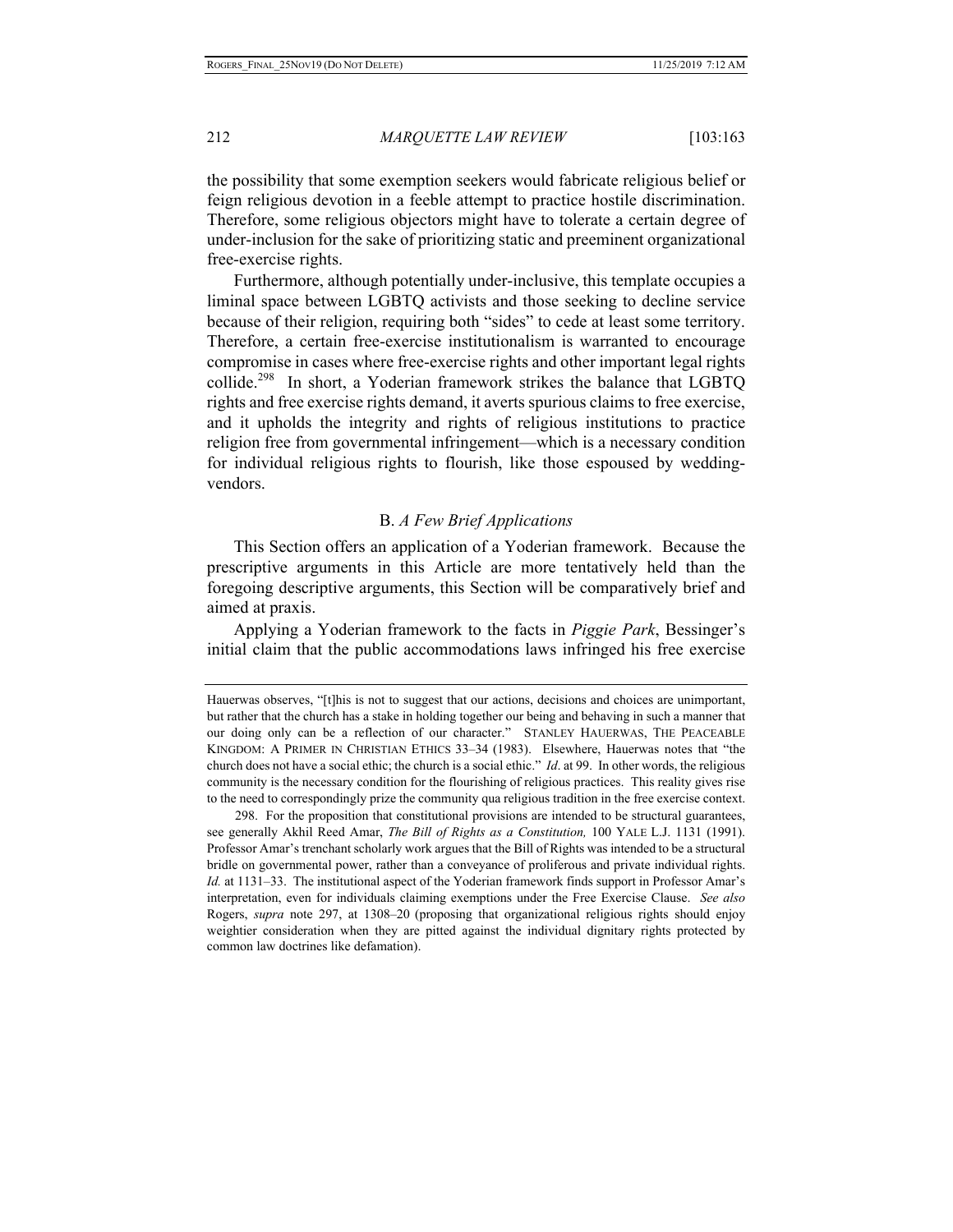the possibility that some exemption seekers would fabricate religious belief or feign religious devotion in a feeble attempt to practice hostile discrimination. Therefore, some religious objectors might have to tolerate a certain degree of under-inclusion for the sake of prioritizing static and preeminent organizational free-exercise rights.

Furthermore, although potentially under-inclusive, this template occupies a liminal space between LGBTQ activists and those seeking to decline service because of their religion, requiring both "sides" to cede at least some territory. Therefore, a certain free-exercise institutionalism is warranted to encourage compromise in cases where free-exercise rights and other important legal rights collide.<sup>298</sup> In short, a Yoderian framework strikes the balance that LGBTQ rights and free exercise rights demand, it averts spurious claims to free exercise, and it upholds the integrity and rights of religious institutions to practice religion free from governmental infringement—which is a necessary condition for individual religious rights to flourish, like those espoused by weddingvendors.

#### B. *A Few Brief Applications*

This Section offers an application of a Yoderian framework. Because the prescriptive arguments in this Article are more tentatively held than the foregoing descriptive arguments, this Section will be comparatively brief and aimed at praxis.

Applying a Yoderian framework to the facts in *Piggie Park*, Bessinger's initial claim that the public accommodations laws infringed his free exercise

Hauerwas observes, "[t]his is not to suggest that our actions, decisions and choices are unimportant, but rather that the church has a stake in holding together our being and behaving in such a manner that our doing only can be a reflection of our character." STANLEY HAUERWAS, THE PEACEABLE KINGDOM: A PRIMER IN CHRISTIAN ETHICS 33–34 (1983). Elsewhere, Hauerwas notes that "the church does not have a social ethic; the church is a social ethic." *Id*. at 99. In other words, the religious community is the necessary condition for the flourishing of religious practices. This reality gives rise to the need to correspondingly prize the community qua religious tradition in the free exercise context.

<sup>298.</sup> For the proposition that constitutional provisions are intended to be structural guarantees, see generally Akhil Reed Amar, *The Bill of Rights as a Constitution,* 100 YALE L.J. 1131 (1991). Professor Amar's trenchant scholarly work argues that the Bill of Rights was intended to be a structural bridle on governmental power, rather than a conveyance of proliferous and private individual rights. *Id.* at 1131–33. The institutional aspect of the Yoderian framework finds support in Professor Amar's interpretation, even for individuals claiming exemptions under the Free Exercise Clause. *See also*  Rogers, *supra* note 297, at 1308–20 (proposing that organizational religious rights should enjoy weightier consideration when they are pitted against the individual dignitary rights protected by common law doctrines like defamation).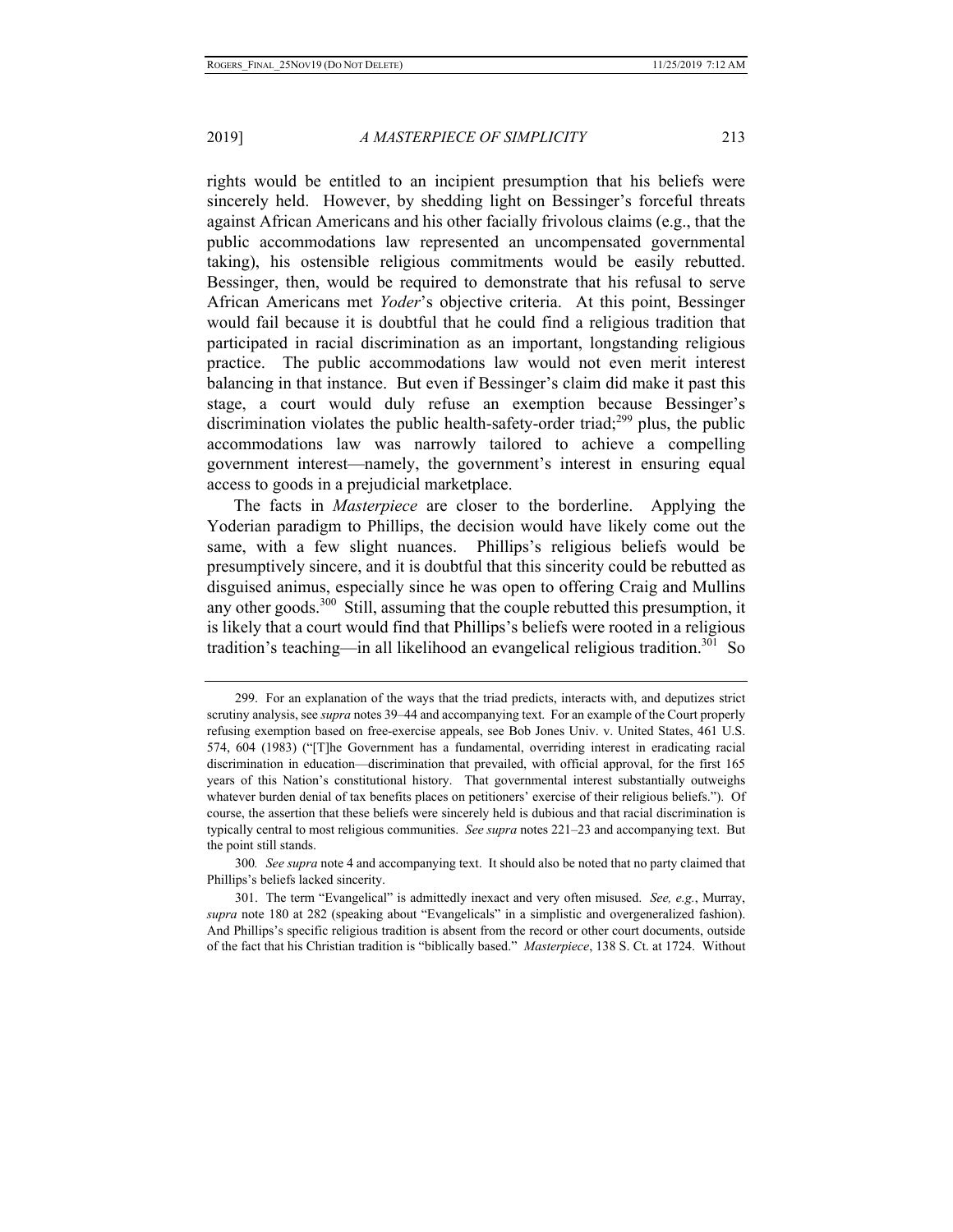rights would be entitled to an incipient presumption that his beliefs were sincerely held. However, by shedding light on Bessinger's forceful threats against African Americans and his other facially frivolous claims (e.g., that the public accommodations law represented an uncompensated governmental taking), his ostensible religious commitments would be easily rebutted. Bessinger, then, would be required to demonstrate that his refusal to serve African Americans met *Yoder*'s objective criteria. At this point, Bessinger would fail because it is doubtful that he could find a religious tradition that participated in racial discrimination as an important, longstanding religious practice. The public accommodations law would not even merit interest balancing in that instance. But even if Bessinger's claim did make it past this stage, a court would duly refuse an exemption because Bessinger's discrimination violates the public health-safety-order triad;<sup>299</sup> plus, the public accommodations law was narrowly tailored to achieve a compelling government interest—namely, the government's interest in ensuring equal access to goods in a prejudicial marketplace.

The facts in *Masterpiece* are closer to the borderline. Applying the Yoderian paradigm to Phillips, the decision would have likely come out the same, with a few slight nuances. Phillips's religious beliefs would be presumptively sincere, and it is doubtful that this sincerity could be rebutted as disguised animus, especially since he was open to offering Craig and Mullins any other goods. $300$  Still, assuming that the couple rebutted this presumption, it is likely that a court would find that Phillips's beliefs were rooted in a religious tradition's teaching—in all likelihood an evangelical religious tradition.<sup>301</sup> So

<sup>299.</sup> For an explanation of the ways that the triad predicts, interacts with, and deputizes strict scrutiny analysis, see *supra* notes 39–44 and accompanying text. For an example of the Court properly refusing exemption based on free-exercise appeals, see Bob Jones Univ. v. United States, 461 U.S. 574, 604 (1983) ("[T]he Government has a fundamental, overriding interest in eradicating racial discrimination in education—discrimination that prevailed, with official approval, for the first 165 years of this Nation's constitutional history. That governmental interest substantially outweighs whatever burden denial of tax benefits places on petitioners' exercise of their religious beliefs."). Of course, the assertion that these beliefs were sincerely held is dubious and that racial discrimination is typically central to most religious communities. *See supra* notes 221–23 and accompanying text. But the point still stands.

<sup>300</sup>*. See supra* note 4 and accompanying text. It should also be noted that no party claimed that Phillips's beliefs lacked sincerity.

<sup>301.</sup> The term "Evangelical" is admittedly inexact and very often misused. *See, e.g.*, Murray, *supra* note 180 at 282 (speaking about "Evangelicals" in a simplistic and overgeneralized fashion). And Phillips's specific religious tradition is absent from the record or other court documents, outside of the fact that his Christian tradition is "biblically based." *Masterpiece*, 138 S. Ct. at 1724. Without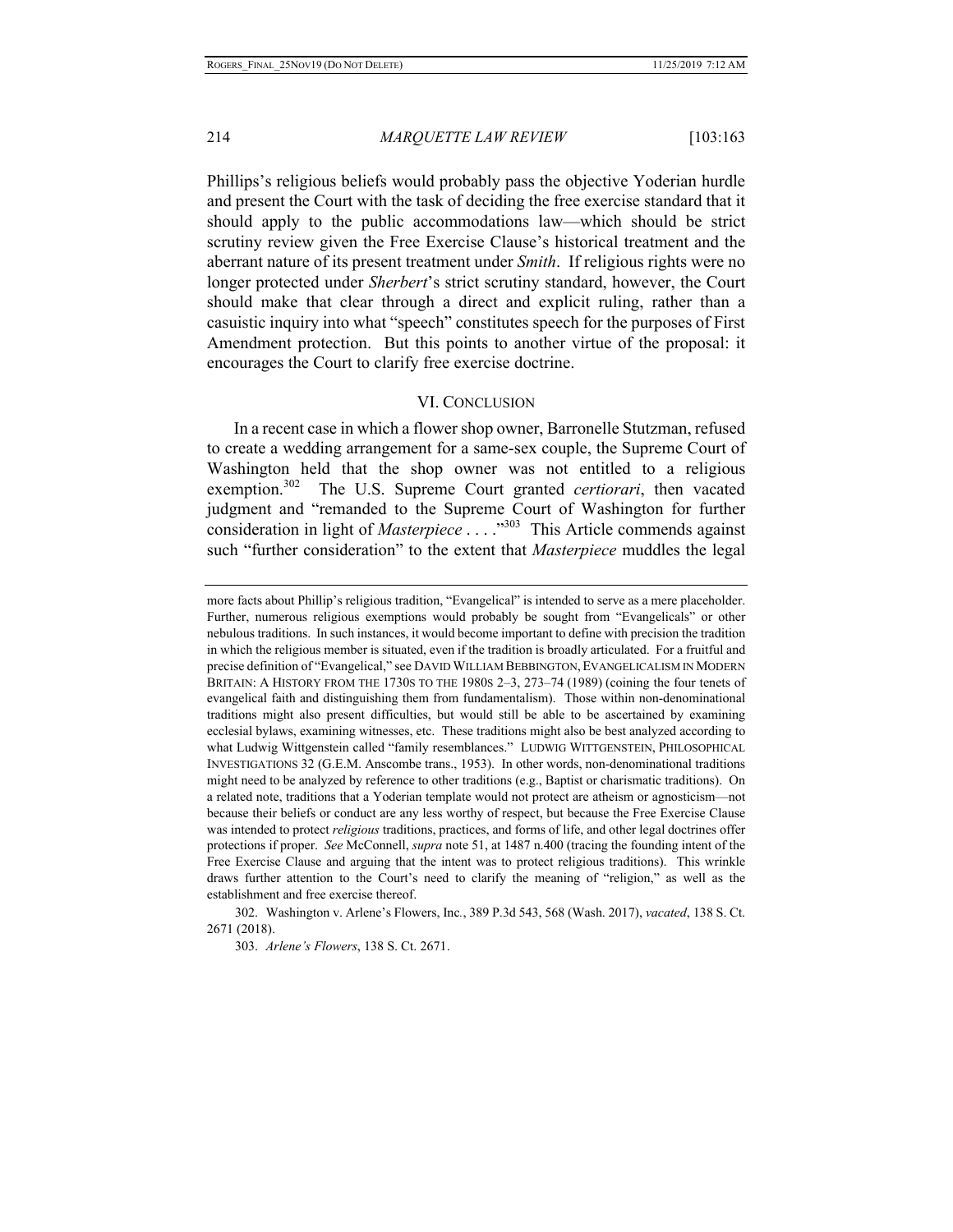Phillips's religious beliefs would probably pass the objective Yoderian hurdle and present the Court with the task of deciding the free exercise standard that it should apply to the public accommodations law—which should be strict scrutiny review given the Free Exercise Clause's historical treatment and the aberrant nature of its present treatment under *Smith*. If religious rights were no longer protected under *Sherbert*'s strict scrutiny standard, however, the Court should make that clear through a direct and explicit ruling, rather than a casuistic inquiry into what "speech" constitutes speech for the purposes of First Amendment protection. But this points to another virtue of the proposal: it encourages the Court to clarify free exercise doctrine.

#### VI. CONCLUSION

In a recent case in which a flower shop owner, Barronelle Stutzman, refused to create a wedding arrangement for a same-sex couple, the Supreme Court of Washington held that the shop owner was not entitled to a religious exemption.302 The U.S. Supreme Court granted *certiorari*, then vacated judgment and "remanded to the Supreme Court of Washington for further consideration in light of *Masterpiece* . . . ."303 This Article commends against such "further consideration" to the extent that *Masterpiece* muddles the legal

302. Washington v. Arlene's Flowers, Inc*.*, 389 P.3d 543, 568 (Wash. 2017), *vacated*, 138 S. Ct. 2671 (2018).

303. *Arlene's Flowers*, 138 S. Ct. 2671.

more facts about Phillip's religious tradition, "Evangelical" is intended to serve as a mere placeholder. Further, numerous religious exemptions would probably be sought from "Evangelicals" or other nebulous traditions. In such instances, it would become important to define with precision the tradition in which the religious member is situated, even if the tradition is broadly articulated. For a fruitful and precise definition of "Evangelical," see DAVID WILLIAM BEBBINGTON,EVANGELICALISM IN MODERN BRITAIN: A HISTORY FROM THE 1730S TO THE 1980S 2-3, 273-74 (1989) (coining the four tenets of evangelical faith and distinguishing them from fundamentalism). Those within non-denominational traditions might also present difficulties, but would still be able to be ascertained by examining ecclesial bylaws, examining witnesses, etc. These traditions might also be best analyzed according to what Ludwig Wittgenstein called "family resemblances." LUDWIG WITTGENSTEIN, PHILOSOPHICAL INVESTIGATIONS 32 (G.E.M. Anscombe trans., 1953). In other words, non-denominational traditions might need to be analyzed by reference to other traditions (e.g., Baptist or charismatic traditions). On a related note, traditions that a Yoderian template would not protect are atheism or agnosticism—not because their beliefs or conduct are any less worthy of respect, but because the Free Exercise Clause was intended to protect *religious* traditions, practices, and forms of life, and other legal doctrines offer protections if proper. *See* McConnell, *supra* note 51, at 1487 n.400 (tracing the founding intent of the Free Exercise Clause and arguing that the intent was to protect religious traditions). This wrinkle draws further attention to the Court's need to clarify the meaning of "religion," as well as the establishment and free exercise thereof.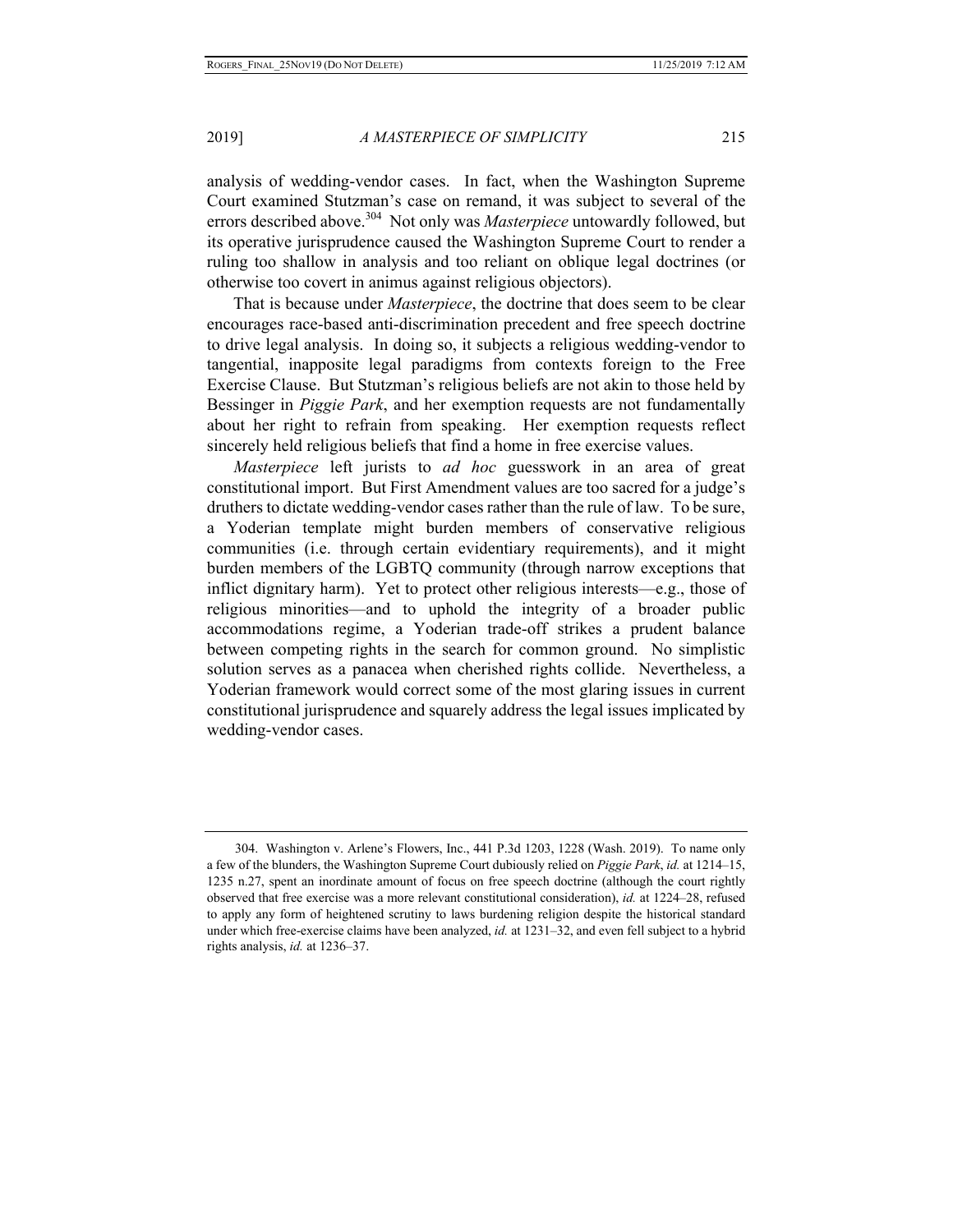analysis of wedding-vendor cases. In fact, when the Washington Supreme Court examined Stutzman's case on remand, it was subject to several of the errors described above.<sup>304</sup> Not only was *Masterpiece* untowardly followed, but its operative jurisprudence caused the Washington Supreme Court to render a ruling too shallow in analysis and too reliant on oblique legal doctrines (or otherwise too covert in animus against religious objectors).

 That is because under *Masterpiece*, the doctrine that does seem to be clear encourages race-based anti-discrimination precedent and free speech doctrine to drive legal analysis. In doing so, it subjects a religious wedding-vendor to tangential, inapposite legal paradigms from contexts foreign to the Free Exercise Clause. But Stutzman's religious beliefs are not akin to those held by Bessinger in *Piggie Park*, and her exemption requests are not fundamentally about her right to refrain from speaking. Her exemption requests reflect sincerely held religious beliefs that find a home in free exercise values.

*Masterpiece* left jurists to *ad hoc* guesswork in an area of great constitutional import. But First Amendment values are too sacred for a judge's druthers to dictate wedding-vendor cases rather than the rule of law. To be sure, a Yoderian template might burden members of conservative religious communities (i.e. through certain evidentiary requirements), and it might burden members of the LGBTQ community (through narrow exceptions that inflict dignitary harm). Yet to protect other religious interests—e.g., those of religious minorities—and to uphold the integrity of a broader public accommodations regime, a Yoderian trade-off strikes a prudent balance between competing rights in the search for common ground. No simplistic solution serves as a panacea when cherished rights collide. Nevertheless, a Yoderian framework would correct some of the most glaring issues in current constitutional jurisprudence and squarely address the legal issues implicated by wedding-vendor cases.

<sup>304.</sup> Washington v. Arlene's Flowers, Inc., 441 P.3d 1203, 1228 (Wash. 2019). To name only a few of the blunders, the Washington Supreme Court dubiously relied on *Piggie Park*, *id.* at 1214–15, 1235 n.27, spent an inordinate amount of focus on free speech doctrine (although the court rightly observed that free exercise was a more relevant constitutional consideration), *id.* at 1224–28, refused to apply any form of heightened scrutiny to laws burdening religion despite the historical standard under which free-exercise claims have been analyzed, *id.* at 1231–32, and even fell subject to a hybrid rights analysis, *id.* at 1236–37.